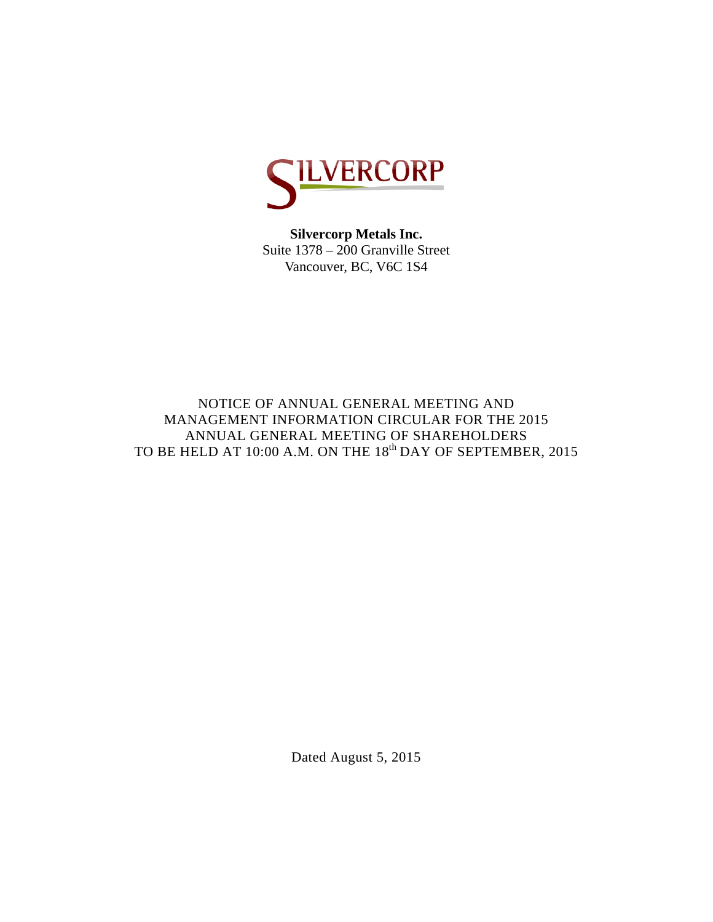

**Silvercorp Metals Inc.**  Suite 1378 – 200 Granville Street Vancouver, BC, V6C 1S4

NOTICE OF ANNUAL GENERAL MEETING AND MANAGEMENT INFORMATION CIRCULAR FOR THE 2015 ANNUAL GENERAL MEETING OF SHAREHOLDERS TO BE HELD AT 10:00 A.M. ON THE 18<sup>th</sup> DAY OF SEPTEMBER, 2015

Dated August 5, 2015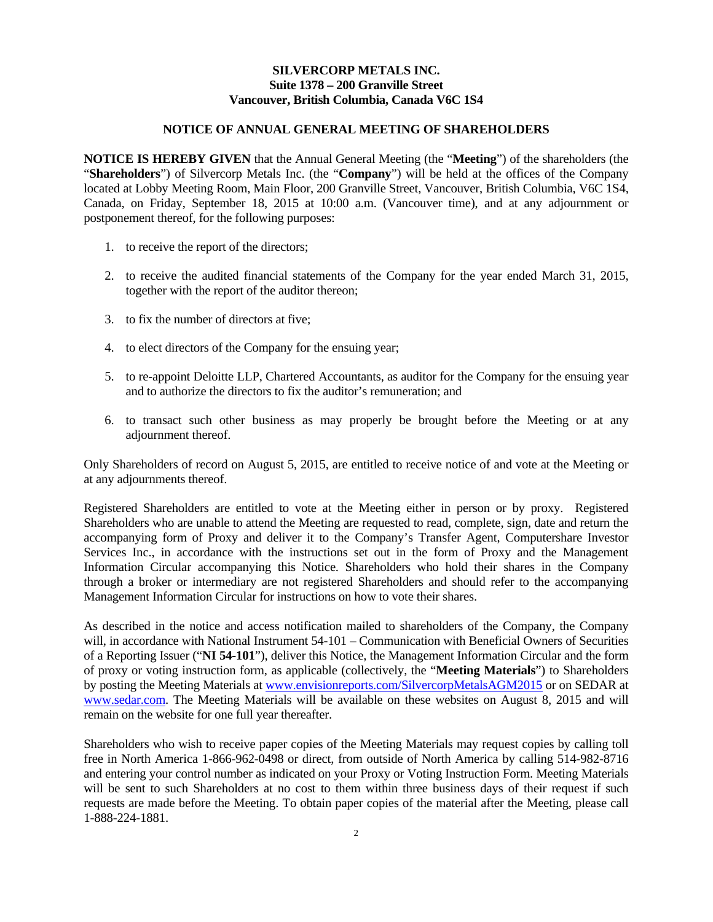# **SILVERCORP METALS INC. Suite 1378 – 200 Granville Street Vancouver, British Columbia, Canada V6C 1S4**

# **NOTICE OF ANNUAL GENERAL MEETING OF SHAREHOLDERS**

**NOTICE IS HEREBY GIVEN** that the Annual General Meeting (the "**Meeting**") of the shareholders (the "**Shareholders**") of Silvercorp Metals Inc. (the "**Company**") will be held at the offices of the Company located at Lobby Meeting Room, Main Floor, 200 Granville Street, Vancouver, British Columbia, V6C 1S4, Canada, on Friday, September 18, 2015 at 10:00 a.m. (Vancouver time), and at any adjournment or postponement thereof, for the following purposes:

- 1. to receive the report of the directors;
- 2. to receive the audited financial statements of the Company for the year ended March 31, 2015, together with the report of the auditor thereon;
- 3. to fix the number of directors at five;
- 4. to elect directors of the Company for the ensuing year;
- 5. to re-appoint Deloitte LLP, Chartered Accountants, as auditor for the Company for the ensuing year and to authorize the directors to fix the auditor's remuneration; and
- 6. to transact such other business as may properly be brought before the Meeting or at any adjournment thereof.

Only Shareholders of record on August 5, 2015, are entitled to receive notice of and vote at the Meeting or at any adjournments thereof.

Registered Shareholders are entitled to vote at the Meeting either in person or by proxy. Registered Shareholders who are unable to attend the Meeting are requested to read, complete, sign, date and return the accompanying form of Proxy and deliver it to the Company's Transfer Agent, Computershare Investor Services Inc., in accordance with the instructions set out in the form of Proxy and the Management Information Circular accompanying this Notice. Shareholders who hold their shares in the Company through a broker or intermediary are not registered Shareholders and should refer to the accompanying Management Information Circular for instructions on how to vote their shares.

As described in the notice and access notification mailed to shareholders of the Company, the Company will, in accordance with National Instrument 54-101 – Communication with Beneficial Owners of Securities of a Reporting Issuer ("**NI 54-101**"), deliver this Notice, the Management Information Circular and the form of proxy or voting instruction form, as applicable (collectively, the "**Meeting Materials**") to Shareholders by posting the Meeting Materials at www.envisionreports.com/SilvercorpMetalsAGM2015 or on SEDAR at www.sedar.com. The Meeting Materials will be available on these websites on August 8, 2015 and will remain on the website for one full year thereafter.

Shareholders who wish to receive paper copies of the Meeting Materials may request copies by calling toll free in North America 1-866-962-0498 or direct, from outside of North America by calling 514-982-8716 and entering your control number as indicated on your Proxy or Voting Instruction Form. Meeting Materials will be sent to such Shareholders at no cost to them within three business days of their request if such requests are made before the Meeting. To obtain paper copies of the material after the Meeting, please call 1-888-224-1881.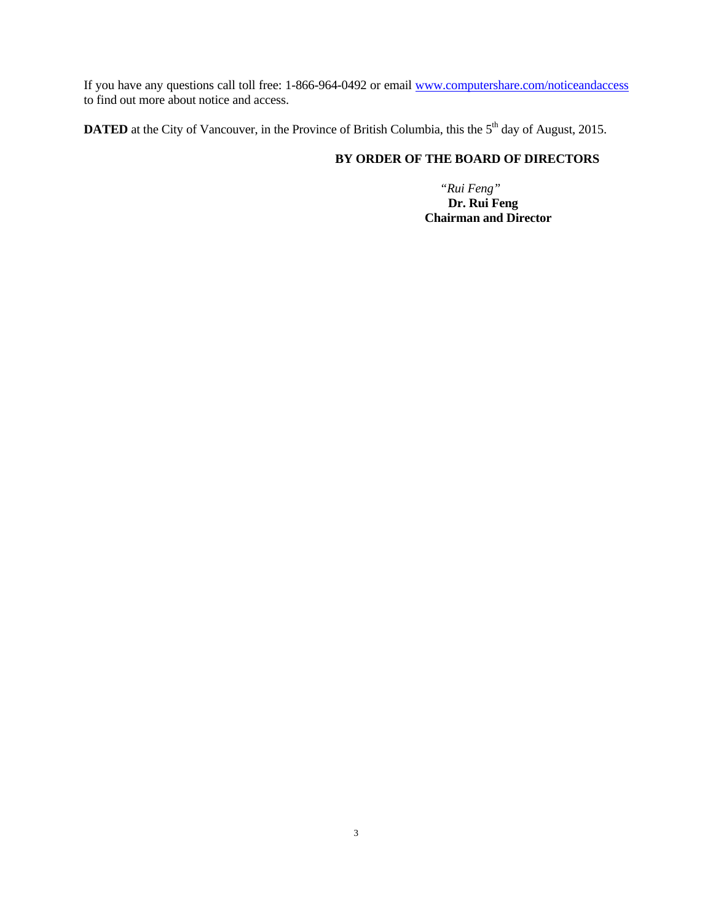If you have any questions call toll free: 1-866-964-0492 or email www.computershare.com/noticeandaccess to find out more about notice and access.

**DATED** at the City of Vancouver, in the Province of British Columbia, this the 5<sup>th</sup> day of August, 2015.

# **BY ORDER OF THE BOARD OF DIRECTORS**

 *"Rui Feng"*  **Dr. Rui Feng Chairman and Director**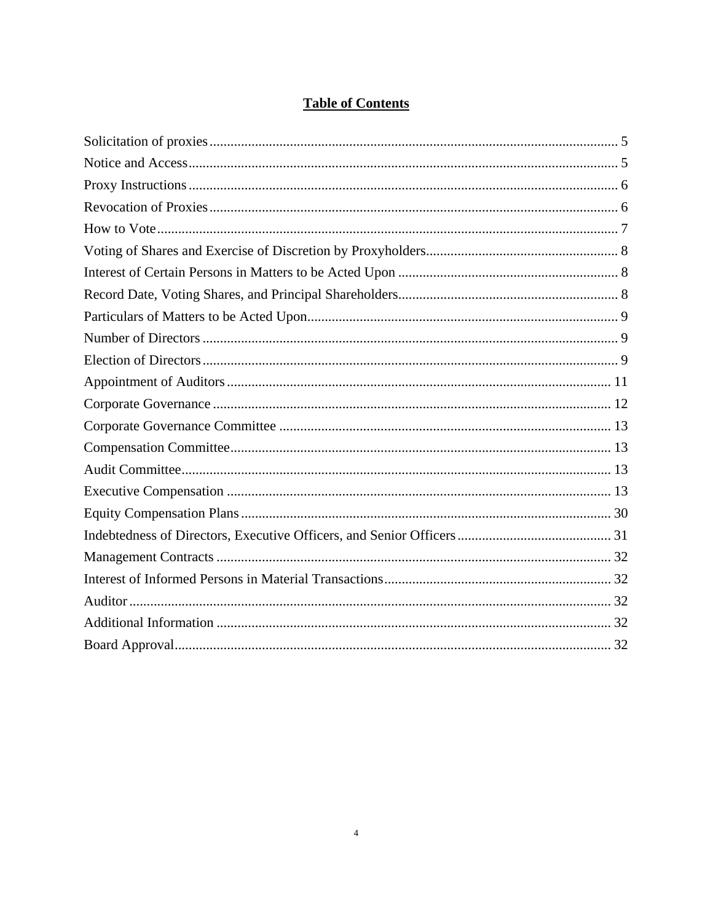# **Table of Contents**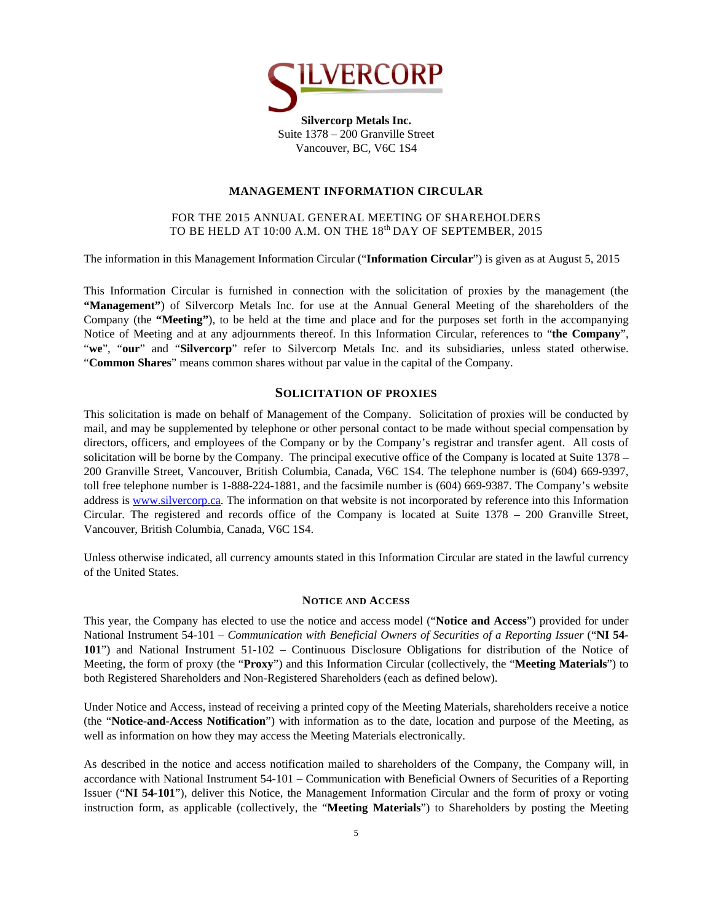

### **MANAGEMENT INFORMATION CIRCULAR**

## FOR THE 2015 ANNUAL GENERAL MEETING OF SHAREHOLDERS TO BE HELD AT 10:00 A.M. ON THE 18<sup>th</sup> DAY OF SEPTEMBER, 2015

The information in this Management Information Circular ("**Information Circular**") is given as at August 5, 2015

This Information Circular is furnished in connection with the solicitation of proxies by the management (the **"Management"**) of Silvercorp Metals Inc. for use at the Annual General Meeting of the shareholders of the Company (the **"Meeting"**), to be held at the time and place and for the purposes set forth in the accompanying Notice of Meeting and at any adjournments thereof. In this Information Circular, references to "**the Company**", "**we**", "**our**" and "**Silvercorp**" refer to Silvercorp Metals Inc. and its subsidiaries, unless stated otherwise. "**Common Shares**" means common shares without par value in the capital of the Company.

### **SOLICITATION OF PROXIES**

This solicitation is made on behalf of Management of the Company. Solicitation of proxies will be conducted by mail, and may be supplemented by telephone or other personal contact to be made without special compensation by directors, officers, and employees of the Company or by the Company's registrar and transfer agent. All costs of solicitation will be borne by the Company. The principal executive office of the Company is located at Suite 1378 – 200 Granville Street, Vancouver, British Columbia, Canada, V6C 1S4. The telephone number is (604) 669-9397, toll free telephone number is 1-888-224-1881, and the facsimile number is (604) 669-9387. The Company's website address is www.silvercorp.ca. The information on that website is not incorporated by reference into this Information Circular. The registered and records office of the Company is located at Suite 1378 – 200 Granville Street, Vancouver, British Columbia, Canada, V6C 1S4.

Unless otherwise indicated, all currency amounts stated in this Information Circular are stated in the lawful currency of the United States.

#### **NOTICE AND ACCESS**

This year, the Company has elected to use the notice and access model ("**Notice and Access**") provided for under National Instrument 54-101 – *Communication with Beneficial Owners of Securities of a Reporting Issuer* ("NI 54-**101**") and National Instrument 51-102 – Continuous Disclosure Obligations for distribution of the Notice of Meeting, the form of proxy (the "**Proxy**") and this Information Circular (collectively, the "**Meeting Materials**") to both Registered Shareholders and Non-Registered Shareholders (each as defined below).

Under Notice and Access, instead of receiving a printed copy of the Meeting Materials, shareholders receive a notice (the "**Notice-and-Access Notification**") with information as to the date, location and purpose of the Meeting, as well as information on how they may access the Meeting Materials electronically.

As described in the notice and access notification mailed to shareholders of the Company, the Company will, in accordance with National Instrument 54-101 – Communication with Beneficial Owners of Securities of a Reporting Issuer ("**NI 54-101**"), deliver this Notice, the Management Information Circular and the form of proxy or voting instruction form, as applicable (collectively, the "**Meeting Materials**") to Shareholders by posting the Meeting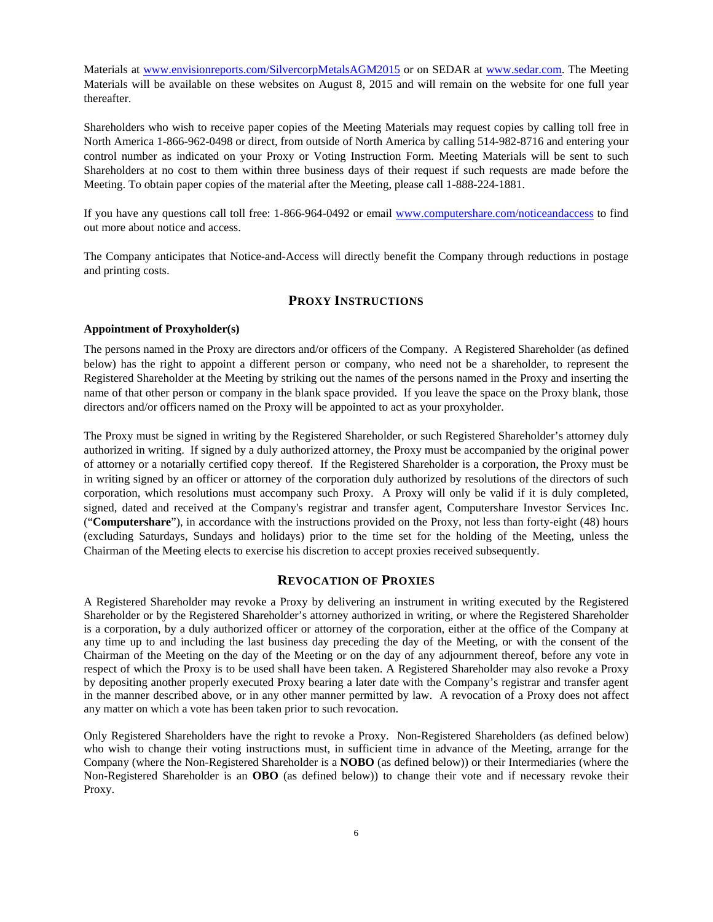Materials at www.envisionreports.com/SilvercorpMetalsAGM2015 or on SEDAR at www.sedar.com. The Meeting Materials will be available on these websites on August 8, 2015 and will remain on the website for one full year thereafter.

Shareholders who wish to receive paper copies of the Meeting Materials may request copies by calling toll free in North America 1-866-962-0498 or direct, from outside of North America by calling 514-982-8716 and entering your control number as indicated on your Proxy or Voting Instruction Form. Meeting Materials will be sent to such Shareholders at no cost to them within three business days of their request if such requests are made before the Meeting. To obtain paper copies of the material after the Meeting, please call 1-888-224-1881.

If you have any questions call toll free: 1-866-964-0492 or email www.computershare.com/noticeandaccess to find out more about notice and access.

The Company anticipates that Notice-and-Access will directly benefit the Company through reductions in postage and printing costs.

# **PROXY INSTRUCTIONS**

#### **Appointment of Proxyholder(s)**

The persons named in the Proxy are directors and/or officers of the Company. A Registered Shareholder (as defined below) has the right to appoint a different person or company, who need not be a shareholder, to represent the Registered Shareholder at the Meeting by striking out the names of the persons named in the Proxy and inserting the name of that other person or company in the blank space provided. If you leave the space on the Proxy blank, those directors and/or officers named on the Proxy will be appointed to act as your proxyholder.

The Proxy must be signed in writing by the Registered Shareholder, or such Registered Shareholder's attorney duly authorized in writing. If signed by a duly authorized attorney, the Proxy must be accompanied by the original power of attorney or a notarially certified copy thereof. If the Registered Shareholder is a corporation, the Proxy must be in writing signed by an officer or attorney of the corporation duly authorized by resolutions of the directors of such corporation, which resolutions must accompany such Proxy. A Proxy will only be valid if it is duly completed, signed, dated and received at the Company's registrar and transfer agent, Computershare Investor Services Inc. ("**Computershare**"), in accordance with the instructions provided on the Proxy, not less than forty-eight (48) hours (excluding Saturdays, Sundays and holidays) prior to the time set for the holding of the Meeting, unless the Chairman of the Meeting elects to exercise his discretion to accept proxies received subsequently.

### **REVOCATION OF PROXIES**

A Registered Shareholder may revoke a Proxy by delivering an instrument in writing executed by the Registered Shareholder or by the Registered Shareholder's attorney authorized in writing, or where the Registered Shareholder is a corporation, by a duly authorized officer or attorney of the corporation, either at the office of the Company at any time up to and including the last business day preceding the day of the Meeting, or with the consent of the Chairman of the Meeting on the day of the Meeting or on the day of any adjournment thereof, before any vote in respect of which the Proxy is to be used shall have been taken. A Registered Shareholder may also revoke a Proxy by depositing another properly executed Proxy bearing a later date with the Company's registrar and transfer agent in the manner described above, or in any other manner permitted by law. A revocation of a Proxy does not affect any matter on which a vote has been taken prior to such revocation.

Only Registered Shareholders have the right to revoke a Proxy. Non-Registered Shareholders (as defined below) who wish to change their voting instructions must, in sufficient time in advance of the Meeting, arrange for the Company (where the Non-Registered Shareholder is a **NOBO** (as defined below)) or their Intermediaries (where the Non-Registered Shareholder is an **OBO** (as defined below)) to change their vote and if necessary revoke their Proxy.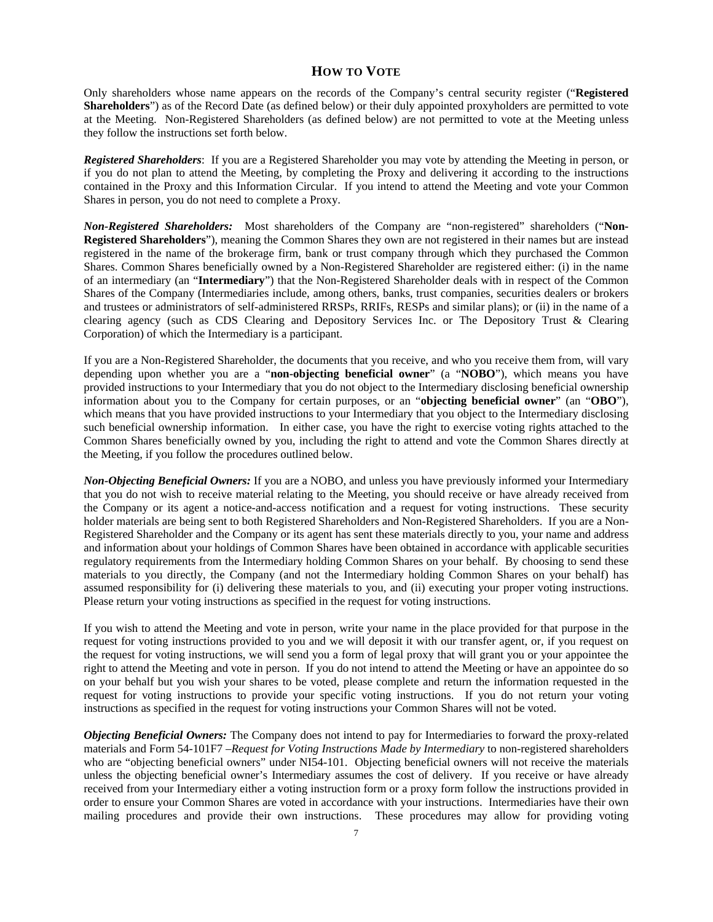# **HOW TO VOTE**

Only shareholders whose name appears on the records of the Company's central security register ("**Registered Shareholders**") as of the Record Date (as defined below) or their duly appointed proxyholders are permitted to vote at the Meeting. Non-Registered Shareholders (as defined below) are not permitted to vote at the Meeting unless they follow the instructions set forth below.

*Registered Shareholders*: If you are a Registered Shareholder you may vote by attending the Meeting in person, or if you do not plan to attend the Meeting, by completing the Proxy and delivering it according to the instructions contained in the Proxy and this Information Circular. If you intend to attend the Meeting and vote your Common Shares in person, you do not need to complete a Proxy.

*Non-Registered Shareholders:* Most shareholders of the Company are "non-registered" shareholders ("**Non-Registered Shareholders**"), meaning the Common Shares they own are not registered in their names but are instead registered in the name of the brokerage firm, bank or trust company through which they purchased the Common Shares. Common Shares beneficially owned by a Non-Registered Shareholder are registered either: (i) in the name of an intermediary (an "**Intermediary**") that the Non-Registered Shareholder deals with in respect of the Common Shares of the Company (Intermediaries include, among others, banks, trust companies, securities dealers or brokers and trustees or administrators of self-administered RRSPs, RRIFs, RESPs and similar plans); or (ii) in the name of a clearing agency (such as CDS Clearing and Depository Services Inc. or The Depository Trust & Clearing Corporation) of which the Intermediary is a participant.

If you are a Non-Registered Shareholder, the documents that you receive, and who you receive them from, will vary depending upon whether you are a "**non-objecting beneficial owner**" (a "**NOBO**"), which means you have provided instructions to your Intermediary that you do not object to the Intermediary disclosing beneficial ownership information about you to the Company for certain purposes, or an "**objecting beneficial owner**" (an "**OBO**"), which means that you have provided instructions to your Intermediary that you object to the Intermediary disclosing such beneficial ownership information. In either case, you have the right to exercise voting rights attached to the Common Shares beneficially owned by you, including the right to attend and vote the Common Shares directly at the Meeting, if you follow the procedures outlined below.

*Non-Objecting Beneficial Owners:* If you are a NOBO, and unless you have previously informed your Intermediary that you do not wish to receive material relating to the Meeting, you should receive or have already received from the Company or its agent a notice-and-access notification and a request for voting instructions. These security holder materials are being sent to both Registered Shareholders and Non-Registered Shareholders. If you are a Non-Registered Shareholder and the Company or its agent has sent these materials directly to you, your name and address and information about your holdings of Common Shares have been obtained in accordance with applicable securities regulatory requirements from the Intermediary holding Common Shares on your behalf. By choosing to send these materials to you directly, the Company (and not the Intermediary holding Common Shares on your behalf) has assumed responsibility for (i) delivering these materials to you, and (ii) executing your proper voting instructions. Please return your voting instructions as specified in the request for voting instructions.

If you wish to attend the Meeting and vote in person, write your name in the place provided for that purpose in the request for voting instructions provided to you and we will deposit it with our transfer agent, or, if you request on the request for voting instructions, we will send you a form of legal proxy that will grant you or your appointee the right to attend the Meeting and vote in person. If you do not intend to attend the Meeting or have an appointee do so on your behalf but you wish your shares to be voted, please complete and return the information requested in the request for voting instructions to provide your specific voting instructions. If you do not return your voting instructions as specified in the request for voting instructions your Common Shares will not be voted.

*Objecting Beneficial Owners:* The Company does not intend to pay for Intermediaries to forward the proxy-related materials and Form 54-101F7 –*Request for Voting Instructions Made by Intermediary* to non-registered shareholders who are "objecting beneficial owners" under NI54-101. Objecting beneficial owners will not receive the materials unless the objecting beneficial owner's Intermediary assumes the cost of delivery. If you receive or have already received from your Intermediary either a voting instruction form or a proxy form follow the instructions provided in order to ensure your Common Shares are voted in accordance with your instructions. Intermediaries have their own mailing procedures and provide their own instructions. These procedures may allow for providing voting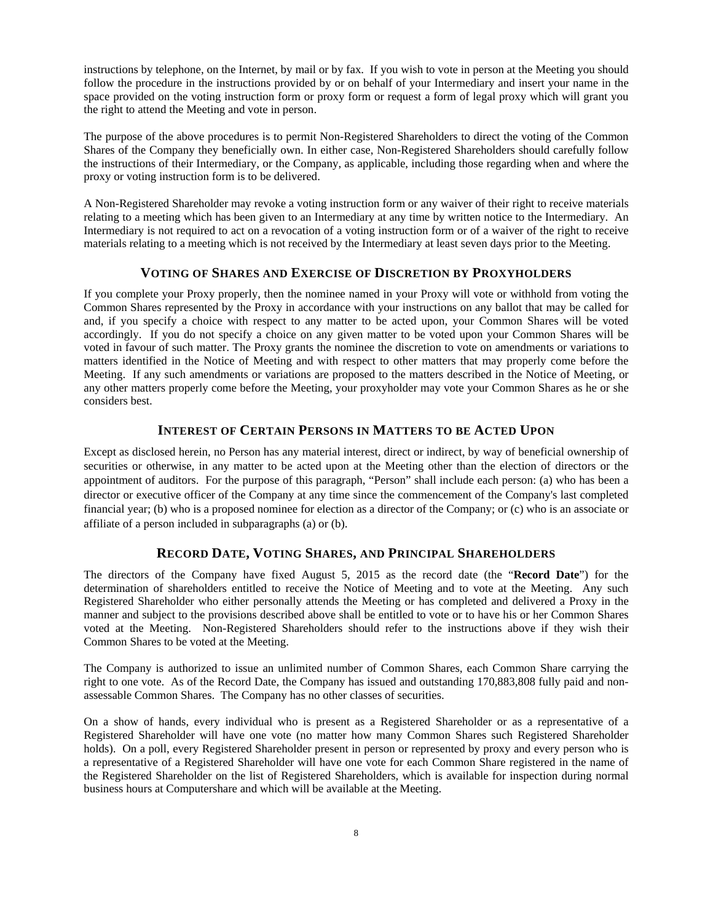instructions by telephone, on the Internet, by mail or by fax. If you wish to vote in person at the Meeting you should follow the procedure in the instructions provided by or on behalf of your Intermediary and insert your name in the space provided on the voting instruction form or proxy form or request a form of legal proxy which will grant you the right to attend the Meeting and vote in person.

The purpose of the above procedures is to permit Non-Registered Shareholders to direct the voting of the Common Shares of the Company they beneficially own. In either case, Non-Registered Shareholders should carefully follow the instructions of their Intermediary, or the Company, as applicable, including those regarding when and where the proxy or voting instruction form is to be delivered.

A Non-Registered Shareholder may revoke a voting instruction form or any waiver of their right to receive materials relating to a meeting which has been given to an Intermediary at any time by written notice to the Intermediary. An Intermediary is not required to act on a revocation of a voting instruction form or of a waiver of the right to receive materials relating to a meeting which is not received by the Intermediary at least seven days prior to the Meeting.

### **VOTING OF SHARES AND EXERCISE OF DISCRETION BY PROXYHOLDERS**

If you complete your Proxy properly, then the nominee named in your Proxy will vote or withhold from voting the Common Shares represented by the Proxy in accordance with your instructions on any ballot that may be called for and, if you specify a choice with respect to any matter to be acted upon, your Common Shares will be voted accordingly. If you do not specify a choice on any given matter to be voted upon your Common Shares will be voted in favour of such matter. The Proxy grants the nominee the discretion to vote on amendments or variations to matters identified in the Notice of Meeting and with respect to other matters that may properly come before the Meeting. If any such amendments or variations are proposed to the matters described in the Notice of Meeting, or any other matters properly come before the Meeting, your proxyholder may vote your Common Shares as he or she considers best.

# **INTEREST OF CERTAIN PERSONS IN MATTERS TO BE ACTED UPON**

Except as disclosed herein, no Person has any material interest, direct or indirect, by way of beneficial ownership of securities or otherwise, in any matter to be acted upon at the Meeting other than the election of directors or the appointment of auditors. For the purpose of this paragraph, "Person" shall include each person: (a) who has been a director or executive officer of the Company at any time since the commencement of the Company's last completed financial year; (b) who is a proposed nominee for election as a director of the Company; or (c) who is an associate or affiliate of a person included in subparagraphs (a) or (b).

# **RECORD DATE, VOTING SHARES, AND PRINCIPAL SHAREHOLDERS**

The directors of the Company have fixed August 5, 2015 as the record date (the "**Record Date**") for the determination of shareholders entitled to receive the Notice of Meeting and to vote at the Meeting. Any such Registered Shareholder who either personally attends the Meeting or has completed and delivered a Proxy in the manner and subject to the provisions described above shall be entitled to vote or to have his or her Common Shares voted at the Meeting. Non-Registered Shareholders should refer to the instructions above if they wish their Common Shares to be voted at the Meeting.

The Company is authorized to issue an unlimited number of Common Shares, each Common Share carrying the right to one vote. As of the Record Date, the Company has issued and outstanding 170,883,808 fully paid and nonassessable Common Shares. The Company has no other classes of securities.

On a show of hands, every individual who is present as a Registered Shareholder or as a representative of a Registered Shareholder will have one vote (no matter how many Common Shares such Registered Shareholder holds). On a poll, every Registered Shareholder present in person or represented by proxy and every person who is a representative of a Registered Shareholder will have one vote for each Common Share registered in the name of the Registered Shareholder on the list of Registered Shareholders, which is available for inspection during normal business hours at Computershare and which will be available at the Meeting.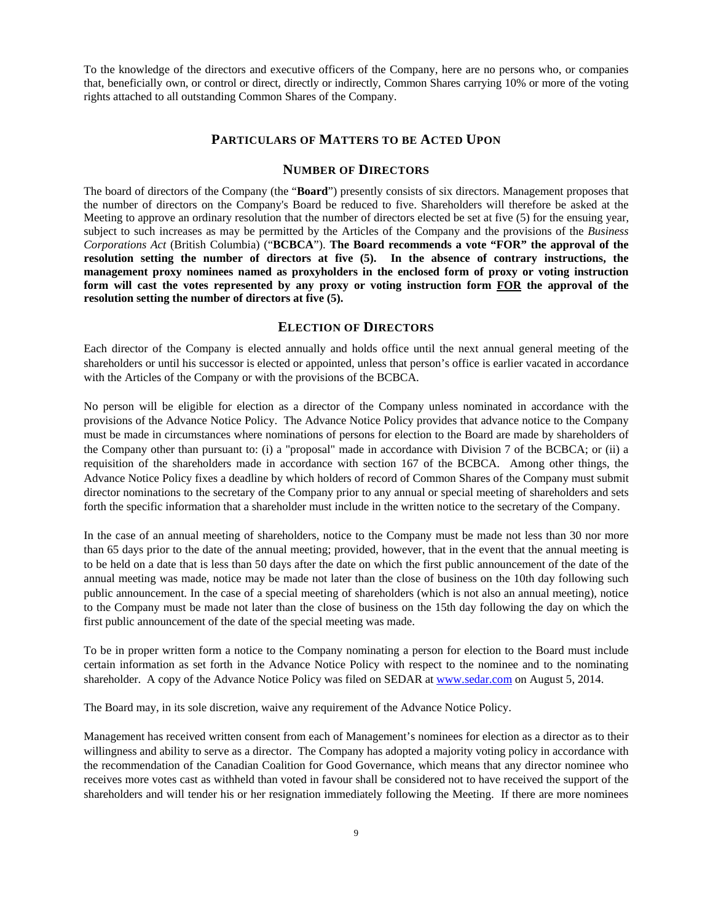To the knowledge of the directors and executive officers of the Company, here are no persons who, or companies that, beneficially own, or control or direct, directly or indirectly, Common Shares carrying 10% or more of the voting rights attached to all outstanding Common Shares of the Company.

#### **PARTICULARS OF MATTERS TO BE ACTED UPON**

#### **NUMBER OF DIRECTORS**

The board of directors of the Company (the "**Board**") presently consists of six directors. Management proposes that the number of directors on the Company's Board be reduced to five. Shareholders will therefore be asked at the Meeting to approve an ordinary resolution that the number of directors elected be set at five (5) for the ensuing year, subject to such increases as may be permitted by the Articles of the Company and the provisions of the *Business Corporations Act* (British Columbia) ("**BCBCA**"). **The Board recommends a vote "FOR" the approval of the resolution setting the number of directors at five (5). In the absence of contrary instructions, the management proxy nominees named as proxyholders in the enclosed form of proxy or voting instruction form will cast the votes represented by any proxy or voting instruction form FOR the approval of the resolution setting the number of directors at five (5).**

# **ELECTION OF DIRECTORS**

Each director of the Company is elected annually and holds office until the next annual general meeting of the shareholders or until his successor is elected or appointed, unless that person's office is earlier vacated in accordance with the Articles of the Company or with the provisions of the BCBCA.

No person will be eligible for election as a director of the Company unless nominated in accordance with the provisions of the Advance Notice Policy. The Advance Notice Policy provides that advance notice to the Company must be made in circumstances where nominations of persons for election to the Board are made by shareholders of the Company other than pursuant to: (i) a "proposal" made in accordance with Division 7 of the BCBCA; or (ii) a requisition of the shareholders made in accordance with section 167 of the BCBCA. Among other things, the Advance Notice Policy fixes a deadline by which holders of record of Common Shares of the Company must submit director nominations to the secretary of the Company prior to any annual or special meeting of shareholders and sets forth the specific information that a shareholder must include in the written notice to the secretary of the Company.

In the case of an annual meeting of shareholders, notice to the Company must be made not less than 30 nor more than 65 days prior to the date of the annual meeting; provided, however, that in the event that the annual meeting is to be held on a date that is less than 50 days after the date on which the first public announcement of the date of the annual meeting was made, notice may be made not later than the close of business on the 10th day following such public announcement. In the case of a special meeting of shareholders (which is not also an annual meeting), notice to the Company must be made not later than the close of business on the 15th day following the day on which the first public announcement of the date of the special meeting was made.

To be in proper written form a notice to the Company nominating a person for election to the Board must include certain information as set forth in the Advance Notice Policy with respect to the nominee and to the nominating shareholder. A copy of the Advance Notice Policy was filed on SEDAR at www.sedar.com on August 5, 2014.

The Board may, in its sole discretion, waive any requirement of the Advance Notice Policy.

Management has received written consent from each of Management's nominees for election as a director as to their willingness and ability to serve as a director. The Company has adopted a majority voting policy in accordance with the recommendation of the Canadian Coalition for Good Governance, which means that any director nominee who receives more votes cast as withheld than voted in favour shall be considered not to have received the support of the shareholders and will tender his or her resignation immediately following the Meeting. If there are more nominees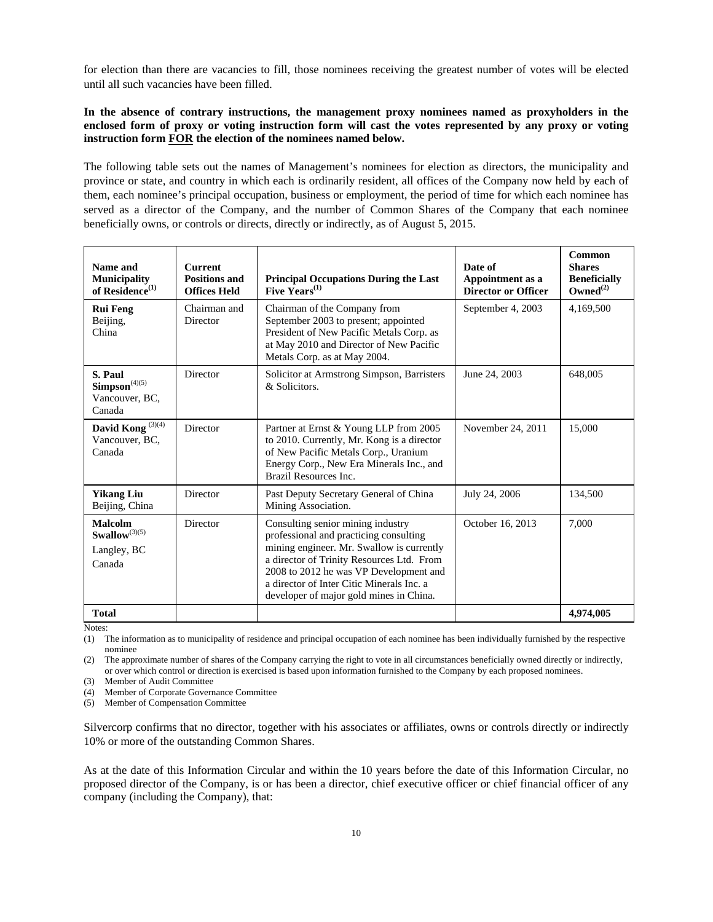for election than there are vacancies to fill, those nominees receiving the greatest number of votes will be elected until all such vacancies have been filled.

### **In the absence of contrary instructions, the management proxy nominees named as proxyholders in the enclosed form of proxy or voting instruction form will cast the votes represented by any proxy or voting instruction form FOR the election of the nominees named below.**

The following table sets out the names of Management's nominees for election as directors, the municipality and province or state, and country in which each is ordinarily resident, all offices of the Company now held by each of them, each nominee's principal occupation, business or employment, the period of time for which each nominee has served as a director of the Company, and the number of Common Shares of the Company that each nominee beneficially owns, or controls or directs, directly or indirectly, as of August 5, 2015.

| Name and<br><b>Municipality</b><br>of Residence <sup>(1)</sup>         | <b>Current</b><br><b>Positions and</b><br><b>Offices Held</b> | <b>Principal Occupations During the Last</b><br>Five $Years^{(1)}$                                                                                                                                                                                                                                      | Date of<br>Appointment as a<br><b>Director or Officer</b> | <b>Common</b><br><b>Shares</b><br><b>Beneficially</b><br>$Owned^{(2)}$ |
|------------------------------------------------------------------------|---------------------------------------------------------------|---------------------------------------------------------------------------------------------------------------------------------------------------------------------------------------------------------------------------------------------------------------------------------------------------------|-----------------------------------------------------------|------------------------------------------------------------------------|
| <b>Rui Feng</b><br>Beijing,<br>China                                   | Chairman and<br>Director                                      | Chairman of the Company from<br>September 2003 to present; appointed<br>President of New Pacific Metals Corp. as<br>at May 2010 and Director of New Pacific<br>Metals Corp. as at May 2004.                                                                                                             | September 4, 2003                                         | 4,169,500                                                              |
| S. Paul<br>$\mathbf{Simpson}^{(4)(5)}$<br>Vancouver, BC,<br>Canada     | Director                                                      | Solicitor at Armstrong Simpson, Barristers<br>& Solicitors.                                                                                                                                                                                                                                             | June 24, 2003                                             | 648,005                                                                |
| David Kong <sup>(3)(4)</sup><br>Vancouver, BC,<br>Canada               | Director                                                      | Partner at Ernst & Young LLP from 2005<br>to 2010. Currently, Mr. Kong is a director<br>of New Pacific Metals Corp., Uranium<br>Energy Corp., New Era Minerals Inc., and<br>Brazil Resources Inc.                                                                                                       | November 24, 2011                                         | 15,000                                                                 |
| <b>Yikang Liu</b><br>Beijing, China                                    | Director                                                      | Past Deputy Secretary General of China<br>Mining Association.                                                                                                                                                                                                                                           | July 24, 2006                                             | 134,500                                                                |
| <b>Malcolm</b><br>$\mathbf{Swallow}^{(3)(5)}$<br>Langley, BC<br>Canada | Director                                                      | Consulting senior mining industry<br>professional and practicing consulting<br>mining engineer. Mr. Swallow is currently<br>a director of Trinity Resources Ltd. From<br>2008 to 2012 he was VP Development and<br>a director of Inter Citic Minerals Inc. a<br>developer of major gold mines in China. | October 16, 2013                                          | 7.000                                                                  |
| <b>Total</b>                                                           |                                                               |                                                                                                                                                                                                                                                                                                         |                                                           | 4,974,005                                                              |

Notes:

(1) The information as to municipality of residence and principal occupation of each nominee has been individually furnished by the respective nominee

(2) The approximate number of shares of the Company carrying the right to vote in all circumstances beneficially owned directly or indirectly, or over which control or direction is exercised is based upon information furnished to the Company by each proposed nominees.

(3) Member of Audit Committee

(4) Member of Corporate Governance Committee

(5) Member of Compensation Committee

Silvercorp confirms that no director, together with his associates or affiliates, owns or controls directly or indirectly 10% or more of the outstanding Common Shares.

As at the date of this Information Circular and within the 10 years before the date of this Information Circular, no proposed director of the Company, is or has been a director, chief executive officer or chief financial officer of any company (including the Company), that: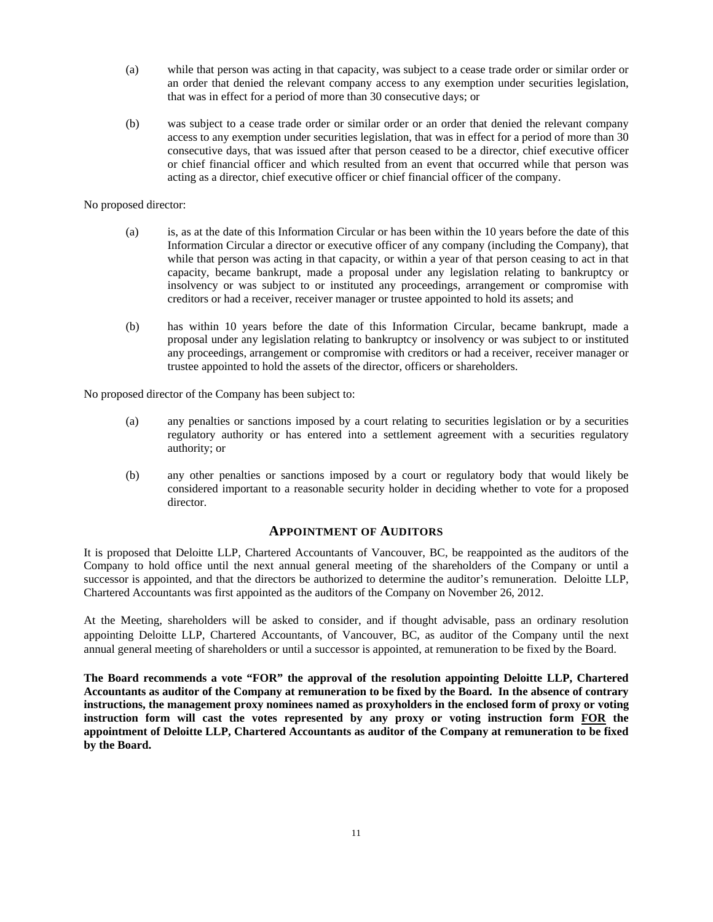- (a) while that person was acting in that capacity, was subject to a cease trade order or similar order or an order that denied the relevant company access to any exemption under securities legislation, that was in effect for a period of more than 30 consecutive days; or
- (b) was subject to a cease trade order or similar order or an order that denied the relevant company access to any exemption under securities legislation, that was in effect for a period of more than 30 consecutive days, that was issued after that person ceased to be a director, chief executive officer or chief financial officer and which resulted from an event that occurred while that person was acting as a director, chief executive officer or chief financial officer of the company.

#### No proposed director:

- (a) is, as at the date of this Information Circular or has been within the 10 years before the date of this Information Circular a director or executive officer of any company (including the Company), that while that person was acting in that capacity, or within a year of that person ceasing to act in that capacity, became bankrupt, made a proposal under any legislation relating to bankruptcy or insolvency or was subject to or instituted any proceedings, arrangement or compromise with creditors or had a receiver, receiver manager or trustee appointed to hold its assets; and
- (b) has within 10 years before the date of this Information Circular, became bankrupt, made a proposal under any legislation relating to bankruptcy or insolvency or was subject to or instituted any proceedings, arrangement or compromise with creditors or had a receiver, receiver manager or trustee appointed to hold the assets of the director, officers or shareholders.

No proposed director of the Company has been subject to:

- (a) any penalties or sanctions imposed by a court relating to securities legislation or by a securities regulatory authority or has entered into a settlement agreement with a securities regulatory authority; or
- (b) any other penalties or sanctions imposed by a court or regulatory body that would likely be considered important to a reasonable security holder in deciding whether to vote for a proposed director.

## **APPOINTMENT OF AUDITORS**

It is proposed that Deloitte LLP, Chartered Accountants of Vancouver, BC, be reappointed as the auditors of the Company to hold office until the next annual general meeting of the shareholders of the Company or until a successor is appointed, and that the directors be authorized to determine the auditor's remuneration. Deloitte LLP, Chartered Accountants was first appointed as the auditors of the Company on November 26, 2012.

At the Meeting, shareholders will be asked to consider, and if thought advisable, pass an ordinary resolution appointing Deloitte LLP, Chartered Accountants, of Vancouver, BC, as auditor of the Company until the next annual general meeting of shareholders or until a successor is appointed, at remuneration to be fixed by the Board.

**The Board recommends a vote "FOR" the approval of the resolution appointing Deloitte LLP, Chartered Accountants as auditor of the Company at remuneration to be fixed by the Board. In the absence of contrary instructions, the management proxy nominees named as proxyholders in the enclosed form of proxy or voting instruction form will cast the votes represented by any proxy or voting instruction form FOR the appointment of Deloitte LLP, Chartered Accountants as auditor of the Company at remuneration to be fixed by the Board.**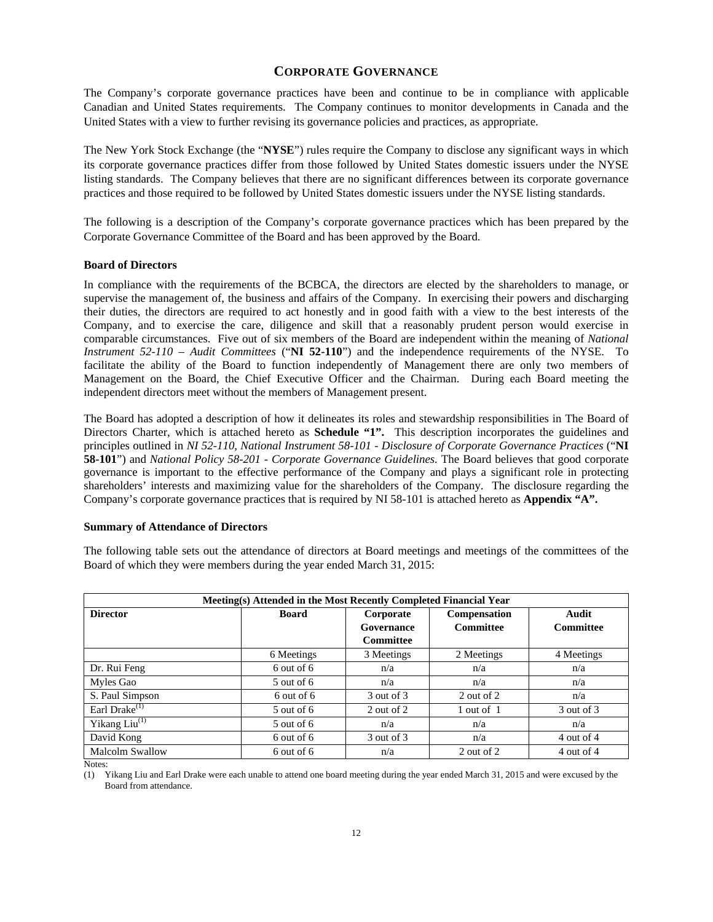## **CORPORATE GOVERNANCE**

The Company's corporate governance practices have been and continue to be in compliance with applicable Canadian and United States requirements. The Company continues to monitor developments in Canada and the United States with a view to further revising its governance policies and practices, as appropriate.

The New York Stock Exchange (the "**NYSE**") rules require the Company to disclose any significant ways in which its corporate governance practices differ from those followed by United States domestic issuers under the NYSE listing standards. The Company believes that there are no significant differences between its corporate governance practices and those required to be followed by United States domestic issuers under the NYSE listing standards.

The following is a description of the Company's corporate governance practices which has been prepared by the Corporate Governance Committee of the Board and has been approved by the Board.

#### **Board of Directors**

In compliance with the requirements of the BCBCA, the directors are elected by the shareholders to manage, or supervise the management of, the business and affairs of the Company. In exercising their powers and discharging their duties, the directors are required to act honestly and in good faith with a view to the best interests of the Company, and to exercise the care, diligence and skill that a reasonably prudent person would exercise in comparable circumstances. Five out of six members of the Board are independent within the meaning of *National Instrument 52-110 – Audit Committees* ("**NI 52-110**") and the independence requirements of the NYSE. To facilitate the ability of the Board to function independently of Management there are only two members of Management on the Board, the Chief Executive Officer and the Chairman. During each Board meeting the independent directors meet without the members of Management present.

The Board has adopted a description of how it delineates its roles and stewardship responsibilities in The Board of Directors Charter, which is attached hereto as **Schedule "1".** This description incorporates the guidelines and principles outlined in *NI 52-110*, *National Instrument 58-101 - Disclosure of Corporate Governance Practices* ("**NI 58-101**") and *National Policy 58-201 - Corporate Governance Guidelines.* The Board believes that good corporate governance is important to the effective performance of the Company and plays a significant role in protecting shareholders' interests and maximizing value for the shareholders of the Company. The disclosure regarding the Company's corporate governance practices that is required by NI 58-101 is attached hereto as **Appendix "A".**

#### **Summary of Attendance of Directors**

The following table sets out the attendance of directors at Board meetings and meetings of the committees of the Board of which they were members during the year ended March 31, 2015:

| Meeting(s) Attended in the Most Recently Completed Financial Year |                |                                             |                                  |                    |  |  |  |  |
|-------------------------------------------------------------------|----------------|---------------------------------------------|----------------------------------|--------------------|--|--|--|--|
| <b>Director</b>                                                   | <b>Board</b>   | Corporate<br>Governance<br><b>Committee</b> | Compensation<br><b>Committee</b> | Audit<br>Committee |  |  |  |  |
|                                                                   | 6 Meetings     | 3 Meetings                                  | 2 Meetings                       | 4 Meetings         |  |  |  |  |
| Dr. Rui Feng                                                      | $6$ out of $6$ | n/a                                         | n/a                              | n/a                |  |  |  |  |
| Myles Gao                                                         | $5$ out of 6   | n/a                                         | n/a                              | n/a                |  |  |  |  |
| S. Paul Simpson                                                   | 6 out of 6     | 3 out of 3                                  | 2 out of 2                       | n/a                |  |  |  |  |
| Earl Drake $(1)$                                                  | $5$ out of 6   | 2 out of 2                                  | 1 out of 1                       | 3 out of 3         |  |  |  |  |
| Yikang $Liu$ <sup>(1)</sup>                                       | $5$ out of 6   | n/a                                         | n/a                              | n/a                |  |  |  |  |
| David Kong                                                        | $6$ out of $6$ | 3 out of 3                                  | n/a                              | 4 out of 4         |  |  |  |  |
| <b>Malcolm Swallow</b>                                            | 6 out of 6     | n/a                                         | 2 out of 2                       | 4 out of 4         |  |  |  |  |

Notes:

(1) Yikang Liu and Earl Drake were each unable to attend one board meeting during the year ended March 31, 2015 and were excused by the Board from attendance.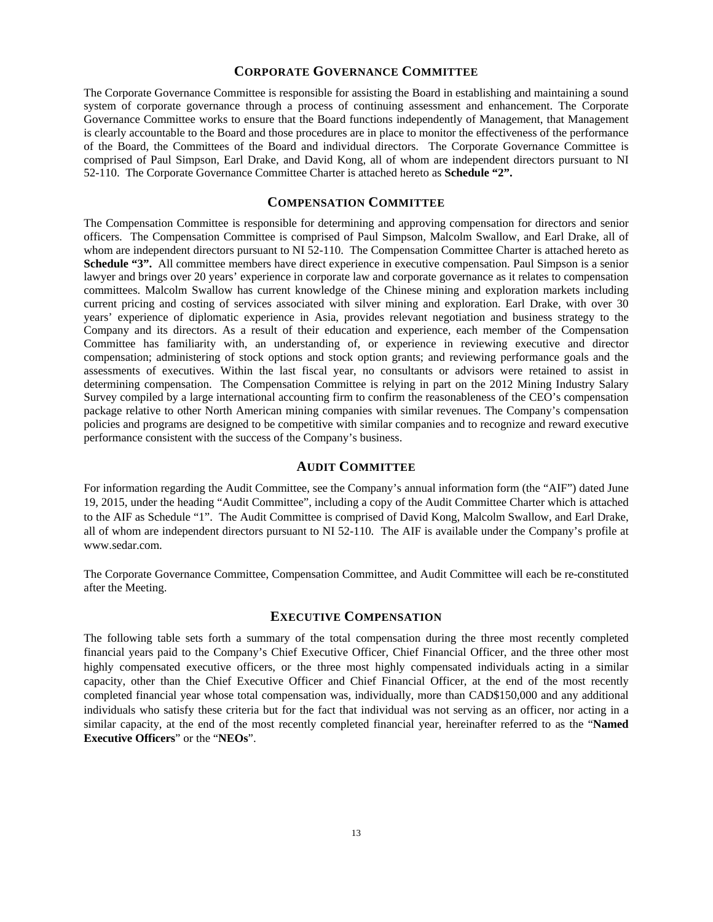### **CORPORATE GOVERNANCE COMMITTEE**

The Corporate Governance Committee is responsible for assisting the Board in establishing and maintaining a sound system of corporate governance through a process of continuing assessment and enhancement. The Corporate Governance Committee works to ensure that the Board functions independently of Management, that Management is clearly accountable to the Board and those procedures are in place to monitor the effectiveness of the performance of the Board, the Committees of the Board and individual directors. The Corporate Governance Committee is comprised of Paul Simpson, Earl Drake, and David Kong, all of whom are independent directors pursuant to NI 52-110. The Corporate Governance Committee Charter is attached hereto as **Schedule "2".**

#### **COMPENSATION COMMITTEE**

The Compensation Committee is responsible for determining and approving compensation for directors and senior officers. The Compensation Committee is comprised of Paul Simpson, Malcolm Swallow, and Earl Drake, all of whom are independent directors pursuant to NI 52-110. The Compensation Committee Charter is attached hereto as **Schedule "3".** All committee members have direct experience in executive compensation. Paul Simpson is a senior lawyer and brings over 20 years' experience in corporate law and corporate governance as it relates to compensation committees. Malcolm Swallow has current knowledge of the Chinese mining and exploration markets including current pricing and costing of services associated with silver mining and exploration. Earl Drake, with over 30 years' experience of diplomatic experience in Asia, provides relevant negotiation and business strategy to the Company and its directors. As a result of their education and experience, each member of the Compensation Committee has familiarity with, an understanding of, or experience in reviewing executive and director compensation; administering of stock options and stock option grants; and reviewing performance goals and the assessments of executives. Within the last fiscal year, no consultants or advisors were retained to assist in determining compensation. The Compensation Committee is relying in part on the 2012 Mining Industry Salary Survey compiled by a large international accounting firm to confirm the reasonableness of the CEO's compensation package relative to other North American mining companies with similar revenues. The Company's compensation policies and programs are designed to be competitive with similar companies and to recognize and reward executive performance consistent with the success of the Company's business.

### **AUDIT COMMITTEE**

For information regarding the Audit Committee, see the Company's annual information form (the "AIF") dated June 19, 2015, under the heading "Audit Committee", including a copy of the Audit Committee Charter which is attached to the AIF as Schedule "1". The Audit Committee is comprised of David Kong, Malcolm Swallow, and Earl Drake, all of whom are independent directors pursuant to NI 52-110. The AIF is available under the Company's profile at www.sedar.com.

The Corporate Governance Committee, Compensation Committee, and Audit Committee will each be re-constituted after the Meeting.

#### **EXECUTIVE COMPENSATION**

The following table sets forth a summary of the total compensation during the three most recently completed financial years paid to the Company's Chief Executive Officer, Chief Financial Officer, and the three other most highly compensated executive officers, or the three most highly compensated individuals acting in a similar capacity, other than the Chief Executive Officer and Chief Financial Officer, at the end of the most recently completed financial year whose total compensation was, individually, more than CAD\$150,000 and any additional individuals who satisfy these criteria but for the fact that individual was not serving as an officer, nor acting in a similar capacity, at the end of the most recently completed financial year, hereinafter referred to as the "**Named Executive Officers**" or the "**NEOs**".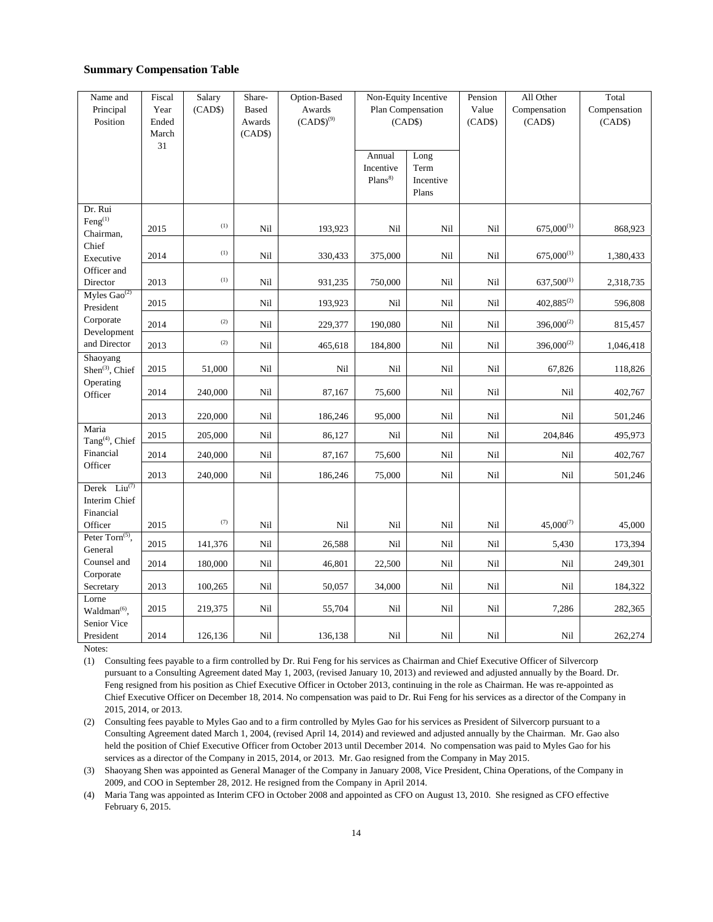## **Summary Compensation Table**

| Name and                             | Fiscal | Salary           | Share-       | Option-Based   | Non-Equity Incentive |           | Pension | All Other       | Total        |
|--------------------------------------|--------|------------------|--------------|----------------|----------------------|-----------|---------|-----------------|--------------|
| Principal                            | Year   | (CAD\$)          | <b>Based</b> | Awards         | Plan Compensation    |           | Value   | Compensation    | Compensation |
| Position                             | Ended  |                  | Awards       | $(CAD$)^{(9)}$ |                      | (CAD\$)   | (CAD\$) | (CAD\$)         | (CAD\$)      |
|                                      | March  |                  | (CAD\$)      |                |                      |           |         |                 |              |
|                                      | 31     |                  |              |                |                      |           |         |                 |              |
|                                      |        |                  |              |                | Annual               | Long      |         |                 |              |
|                                      |        |                  |              |                | Incentive            | Term      |         |                 |              |
|                                      |        |                  |              |                | Plans <sup>8</sup>   | Incentive |         |                 |              |
|                                      |        |                  |              |                |                      | Plans     |         |                 |              |
| Dr. Rui                              |        |                  |              |                |                      |           |         |                 |              |
| $Feng$ <sup>(1)</sup>                |        | (1)              |              |                |                      |           |         |                 |              |
| Chairman,                            | 2015   |                  | Nil          | 193,923        | Nil                  | Nil       | Nil     | $675,000^{(1)}$ | 868,923      |
| Chief                                |        |                  |              |                |                      |           |         |                 |              |
| Executive                            | 2014   | $\left(1\right)$ | Nil          | 330,433        | 375,000              | Nil       | Nil     | $675,000^{(1)}$ | 1,380,433    |
| Officer and                          |        |                  |              |                |                      |           |         |                 |              |
| Director                             | 2013   | $\left(1\right)$ | Nil          | 931,235        | 750,000              | Nil       | Nil     | $637,500^{(1)}$ | 2,318,735    |
| Myles $Gao^{(2)}$                    |        |                  |              |                |                      |           |         |                 |              |
| President                            | 2015   |                  | Nil          | 193,923        | Nil                  | Nil       | Nil     | $402,885^{(2)}$ | 596,808      |
| Corporate<br>Development             | 2014   | (2)              | Nil          | 229,377        | 190,080              | Nil       | Nil     | $396,000^{(2)}$ | 815,457      |
| and Director                         | 2013   | (2)              | Nil          | 465,618        | 184,800              | Nil       | Nil     | $396,000^{(2)}$ | 1,046,418    |
| Shaoyang                             |        |                  |              |                |                      |           |         |                 |              |
| Shen <sup>(3)</sup> , Chief          | 2015   | 51,000           | Nil          | Nil            | Nil                  | Nil       | Nil     | 67,826          | 118,826      |
| Operating                            |        |                  |              |                |                      |           |         |                 |              |
| Officer                              | 2014   | 240,000          | Nil          | 87,167         | 75,600               | Nil       | Nil     | Nil             | 402,767      |
|                                      | 2013   | 220,000          | Nil          | 186,246        | 95,000               | Nil       | Nil     | Nil             | 501,246      |
| Maria<br>Tang <sup>(4)</sup> , Chief | 2015   | 205,000          | Nil          | 86,127         | Nil                  | Nil       | Nil     | 204,846         | 495,973      |
| Financial                            | 2014   | 240,000          | Nil          | 87,167         | 75,600               | Nil       | Nil     | Nil             | 402,767      |
| Officer                              | 2013   | 240,000          | Nil          | 186,246        | 75,000               | Nil       | Nil     | Nil             | 501,246      |
| Derek $Liu^{(7)}$                    |        |                  |              |                |                      |           |         |                 |              |
| Interim Chief                        |        |                  |              |                |                      |           |         |                 |              |
| Financial                            |        |                  |              |                |                      |           |         |                 |              |
| Officer                              | 2015   | (7)              | Nil          | Nil            | Nil                  | Nil       | Nil     | $45,000^{(7)}$  | 45,000       |
| Peter Torn <sup>(5)</sup> ,          |        |                  |              |                |                      |           |         |                 |              |
| General                              | 2015   | 141,376          | Nil          | 26,588         | Nil                  | Nil       | Nil     | 5,430           | 173,394      |
| Counsel and                          | 2014   | 180,000          | Nil          | 46,801         | 22,500               | Nil       | Nil     | Nil             | 249,301      |
| Corporate                            | 2013   |                  | Nil          | 50,057         | 34,000               | Nil       | Nil     | Nil             | 184,322      |
| Secretary<br>Lorne                   |        | 100,265          |              |                |                      |           |         |                 |              |
| Waldman <sup>(6)</sup> ,             | 2015   | 219,375          | Nil          | 55,704         | Nil                  | Nil       | Nil     | 7,286           | 282,365      |
| Senior Vice                          |        |                  |              |                |                      |           |         |                 |              |
| President                            | 2014   | 126,136          | Nil          | 136,138        | Nil                  | Nil       | Nil     | Nil             | 262,274      |
|                                      |        |                  |              |                |                      |           |         |                 |              |

Notes:

(1) Consulting fees payable to a firm controlled by Dr. Rui Feng for his services as Chairman and Chief Executive Officer of Silvercorp pursuant to a Consulting Agreement dated May 1, 2003, (revised January 10, 2013) and reviewed and adjusted annually by the Board. Dr. Feng resigned from his position as Chief Executive Officer in October 2013, continuing in the role as Chairman. He was re-appointed as Chief Executive Officer on December 18, 2014. No compensation was paid to Dr. Rui Feng for his services as a director of the Company in 2015, 2014, or 2013.

(2) Consulting fees payable to Myles Gao and to a firm controlled by Myles Gao for his services as President of Silvercorp pursuant to a Consulting Agreement dated March 1, 2004, (revised April 14, 2014) and reviewed and adjusted annually by the Chairman. Mr. Gao also held the position of Chief Executive Officer from October 2013 until December 2014. No compensation was paid to Myles Gao for his services as a director of the Company in 2015, 2014, or 2013. Mr. Gao resigned from the Company in May 2015.

(3) Shaoyang Shen was appointed as General Manager of the Company in January 2008, Vice President, China Operations, of the Company in 2009, and COO in September 28, 2012. He resigned from the Company in April 2014.

(4) Maria Tang was appointed as Interim CFO in October 2008 and appointed as CFO on August 13, 2010. She resigned as CFO effective February 6, 2015.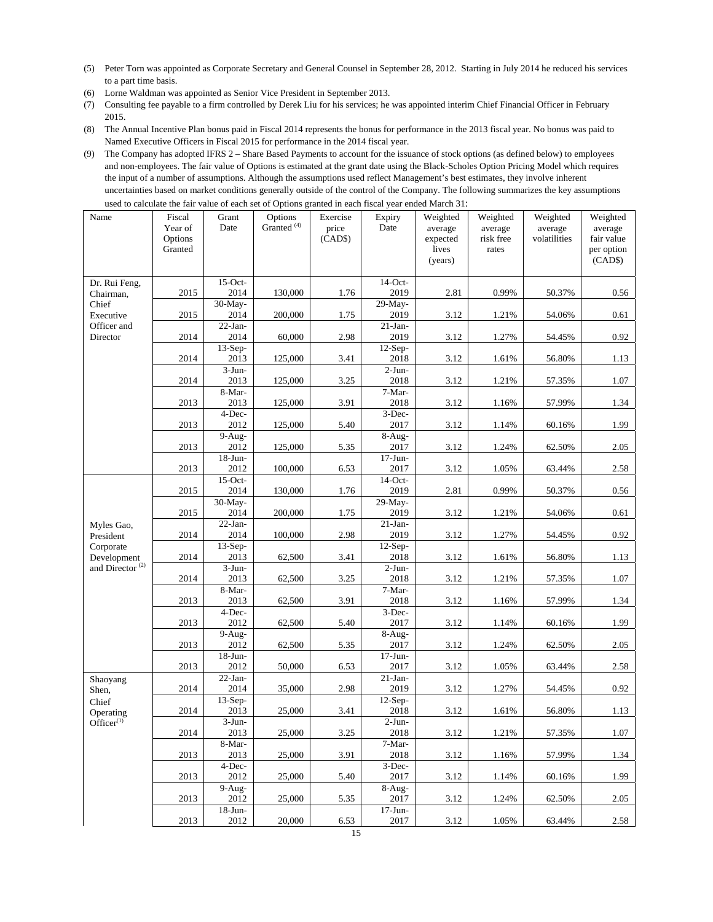- (5) Peter Torn was appointed as Corporate Secretary and General Counsel in September 28, 2012. Starting in July 2014 he reduced his services to a part time basis.
- (6) Lorne Waldman was appointed as Senior Vice President in September 2013.
- (7) Consulting fee payable to a firm controlled by Derek Liu for his services; he was appointed interim Chief Financial Officer in February 2015.
- (8) The Annual Incentive Plan bonus paid in Fiscal 2014 represents the bonus for performance in the 2013 fiscal year. No bonus was paid to Named Executive Officers in Fiscal 2015 for performance in the 2014 fiscal year.
- (9) The Company has adopted IFRS 2 Share Based Payments to account for the issuance of stock options (as defined below) to employees and non-employees. The fair value of Options is estimated at the grant date using the Black-Scholes Option Pricing Model which requires the input of a number of assumptions. Although the assumptions used reflect Management's best estimates, they involve inherent uncertainties based on market conditions generally outside of the control of the Company. The following summarizes the key assumptions used to calculate the fair value of each set of Options granted in each fiscal year ended March 31:

| Name                         | Fiscal<br>Year of<br>Options<br>Granted | Grant<br>Date                | Options<br>Granted <sup>(4)</sup> | Exercise<br>price<br>(CAD\$) | Options granted in each risear year end<br>Expiry<br>Date | Weighted<br>average<br>expected<br>lives<br>(years) | Weighted<br>average<br>risk free<br>rates | Weighted<br>average<br>volatilities | Weighted<br>average<br>fair value<br>per option<br>(CAD\$) |
|------------------------------|-----------------------------------------|------------------------------|-----------------------------------|------------------------------|-----------------------------------------------------------|-----------------------------------------------------|-------------------------------------------|-------------------------------------|------------------------------------------------------------|
| Dr. Rui Feng,                |                                         | $15-Oct-$                    |                                   |                              | $14$ -Oct-                                                |                                                     |                                           |                                     |                                                            |
| Chairman,<br>Chief           | 2015                                    | 2014<br>30-May-              | 130,000                           | 1.76                         | 2019<br>29-May-                                           | 2.81                                                | 0.99%                                     | 50.37%                              | 0.56                                                       |
| Executive                    | 2015                                    | 2014                         | 200,000                           | 1.75                         | 2019                                                      | 3.12                                                | 1.21%                                     | 54.06%                              | 0.61                                                       |
| Officer and                  |                                         | $22$ -Jan-                   |                                   |                              | $21-Ian-$                                                 |                                                     |                                           |                                     |                                                            |
| Director                     | 2014                                    | 2014<br>$13-Sep-$            | 60,000                            | 2.98                         | 2019                                                      | 3.12                                                | 1.27%                                     | 54.45%                              | 0.92                                                       |
|                              | 2014                                    | 2013                         | 125,000                           | 3.41                         | $12-Sep-$<br>2018                                         | 3.12                                                | 1.61%                                     | 56.80%                              | 1.13                                                       |
|                              | 2014                                    | $3-Jun-$<br>2013             | 125,000                           | 3.25                         | $2-Jun-$<br>2018                                          | 3.12                                                | 1.21%                                     | 57.35%                              | 1.07                                                       |
|                              |                                         | 8-Mar-                       |                                   |                              | 7-Mar-                                                    |                                                     |                                           |                                     |                                                            |
|                              | 2013                                    | 2013                         | 125,000                           | 3.91                         | 2018                                                      | 3.12                                                | 1.16%                                     | 57.99%                              | 1.34                                                       |
|                              | 2013                                    | 4-Dec-<br>2012               | 125,000                           | 5.40                         | 3-Dec-<br>2017                                            | 3.12                                                | 1.14%                                     | 60.16%                              | 1.99                                                       |
|                              |                                         | $\overline{9}$ -Aug-         |                                   |                              | 8-Aug-                                                    |                                                     |                                           |                                     |                                                            |
|                              | 2013                                    | 2012                         | 125,000                           | 5.35                         | 2017                                                      | 3.12                                                | 1.24%                                     | 62.50%                              | 2.05                                                       |
|                              |                                         | $18 - Jun -$                 |                                   |                              | $17$ -Jun-                                                |                                                     |                                           |                                     |                                                            |
|                              | 2013                                    | 2012<br>$15$ -Oct-           | 100,000                           | 6.53                         | 2017<br>$14$ -Oct-                                        | 3.12                                                | 1.05%                                     | 63.44%                              | 2.58                                                       |
|                              | 2015                                    | 2014                         | 130,000                           | 1.76                         | 2019                                                      | 2.81                                                | 0.99%                                     | 50.37%                              | 0.56                                                       |
|                              | 2015                                    | $30$ -May-<br>2014           | 200,000                           | 1.75                         | $29-May-$<br>2019                                         | 3.12                                                | 1.21%                                     | 54.06%                              | 0.61                                                       |
| Myles Gao,                   |                                         | $22-Ian-$                    |                                   |                              | $21-Ian-$                                                 |                                                     |                                           |                                     |                                                            |
| President                    | 2014                                    | 2014<br>$13-Sep-$            | 100,000                           | 2.98                         | 2019<br>$12-Sep-$                                         | 3.12                                                | 1.27%                                     | 54.45%                              | 0.92                                                       |
| Corporate<br>Development     | 2014                                    | 2013                         | 62,500                            | 3.41                         | 2018                                                      | 3.12                                                | 1.61%                                     | 56.80%                              | 1.13                                                       |
| and Director <sup>(2)</sup>  | 2014                                    | $3-Jun-$<br>2013             | 62,500                            | 3.25                         | $2-Jun-$<br>2018                                          | 3.12                                                | 1.21%                                     | 57.35%                              | 1.07                                                       |
|                              |                                         | 8-Mar-                       |                                   |                              | 7-Mar-                                                    |                                                     |                                           |                                     |                                                            |
|                              | 2013                                    | 2013                         | 62,500                            | 3.91                         | 2018                                                      | 3.12                                                | 1.16%                                     | 57.99%                              | 1.34                                                       |
|                              | 2013                                    | 4-Dec-<br>2012               | 62,500                            | 5.40                         | 3-Dec-<br>2017                                            | 3.12                                                | 1.14%                                     | 60.16%                              | 1.99                                                       |
|                              |                                         | 9-Aug-                       |                                   |                              | 8-Aug-                                                    |                                                     |                                           |                                     |                                                            |
|                              | 2013                                    | 2012<br>$18$ -Jun-           | 62,500                            | 5.35                         | 2017<br>$17-Jun-$                                         | 3.12                                                | 1.24%                                     | 62.50%                              | 2.05                                                       |
|                              | 2013                                    | 2012                         | 50,000                            | 6.53                         | 2017                                                      | 3.12                                                | 1.05%                                     | 63.44%                              | 2.58                                                       |
| Shaoyang<br>Shen,            | 2014                                    | $22-Ian-$<br>2014            | 35,000                            | 2.98                         | $21-Jan-$<br>2019                                         | 3.12                                                | 1.27%                                     | 54.45%                              | 0.92                                                       |
| Chief                        |                                         | $13-Sep-$                    |                                   |                              | $12-Sep-$                                                 |                                                     |                                           |                                     |                                                            |
| Operating<br>$Officer^{(1)}$ | 2014                                    | 2013<br>$3-J$ un-            | 25,000                            | 3.41                         | 2018<br>$2-Jun-$                                          | 3.12                                                | 1.61%                                     | 56.80%                              | 1.13                                                       |
|                              | 2014                                    | 2013                         | 25,000                            | 3.25                         | 2018                                                      | 3.12                                                | 1.21%                                     | 57.35%                              | $1.07\,$                                                   |
|                              |                                         | 8-Mar-                       |                                   |                              | $7-Mar-$                                                  |                                                     |                                           |                                     |                                                            |
|                              | 2013                                    | 2013                         | 25,000                            | 3.91                         | 2018                                                      | 3.12                                                | 1.16%                                     | 57.99%                              | 1.34                                                       |
|                              | 2013                                    | 4-Dec-<br>2012               | 25,000                            | 5.40                         | 3-Dec-<br>2017                                            | 3.12                                                | 1.14%                                     | 60.16%                              | 1.99                                                       |
|                              | 2013                                    | $\overline{9}$ -Aug-<br>2012 | 25,000                            | 5.35                         | $8-Aug-$<br>2017                                          | 3.12                                                | 1.24%                                     | 62.50%                              | 2.05                                                       |
|                              |                                         | $18 - Jun -$                 |                                   |                              | $17 - Jun -$                                              |                                                     |                                           |                                     |                                                            |
|                              | 2013                                    | 2012                         | 20,000                            | 6.53                         | 2017                                                      | 3.12                                                | 1.05%                                     | 63.44%                              | 2.58                                                       |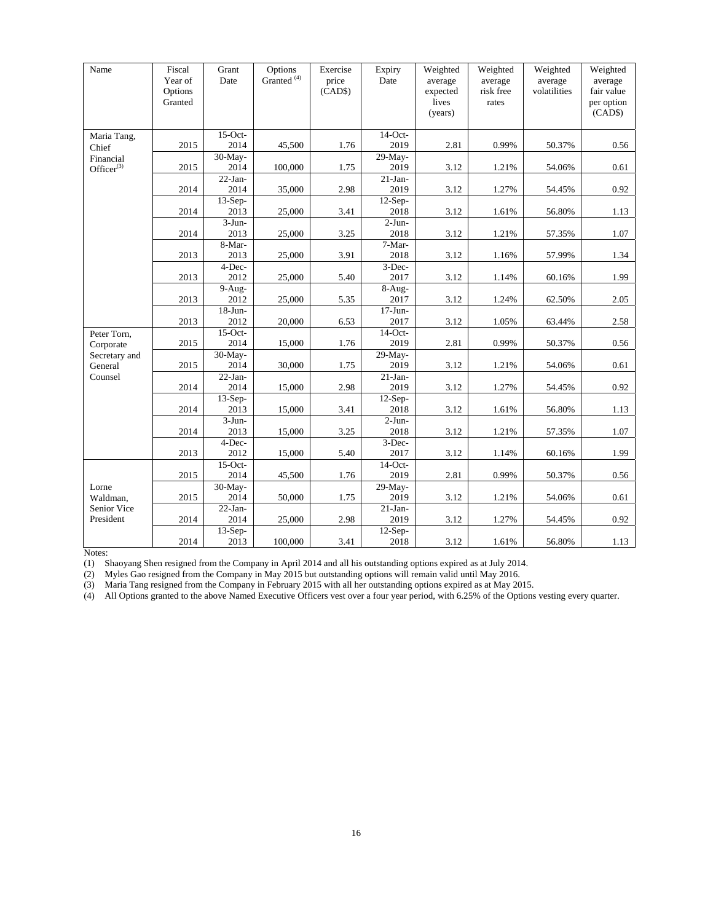| Name                          | Fiscal<br>Year of<br>Options<br>Granted | Grant<br>Date        | Options<br>Granted <sup>(4)</sup> | Exercise<br>price<br>(CAD\$) | Expiry<br>Date     | Weighted<br>average<br>expected<br>lives<br>(years) | Weighted<br>average<br>risk free<br>rates | Weighted<br>average<br>volatilities | Weighted<br>average<br>fair value<br>per option<br>(CAD\$) |
|-------------------------------|-----------------------------------------|----------------------|-----------------------------------|------------------------------|--------------------|-----------------------------------------------------|-------------------------------------------|-------------------------------------|------------------------------------------------------------|
| Maria Tang,                   |                                         | $15$ -Oct-           |                                   |                              | 14-Oct-            |                                                     |                                           |                                     |                                                            |
| Chief                         | 2015                                    | 2014<br>30-May-      | 45,500                            | 1.76                         | 2019<br>29-May-    | 2.81                                                | 0.99%                                     | 50.37%                              | 0.56                                                       |
| Financial<br>Office $r^{(3)}$ | 2015                                    | 2014                 | 100,000                           | 1.75                         | 2019               | 3.12                                                | 1.21%                                     | 54.06%                              | 0.61                                                       |
|                               |                                         | $22-Ian-$            |                                   |                              | $21-Ian-$          |                                                     |                                           |                                     |                                                            |
|                               | 2014                                    | 2014                 | 35,000                            | 2.98                         | 2019               | 3.12                                                | 1.27%                                     | 54.45%                              | 0.92                                                       |
|                               |                                         | $13-Sep-$            |                                   |                              | $12-Sep-$          |                                                     |                                           |                                     |                                                            |
|                               | 2014                                    | 2013                 | 25,000                            | 3.41                         | 2018               | 3.12                                                | 1.61%                                     | 56.80%                              | 1.13                                                       |
|                               | 2014                                    | $3-J$ un-<br>2013    | 25,000                            | 3.25                         | $2-J$ un-<br>2018  | 3.12                                                | 1.21%                                     | 57.35%                              | 1.07                                                       |
|                               |                                         | 8-Mar-               |                                   |                              | 7-Mar-             |                                                     |                                           |                                     |                                                            |
|                               | 2013                                    | 2013                 | 25,000                            | 3.91                         | 2018               | 3.12                                                | 1.16%                                     | 57.99%                              | 1.34                                                       |
|                               |                                         | 4-Dec-               |                                   |                              | 3-Dec-             |                                                     |                                           |                                     |                                                            |
|                               | 2013                                    | 2012                 | 25,000                            | 5.40                         | 2017               | 3.12                                                | 1.14%                                     | 60.16%                              | 1.99                                                       |
|                               |                                         | 9-Aug-               |                                   |                              | 8-Aug-             |                                                     |                                           |                                     |                                                            |
|                               | 2013                                    | 2012                 | 25,000                            | 5.35                         | 2017               | 3.12                                                | 1.24%                                     | 62.50%                              | 2.05                                                       |
|                               | 2013                                    | $18 - Jun -$<br>2012 | 20,000                            | 6.53                         | $17-J$ un-<br>2017 | 3.12                                                | 1.05%                                     | 63.44%                              | 2.58                                                       |
| Peter Torn,                   |                                         | $15$ -Oct-           |                                   |                              | $14$ -Oct-         |                                                     |                                           |                                     |                                                            |
| Corporate                     | 2015                                    | 2014                 | 15,000                            | 1.76                         | 2019               | 2.81                                                | 0.99%                                     | 50.37%                              | 0.56                                                       |
| Secretary and                 |                                         | 30-May-              |                                   |                              | 29-May-            |                                                     |                                           |                                     |                                                            |
| General                       | 2015                                    | 2014                 | 30,000                            | 1.75                         | 2019               | 3.12                                                | 1.21%                                     | 54.06%                              | 0.61                                                       |
| Counsel                       |                                         | $22-Ian-$            |                                   |                              | $21-Ian-$          |                                                     |                                           |                                     |                                                            |
|                               | 2014                                    | 2014                 | 15,000                            | 2.98                         | 2019               | 3.12                                                | 1.27%                                     | 54.45%                              | 0.92                                                       |
|                               | 2014                                    | $13-Sep-$<br>2013    | 15,000                            | 3.41                         | $12-Sep-$<br>2018  | 3.12                                                | 1.61%                                     | 56.80%                              | 1.13                                                       |
|                               |                                         | $3-J$ un-            |                                   |                              | $2-J$ un-          |                                                     |                                           |                                     |                                                            |
|                               | 2014                                    | 2013                 | 15,000                            | 3.25                         | 2018               | 3.12                                                | 1.21%                                     | 57.35%                              | 1.07                                                       |
|                               |                                         | 4-Dec-               |                                   |                              | 3-Dec-             |                                                     |                                           |                                     |                                                            |
|                               | 2013                                    | 2012                 | 15,000                            | 5.40                         | 2017               | 3.12                                                | 1.14%                                     | 60.16%                              | 1.99                                                       |
|                               |                                         | $15$ -Oct-           |                                   |                              | $14$ -Oct-         |                                                     |                                           |                                     |                                                            |
|                               | 2015                                    | 2014                 | 45,500                            | 1.76                         | 2019               | 2.81                                                | 0.99%                                     | 50.37%                              | 0.56                                                       |
| Lorne                         |                                         | 30-May-              |                                   |                              | 29-May-            |                                                     |                                           |                                     |                                                            |
| Waldman.<br>Senior Vice       | 2015                                    | 2014                 | 50,000                            | 1.75                         | 2019               | 3.12                                                | 1.21%                                     | 54.06%                              | 0.61                                                       |
| President                     | 2014                                    | $22-Ian-$<br>2014    | 25,000                            | 2.98                         | $21-Ian-$<br>2019  | 3.12                                                | 1.27%                                     | 54.45%                              | 0.92                                                       |
|                               |                                         | $13-Sep-$            |                                   |                              | $12-Sep-$          |                                                     |                                           |                                     |                                                            |
|                               | 2014                                    | 2013                 | 100,000                           | 3.41                         | 2018               | 3.12                                                | 1.61%                                     | 56.80%                              | 1.13                                                       |

Notes:

(1) Shaoyang Shen resigned from the Company in April 2014 and all his outstanding options expired as at July 2014.

(2) Myles Gao resigned from the Company in May 2015 but outstanding options will remain valid until May 2016.

(3) Maria Tang resigned from the Company in February 2015 with all her outstanding options expired as at May 2015.

(4) All Options granted to the above Named Executive Officers vest over a four year period, with 6.25% of the Options vesting every quarter.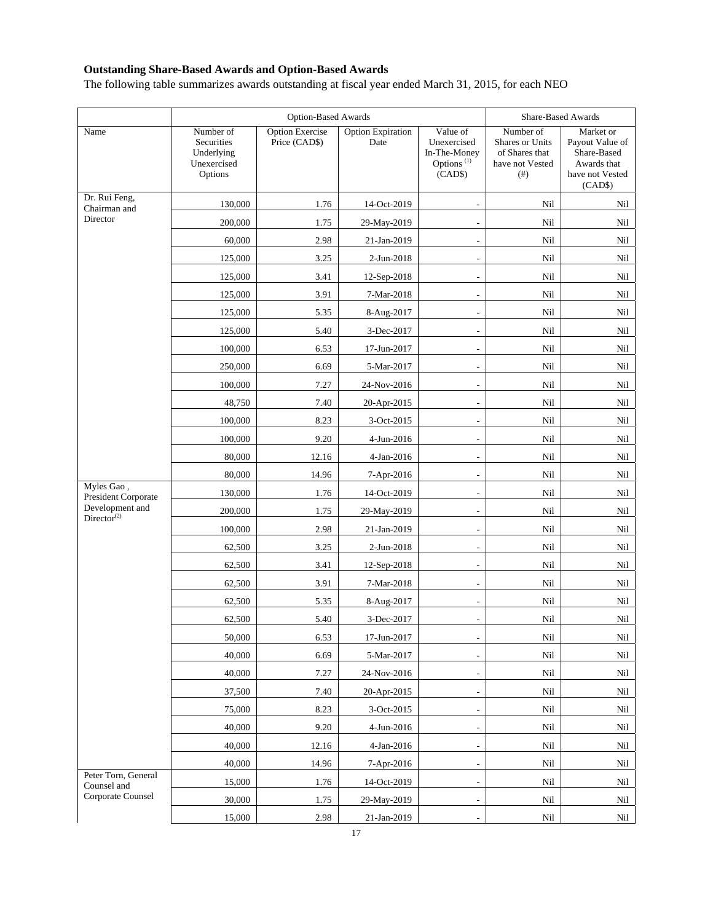# **Outstanding Share-Based Awards and Option-Based Awards**

The following table summarizes awards outstanding at fiscal year ended March 31, 2015, for each NEO

|                                            |                                                                 |                                         | Share-Based Awards               |                                                                              |                                                                           |                                                                                          |
|--------------------------------------------|-----------------------------------------------------------------|-----------------------------------------|----------------------------------|------------------------------------------------------------------------------|---------------------------------------------------------------------------|------------------------------------------------------------------------------------------|
| Name                                       | Number of<br>Securities<br>Underlying<br>Unexercised<br>Options | <b>Option Exercise</b><br>Price (CAD\$) | <b>Option Expiration</b><br>Date | Value of<br>Unexercised<br>In-The-Money<br>Options <sup>(1)</sup><br>(CAD\$) | Number of<br>Shares or Units<br>of Shares that<br>have not Vested<br>(# ) | Market or<br>Payout Value of<br>Share-Based<br>Awards that<br>have not Vested<br>(CAD\$) |
| Dr. Rui Feng,<br>Chairman and              | 130,000                                                         | 1.76                                    | 14-Oct-2019                      |                                                                              | Nil                                                                       | Nil                                                                                      |
| Director                                   | 200,000                                                         | 1.75                                    | 29-May-2019                      |                                                                              | Nil                                                                       | Nil                                                                                      |
|                                            | 60,000                                                          | 2.98                                    | 21-Jan-2019                      | $\overline{\phantom{a}}$                                                     | Nil                                                                       | Nil                                                                                      |
|                                            | 125,000                                                         | 3.25                                    | 2-Jun-2018                       |                                                                              | Nil                                                                       | Nil                                                                                      |
|                                            | 125,000                                                         | 3.41                                    | 12-Sep-2018                      |                                                                              | Nil                                                                       | Nil                                                                                      |
|                                            | 125,000                                                         | 3.91                                    | 7-Mar-2018                       | $\overline{a}$                                                               | Nil                                                                       | Nil                                                                                      |
|                                            | 125,000                                                         | 5.35                                    | 8-Aug-2017                       | $\overline{a}$                                                               | Nil                                                                       | Nil                                                                                      |
|                                            | 125,000                                                         | 5.40                                    | 3-Dec-2017                       | $\overline{\phantom{a}}$                                                     | Nil                                                                       | Nil                                                                                      |
|                                            | 100,000                                                         | 6.53                                    | 17-Jun-2017                      | $\overline{a}$                                                               | Nil                                                                       | Nil                                                                                      |
|                                            | 250,000                                                         | 6.69                                    | 5-Mar-2017                       | $\overline{\phantom{a}}$                                                     | Nil                                                                       | Nil                                                                                      |
|                                            | 100,000                                                         | 7.27                                    | 24-Nov-2016                      |                                                                              | Nil                                                                       | Nil                                                                                      |
|                                            | 48,750                                                          | 7.40                                    | 20-Apr-2015                      | $\overline{a}$                                                               | Nil                                                                       | Nil                                                                                      |
|                                            | 100,000                                                         | 8.23                                    | 3-Oct-2015                       | $\overline{a}$                                                               | Nil                                                                       | Nil                                                                                      |
|                                            | 100,000                                                         | 9.20                                    | 4-Jun-2016                       |                                                                              | Nil                                                                       | Nil                                                                                      |
|                                            | 80,000                                                          | 12.16                                   | 4-Jan-2016                       | $\overline{\phantom{a}}$                                                     | Nil                                                                       | Nil                                                                                      |
|                                            | 80,000                                                          | 14.96                                   | 7-Apr-2016                       |                                                                              | Nil                                                                       | Nil                                                                                      |
| Myles Gao,<br>President Corporate          | 130,000                                                         | 1.76                                    | 14-Oct-2019                      | $\overline{\phantom{a}}$                                                     | Nil                                                                       | Nil                                                                                      |
| Development and<br>Director <sup>(2)</sup> | 200,000                                                         | 1.75                                    | 29-May-2019                      | $\overline{a}$                                                               | Nil                                                                       | Nil                                                                                      |
|                                            | 100,000                                                         | 2.98                                    | 21-Jan-2019                      | $\overline{\phantom{a}}$                                                     | Nil                                                                       | Nil                                                                                      |
|                                            | 62,500                                                          | 3.25                                    | 2-Jun-2018                       | $\overline{\phantom{a}}$                                                     | Nil                                                                       | Nil                                                                                      |
|                                            | 62,500                                                          | 3.41                                    | 12-Sep-2018                      |                                                                              | Nil                                                                       | Nil                                                                                      |
|                                            | 62,500                                                          | 3.91                                    | 7-Mar-2018                       | $\overline{\phantom{a}}$                                                     | Nil                                                                       | Nil                                                                                      |
|                                            | 62,500                                                          | 5.35                                    | 8-Aug-2017                       |                                                                              | Nil                                                                       | Nil                                                                                      |
|                                            | 62,500                                                          | 5.40                                    | 3-Dec-2017                       |                                                                              | Nil                                                                       | Nil                                                                                      |
|                                            | 50,000                                                          | 6.53                                    | 17-Jun-2017                      | $\overline{\phantom{a}}$                                                     | Nil                                                                       | Nil                                                                                      |
|                                            | 40,000                                                          | 6.69                                    | 5-Mar-2017                       |                                                                              | Nil                                                                       | Nil                                                                                      |
|                                            | 40,000                                                          | 7.27                                    | 24-Nov-2016                      | $\overline{\phantom{a}}$                                                     | Nil                                                                       | Nil                                                                                      |
|                                            | 37,500                                                          | 7.40                                    | 20-Apr-2015                      |                                                                              | Nil                                                                       | Nil                                                                                      |
|                                            | 75,000                                                          | 8.23                                    | 3-Oct-2015                       | $\overline{\phantom{a}}$                                                     | Nil                                                                       | Nil                                                                                      |
|                                            | 40,000                                                          | 9.20                                    | 4-Jun-2016                       |                                                                              | Nil                                                                       | Nil                                                                                      |
|                                            | 40,000                                                          | 12.16                                   | 4-Jan-2016                       |                                                                              | Nil                                                                       | Nil                                                                                      |
|                                            | 40,000                                                          | 14.96                                   | 7-Apr-2016                       | $\overline{\phantom{a}}$                                                     | Nil                                                                       | Nil                                                                                      |
| Peter Torn, General<br>Counsel and         | 15,000                                                          | 1.76                                    | 14-Oct-2019                      |                                                                              | Nil                                                                       | Nil                                                                                      |
| Corporate Counsel                          | 30,000                                                          | 1.75                                    | 29-May-2019                      | $\overline{\phantom{a}}$                                                     | Nil                                                                       | Nil                                                                                      |
|                                            | 15,000                                                          | 2.98                                    | 21-Jan-2019                      |                                                                              | Nil                                                                       | Nil                                                                                      |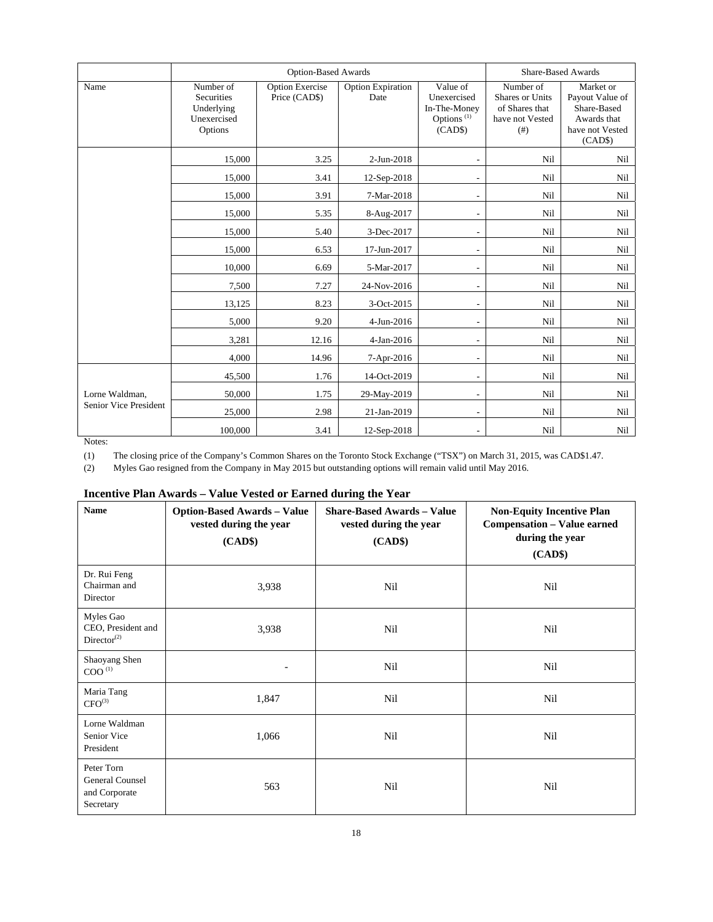|                       |                                                                 | <b>Option-Based Awards</b>              | Share-Based Awards               |                                                                              |                                                                                       |                                                                                          |
|-----------------------|-----------------------------------------------------------------|-----------------------------------------|----------------------------------|------------------------------------------------------------------------------|---------------------------------------------------------------------------------------|------------------------------------------------------------------------------------------|
| Name                  | Number of<br>Securities<br>Underlying<br>Unexercised<br>Options | <b>Option Exercise</b><br>Price (CAD\$) | <b>Option Expiration</b><br>Date | Value of<br>Unexercised<br>In-The-Money<br>Options <sup>(1)</sup><br>(CAD\$) | Number of<br><b>Shares or Units</b><br>of Shares that<br>have not Vested<br>$($ # $)$ | Market or<br>Payout Value of<br>Share-Based<br>Awards that<br>have not Vested<br>(CAD\$) |
|                       | 15,000                                                          | 3.25                                    | 2-Jun-2018                       |                                                                              | Nil                                                                                   | Nil                                                                                      |
|                       | 15,000                                                          | 3.41                                    | 12-Sep-2018                      |                                                                              | Nil                                                                                   | Nil                                                                                      |
|                       | 15,000                                                          | 3.91                                    | 7-Mar-2018                       | $\sim$                                                                       | Nil                                                                                   | Nil                                                                                      |
|                       | 15,000                                                          | 5.35                                    | 8-Aug-2017                       |                                                                              | Nil                                                                                   | Nil                                                                                      |
|                       | 15,000                                                          | 5.40                                    | 3-Dec-2017                       |                                                                              | Nil                                                                                   | Nil                                                                                      |
|                       | 15,000                                                          | 6.53                                    | 17-Jun-2017                      |                                                                              | Nil                                                                                   | Nil                                                                                      |
|                       | 10.000                                                          | 6.69                                    | 5-Mar-2017                       |                                                                              | Nil                                                                                   | Nil                                                                                      |
|                       | 7,500                                                           | 7.27                                    | 24-Nov-2016                      | ٠                                                                            | Nil                                                                                   | Nil                                                                                      |
|                       | 13,125                                                          | 8.23                                    | 3-Oct-2015                       |                                                                              | Nil                                                                                   | Nil                                                                                      |
|                       | 5,000                                                           | 9.20                                    | 4-Jun-2016                       |                                                                              | Nil                                                                                   | Nil                                                                                      |
|                       | 3,281                                                           | 12.16                                   | 4-Jan-2016                       |                                                                              | Nil                                                                                   | Nil                                                                                      |
|                       | 4,000                                                           | 14.96                                   | 7-Apr-2016                       |                                                                              | Nil                                                                                   | Nil                                                                                      |
|                       | 45,500                                                          | 1.76                                    | 14-Oct-2019                      | $\overline{\phantom{a}}$                                                     | Nil                                                                                   | Nil                                                                                      |
| Lorne Waldman,        | 50,000                                                          | 1.75                                    | 29-May-2019                      | $\overline{\phantom{a}}$                                                     | Nil                                                                                   | Nil                                                                                      |
| Senior Vice President | 25,000                                                          | 2.98                                    | 21-Jan-2019                      |                                                                              | Nil                                                                                   | Nil                                                                                      |
|                       | 100,000                                                         | 3.41                                    | 12-Sep-2018                      |                                                                              | Nil                                                                                   | Nil                                                                                      |

Notes:

(1) The closing price of the Company's Common Shares on the Toronto Stock Exchange ("TSX") on March 31, 2015, was CAD\$1.47.

(2) Myles Gao resigned from the Company in May 2015 but outstanding options will remain valid until May 2016.

| Incentive Plan Awards – Value Vested or Earned during the Year |  |  |  |  |  |  |  |
|----------------------------------------------------------------|--|--|--|--|--|--|--|
|----------------------------------------------------------------|--|--|--|--|--|--|--|

| <b>Name</b>                                                             | <b>Option-Based Awards - Value</b><br>vested during the year<br>(CAD\$) | <b>Share-Based Awards - Value</b><br>vested during the year<br>(CAD\$) | <b>Non-Equity Incentive Plan</b><br><b>Compensation - Value earned</b><br>during the year<br>(CAD\$) |
|-------------------------------------------------------------------------|-------------------------------------------------------------------------|------------------------------------------------------------------------|------------------------------------------------------------------------------------------------------|
| Dr. Rui Feng<br>Chairman and<br>Director                                | 3,938                                                                   | Nil                                                                    | Nil                                                                                                  |
| Myles Gao<br>CEO, President and<br>Director <sup><math>(2)</math></sup> | 3,938                                                                   | Nil                                                                    | Nil                                                                                                  |
| Shaoyang Shen<br>$\mathrm{COO}^{(1)}$                                   |                                                                         | Nil                                                                    | Nil                                                                                                  |
| Maria Tang<br>$CFO^{(3)}$                                               | 1,847                                                                   | Nil                                                                    | Nil                                                                                                  |
| Lorne Waldman<br>Senior Vice<br>President                               | 1,066                                                                   | Nil                                                                    | Nil                                                                                                  |
| Peter Torn<br>General Counsel<br>and Corporate<br>Secretary             | 563                                                                     | Nil                                                                    | Nil                                                                                                  |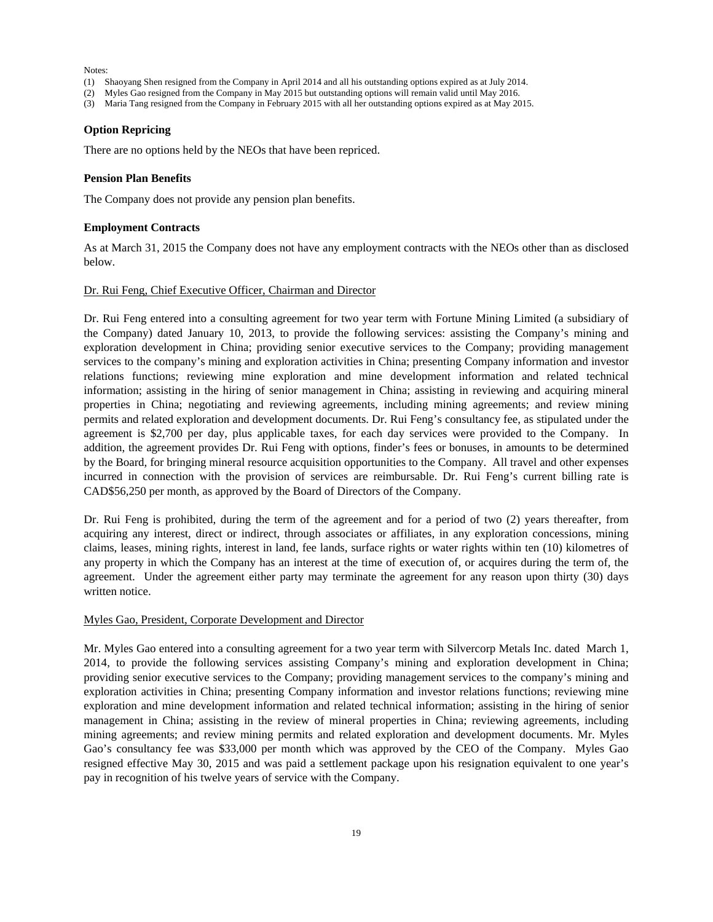Notes:

- (1) Shaoyang Shen resigned from the Company in April 2014 and all his outstanding options expired as at July 2014.
- (2) Myles Gao resigned from the Company in May 2015 but outstanding options will remain valid until May 2016.
- (3) Maria Tang resigned from the Company in February 2015 with all her outstanding options expired as at May 2015.

#### **Option Repricing**

There are no options held by the NEOs that have been repriced.

#### **Pension Plan Benefits**

The Company does not provide any pension plan benefits.

#### **Employment Contracts**

As at March 31, 2015 the Company does not have any employment contracts with the NEOs other than as disclosed below.

#### Dr. Rui Feng, Chief Executive Officer, Chairman and Director

Dr. Rui Feng entered into a consulting agreement for two year term with Fortune Mining Limited (a subsidiary of the Company) dated January 10, 2013, to provide the following services: assisting the Company's mining and exploration development in China; providing senior executive services to the Company; providing management services to the company's mining and exploration activities in China; presenting Company information and investor relations functions; reviewing mine exploration and mine development information and related technical information; assisting in the hiring of senior management in China; assisting in reviewing and acquiring mineral properties in China; negotiating and reviewing agreements, including mining agreements; and review mining permits and related exploration and development documents. Dr. Rui Feng's consultancy fee, as stipulated under the agreement is \$2,700 per day, plus applicable taxes, for each day services were provided to the Company. In addition, the agreement provides Dr. Rui Feng with options, finder's fees or bonuses, in amounts to be determined by the Board, for bringing mineral resource acquisition opportunities to the Company. All travel and other expenses incurred in connection with the provision of services are reimbursable. Dr. Rui Feng's current billing rate is CAD\$56,250 per month, as approved by the Board of Directors of the Company.

Dr. Rui Feng is prohibited, during the term of the agreement and for a period of two (2) years thereafter, from acquiring any interest, direct or indirect, through associates or affiliates, in any exploration concessions, mining claims, leases, mining rights, interest in land, fee lands, surface rights or water rights within ten (10) kilometres of any property in which the Company has an interest at the time of execution of, or acquires during the term of, the agreement. Under the agreement either party may terminate the agreement for any reason upon thirty (30) days written notice.

#### Myles Gao, President, Corporate Development and Director

Mr. Myles Gao entered into a consulting agreement for a two year term with Silvercorp Metals Inc. dated March 1, 2014, to provide the following services assisting Company's mining and exploration development in China; providing senior executive services to the Company; providing management services to the company's mining and exploration activities in China; presenting Company information and investor relations functions; reviewing mine exploration and mine development information and related technical information; assisting in the hiring of senior management in China; assisting in the review of mineral properties in China; reviewing agreements, including mining agreements; and review mining permits and related exploration and development documents. Mr. Myles Gao's consultancy fee was \$33,000 per month which was approved by the CEO of the Company. Myles Gao resigned effective May 30, 2015 and was paid a settlement package upon his resignation equivalent to one year's pay in recognition of his twelve years of service with the Company.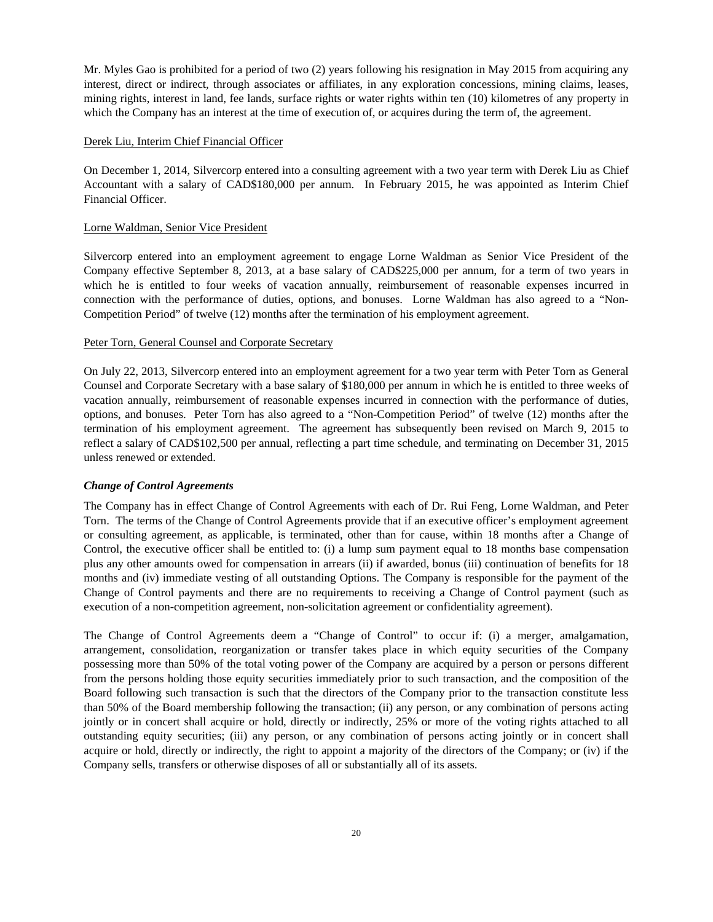Mr. Myles Gao is prohibited for a period of two (2) years following his resignation in May 2015 from acquiring any interest, direct or indirect, through associates or affiliates, in any exploration concessions, mining claims, leases, mining rights, interest in land, fee lands, surface rights or water rights within ten (10) kilometres of any property in which the Company has an interest at the time of execution of, or acquires during the term of, the agreement.

### Derek Liu, Interim Chief Financial Officer

On December 1, 2014, Silvercorp entered into a consulting agreement with a two year term with Derek Liu as Chief Accountant with a salary of CAD\$180,000 per annum. In February 2015, he was appointed as Interim Chief Financial Officer.

#### Lorne Waldman, Senior Vice President

Silvercorp entered into an employment agreement to engage Lorne Waldman as Senior Vice President of the Company effective September 8, 2013, at a base salary of CAD\$225,000 per annum, for a term of two years in which he is entitled to four weeks of vacation annually, reimbursement of reasonable expenses incurred in connection with the performance of duties, options, and bonuses. Lorne Waldman has also agreed to a "Non-Competition Period" of twelve (12) months after the termination of his employment agreement.

#### Peter Torn, General Counsel and Corporate Secretary

On July 22, 2013, Silvercorp entered into an employment agreement for a two year term with Peter Torn as General Counsel and Corporate Secretary with a base salary of \$180,000 per annum in which he is entitled to three weeks of vacation annually, reimbursement of reasonable expenses incurred in connection with the performance of duties, options, and bonuses. Peter Torn has also agreed to a "Non-Competition Period" of twelve (12) months after the termination of his employment agreement. The agreement has subsequently been revised on March 9, 2015 to reflect a salary of CAD\$102,500 per annual, reflecting a part time schedule, and terminating on December 31, 2015 unless renewed or extended.

## *Change of Control Agreements*

The Company has in effect Change of Control Agreements with each of Dr. Rui Feng, Lorne Waldman, and Peter Torn. The terms of the Change of Control Agreements provide that if an executive officer's employment agreement or consulting agreement, as applicable, is terminated, other than for cause, within 18 months after a Change of Control, the executive officer shall be entitled to: (i) a lump sum payment equal to 18 months base compensation plus any other amounts owed for compensation in arrears (ii) if awarded, bonus (iii) continuation of benefits for 18 months and (iv) immediate vesting of all outstanding Options. The Company is responsible for the payment of the Change of Control payments and there are no requirements to receiving a Change of Control payment (such as execution of a non-competition agreement, non-solicitation agreement or confidentiality agreement).

The Change of Control Agreements deem a "Change of Control" to occur if: (i) a merger, amalgamation, arrangement, consolidation, reorganization or transfer takes place in which equity securities of the Company possessing more than 50% of the total voting power of the Company are acquired by a person or persons different from the persons holding those equity securities immediately prior to such transaction, and the composition of the Board following such transaction is such that the directors of the Company prior to the transaction constitute less than 50% of the Board membership following the transaction; (ii) any person, or any combination of persons acting jointly or in concert shall acquire or hold, directly or indirectly, 25% or more of the voting rights attached to all outstanding equity securities; (iii) any person, or any combination of persons acting jointly or in concert shall acquire or hold, directly or indirectly, the right to appoint a majority of the directors of the Company; or (iv) if the Company sells, transfers or otherwise disposes of all or substantially all of its assets.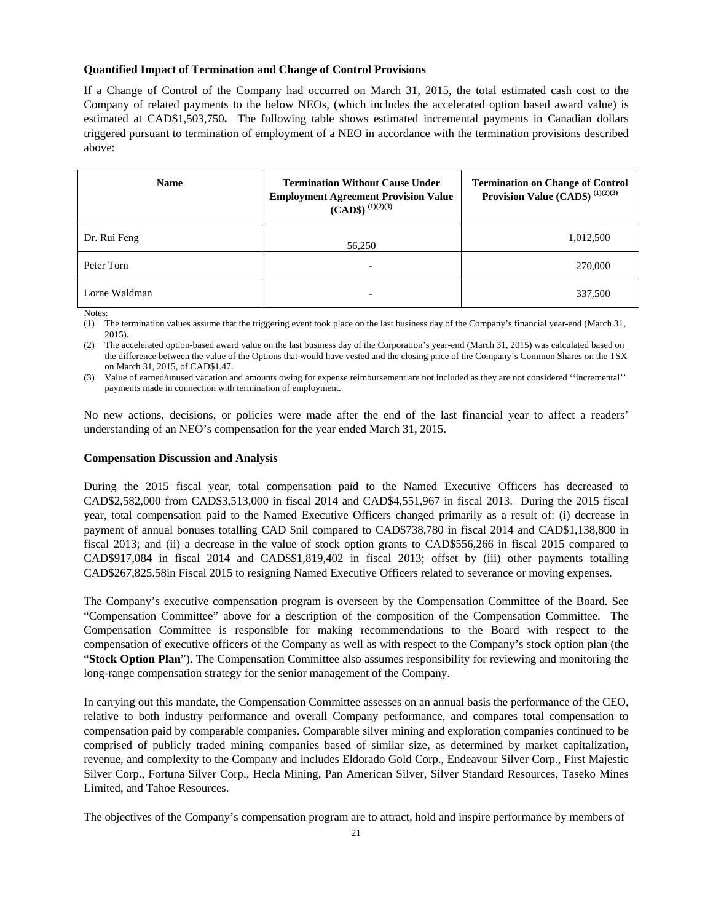## **Quantified Impact of Termination and Change of Control Provisions**

If a Change of Control of the Company had occurred on March 31, 2015, the total estimated cash cost to the Company of related payments to the below NEOs, (which includes the accelerated option based award value) is estimated at CAD\$1,503,750**.** The following table shows estimated incremental payments in Canadian dollars triggered pursuant to termination of employment of a NEO in accordance with the termination provisions described above:

| <b>Name</b>   | <b>Termination Without Cause Under</b><br><b>Employment Agreement Provision Value</b><br>$(CAD$)^{(1)(2)(3)}$ | <b>Termination on Change of Control</b><br>Provision Value (CAD\$) $^{(1)(2)(3)}$ |
|---------------|---------------------------------------------------------------------------------------------------------------|-----------------------------------------------------------------------------------|
| Dr. Rui Feng  | 56,250                                                                                                        | 1,012,500                                                                         |
| Peter Torn    | -                                                                                                             | 270,000                                                                           |
| Lorne Waldman | -                                                                                                             | 337,500                                                                           |

Notes:

(1) The termination values assume that the triggering event took place on the last business day of the Company's financial year-end (March 31, 2015).

(2) The accelerated option-based award value on the last business day of the Corporation's year-end (March 31, 2015) was calculated based on the difference between the value of the Options that would have vested and the closing price of the Company's Common Shares on the TSX on March 31, 2015, of CAD\$1.47.

(3) Value of earned/unused vacation and amounts owing for expense reimbursement are not included as they are not considered ''incremental'' payments made in connection with termination of employment.

No new actions, decisions, or policies were made after the end of the last financial year to affect a readers' understanding of an NEO's compensation for the year ended March 31, 2015.

#### **Compensation Discussion and Analysis**

During the 2015 fiscal year, total compensation paid to the Named Executive Officers has decreased to CAD\$2,582,000 from CAD\$3,513,000 in fiscal 2014 and CAD\$4,551,967 in fiscal 2013. During the 2015 fiscal year, total compensation paid to the Named Executive Officers changed primarily as a result of: (i) decrease in payment of annual bonuses totalling CAD \$nil compared to CAD\$738,780 in fiscal 2014 and CAD\$1,138,800 in fiscal 2013; and (ii) a decrease in the value of stock option grants to CAD\$556,266 in fiscal 2015 compared to CAD\$917,084 in fiscal 2014 and CAD\$\$1,819,402 in fiscal 2013; offset by (iii) other payments totalling CAD\$267,825.58in Fiscal 2015 to resigning Named Executive Officers related to severance or moving expenses.

The Company's executive compensation program is overseen by the Compensation Committee of the Board. See "Compensation Committee" above for a description of the composition of the Compensation Committee. The Compensation Committee is responsible for making recommendations to the Board with respect to the compensation of executive officers of the Company as well as with respect to the Company's stock option plan (the "**Stock Option Plan**"). The Compensation Committee also assumes responsibility for reviewing and monitoring the long-range compensation strategy for the senior management of the Company.

In carrying out this mandate, the Compensation Committee assesses on an annual basis the performance of the CEO, relative to both industry performance and overall Company performance, and compares total compensation to compensation paid by comparable companies. Comparable silver mining and exploration companies continued to be comprised of publicly traded mining companies based of similar size, as determined by market capitalization, revenue, and complexity to the Company and includes Eldorado Gold Corp., Endeavour Silver Corp., First Majestic Silver Corp., Fortuna Silver Corp., Hecla Mining, Pan American Silver, Silver Standard Resources, Taseko Mines Limited, and Tahoe Resources.

The objectives of the Company's compensation program are to attract, hold and inspire performance by members of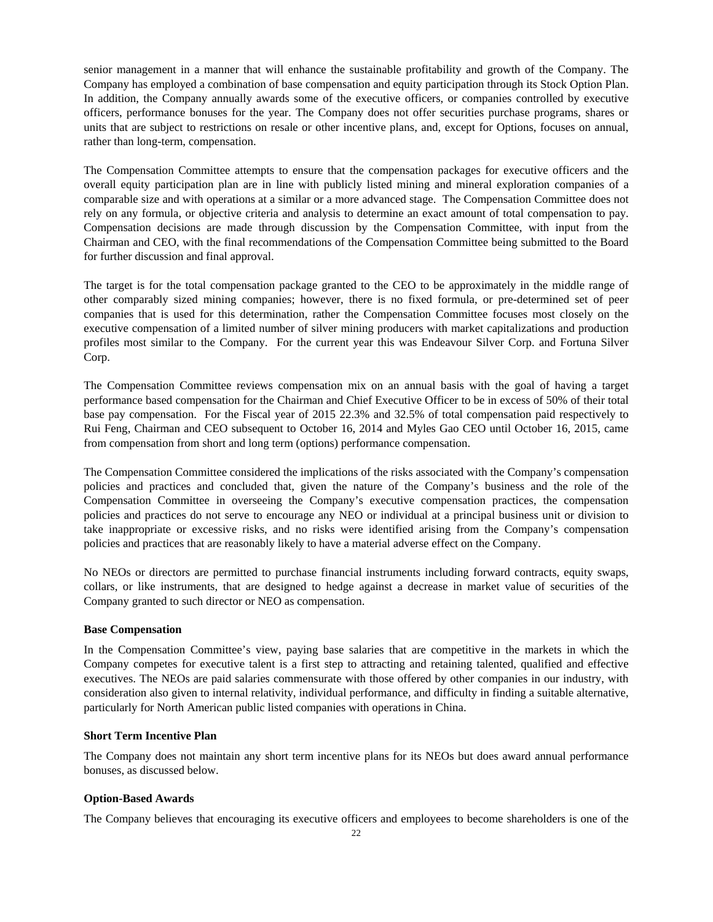senior management in a manner that will enhance the sustainable profitability and growth of the Company. The Company has employed a combination of base compensation and equity participation through its Stock Option Plan. In addition, the Company annually awards some of the executive officers, or companies controlled by executive officers, performance bonuses for the year. The Company does not offer securities purchase programs, shares or units that are subject to restrictions on resale or other incentive plans, and, except for Options, focuses on annual, rather than long-term, compensation.

The Compensation Committee attempts to ensure that the compensation packages for executive officers and the overall equity participation plan are in line with publicly listed mining and mineral exploration companies of a comparable size and with operations at a similar or a more advanced stage. The Compensation Committee does not rely on any formula, or objective criteria and analysis to determine an exact amount of total compensation to pay. Compensation decisions are made through discussion by the Compensation Committee, with input from the Chairman and CEO, with the final recommendations of the Compensation Committee being submitted to the Board for further discussion and final approval.

The target is for the total compensation package granted to the CEO to be approximately in the middle range of other comparably sized mining companies; however, there is no fixed formula, or pre-determined set of peer companies that is used for this determination, rather the Compensation Committee focuses most closely on the executive compensation of a limited number of silver mining producers with market capitalizations and production profiles most similar to the Company. For the current year this was Endeavour Silver Corp. and Fortuna Silver Corp.

The Compensation Committee reviews compensation mix on an annual basis with the goal of having a target performance based compensation for the Chairman and Chief Executive Officer to be in excess of 50% of their total base pay compensation. For the Fiscal year of 2015 22.3% and 32.5% of total compensation paid respectively to Rui Feng, Chairman and CEO subsequent to October 16, 2014 and Myles Gao CEO until October 16, 2015, came from compensation from short and long term (options) performance compensation.

The Compensation Committee considered the implications of the risks associated with the Company's compensation policies and practices and concluded that, given the nature of the Company's business and the role of the Compensation Committee in overseeing the Company's executive compensation practices, the compensation policies and practices do not serve to encourage any NEO or individual at a principal business unit or division to take inappropriate or excessive risks, and no risks were identified arising from the Company's compensation policies and practices that are reasonably likely to have a material adverse effect on the Company.

No NEOs or directors are permitted to purchase financial instruments including forward contracts, equity swaps, collars, or like instruments, that are designed to hedge against a decrease in market value of securities of the Company granted to such director or NEO as compensation.

### **Base Compensation**

In the Compensation Committee's view, paying base salaries that are competitive in the markets in which the Company competes for executive talent is a first step to attracting and retaining talented, qualified and effective executives. The NEOs are paid salaries commensurate with those offered by other companies in our industry, with consideration also given to internal relativity, individual performance, and difficulty in finding a suitable alternative, particularly for North American public listed companies with operations in China.

## **Short Term Incentive Plan**

The Company does not maintain any short term incentive plans for its NEOs but does award annual performance bonuses, as discussed below.

### **Option-Based Awards**

The Company believes that encouraging its executive officers and employees to become shareholders is one of the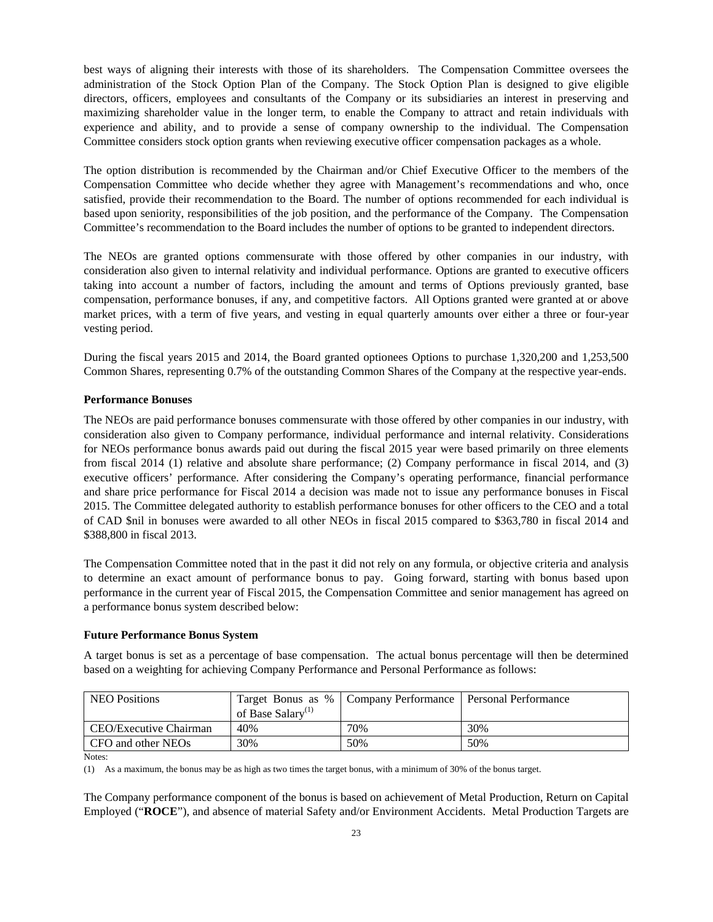best ways of aligning their interests with those of its shareholders. The Compensation Committee oversees the administration of the Stock Option Plan of the Company. The Stock Option Plan is designed to give eligible directors, officers, employees and consultants of the Company or its subsidiaries an interest in preserving and maximizing shareholder value in the longer term, to enable the Company to attract and retain individuals with experience and ability, and to provide a sense of company ownership to the individual. The Compensation Committee considers stock option grants when reviewing executive officer compensation packages as a whole.

The option distribution is recommended by the Chairman and/or Chief Executive Officer to the members of the Compensation Committee who decide whether they agree with Management's recommendations and who, once satisfied, provide their recommendation to the Board. The number of options recommended for each individual is based upon seniority, responsibilities of the job position, and the performance of the Company. The Compensation Committee's recommendation to the Board includes the number of options to be granted to independent directors.

The NEOs are granted options commensurate with those offered by other companies in our industry, with consideration also given to internal relativity and individual performance. Options are granted to executive officers taking into account a number of factors, including the amount and terms of Options previously granted, base compensation, performance bonuses, if any, and competitive factors. All Options granted were granted at or above market prices, with a term of five years, and vesting in equal quarterly amounts over either a three or four-year vesting period.

During the fiscal years 2015 and 2014, the Board granted optionees Options to purchase 1,320,200 and 1,253,500 Common Shares, representing 0.7% of the outstanding Common Shares of the Company at the respective year-ends.

#### **Performance Bonuses**

The NEOs are paid performance bonuses commensurate with those offered by other companies in our industry, with consideration also given to Company performance, individual performance and internal relativity. Considerations for NEOs performance bonus awards paid out during the fiscal 2015 year were based primarily on three elements from fiscal 2014 (1) relative and absolute share performance; (2) Company performance in fiscal 2014, and (3) executive officers' performance. After considering the Company's operating performance, financial performance and share price performance for Fiscal 2014 a decision was made not to issue any performance bonuses in Fiscal 2015. The Committee delegated authority to establish performance bonuses for other officers to the CEO and a total of CAD \$nil in bonuses were awarded to all other NEOs in fiscal 2015 compared to \$363,780 in fiscal 2014 and \$388,800 in fiscal 2013.

The Compensation Committee noted that in the past it did not rely on any formula, or objective criteria and analysis to determine an exact amount of performance bonus to pay. Going forward, starting with bonus based upon performance in the current year of Fiscal 2015, the Compensation Committee and senior management has agreed on a performance bonus system described below:

#### **Future Performance Bonus System**

A target bonus is set as a percentage of base compensation. The actual bonus percentage will then be determined based on a weighting for achieving Company Performance and Personal Performance as follows:

| NEO Positions          |                               | Target Bonus as %   Company Performance   Personal Performance |     |
|------------------------|-------------------------------|----------------------------------------------------------------|-----|
|                        | of Base Salary <sup>(1)</sup> |                                                                |     |
| CEO/Executive Chairman | 40%                           | 70%                                                            | 30% |
| CFO and other NEOs     | 30%                           | 50%                                                            | 50% |

Notes:

(1) As a maximum, the bonus may be as high as two times the target bonus, with a minimum of 30% of the bonus target.

The Company performance component of the bonus is based on achievement of Metal Production, Return on Capital Employed ("**ROCE**"), and absence of material Safety and/or Environment Accidents. Metal Production Targets are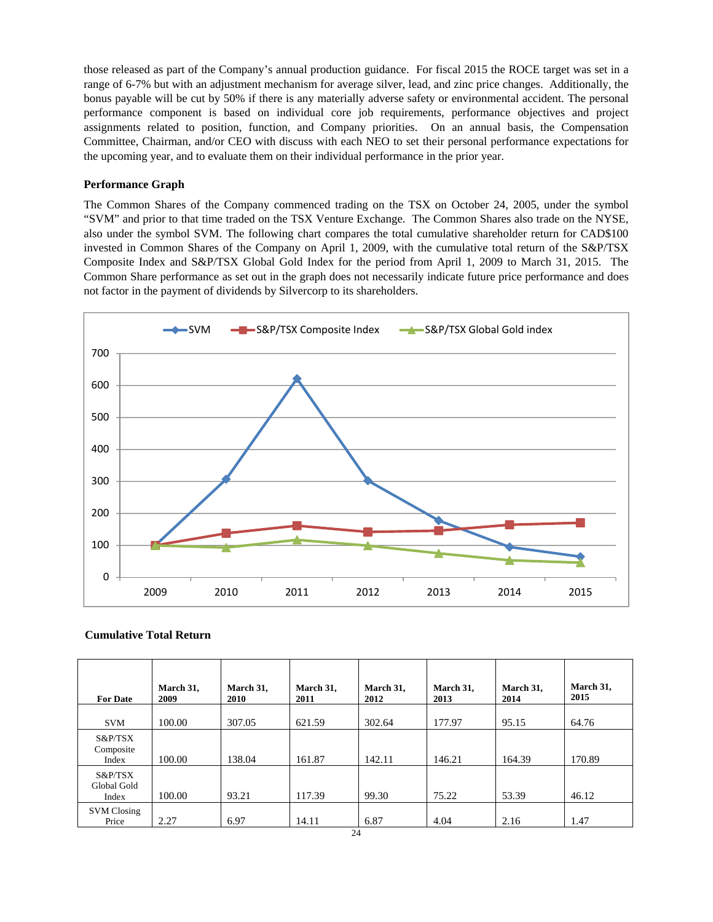those released as part of the Company's annual production guidance. For fiscal 2015 the ROCE target was set in a range of 6-7% but with an adjustment mechanism for average silver, lead, and zinc price changes. Additionally, the bonus payable will be cut by 50% if there is any materially adverse safety or environmental accident. The personal performance component is based on individual core job requirements, performance objectives and project assignments related to position, function, and Company priorities. On an annual basis, the Compensation Committee, Chairman, and/or CEO with discuss with each NEO to set their personal performance expectations for the upcoming year, and to evaluate them on their individual performance in the prior year.

### **Performance Graph**

The Common Shares of the Company commenced trading on the TSX on October 24, 2005, under the symbol "SVM" and prior to that time traded on the TSX Venture Exchange. The Common Shares also trade on the NYSE, also under the symbol SVM. The following chart compares the total cumulative shareholder return for CAD\$100 invested in Common Shares of the Company on April 1, 2009, with the cumulative total return of the S&P/TSX Composite Index and S&P/TSX Global Gold Index for the period from April 1, 2009 to March 31, 2015. The Common Share performance as set out in the graph does not necessarily indicate future price performance and does not factor in the payment of dividends by Silvercorp to its shareholders.



#### **Cumulative Total Return**

| <b>For Date</b>                 | March 31,<br>2009 | March 31,<br><b>2010</b> | March 31,<br>2011 | March 31,<br>2012     | March 31,<br>2013 | March 31,<br>2014 | March 31,<br>2015 |
|---------------------------------|-------------------|--------------------------|-------------------|-----------------------|-------------------|-------------------|-------------------|
| <b>SVM</b>                      | 100.00            | 307.05                   | 621.59            | 302.64                | 177.97            | 95.15             | 64.76             |
| S&P/TSX<br>Composite<br>Index   | 100.00            | 138.04                   | 161.87            | 142.11                | 146.21            | 164.39            | 170.89            |
| S&P/TSX<br>Global Gold<br>Index | 100.00            | 93.21                    | 117.39            | 99.30                 | 75.22             | 53.39             | 46.12             |
| <b>SVM Closing</b><br>Price     | 2.27              | 6.97                     | 14.11             | 6.87<br>$\sim$ $\sim$ | 4.04              | 2.16              | 1.47              |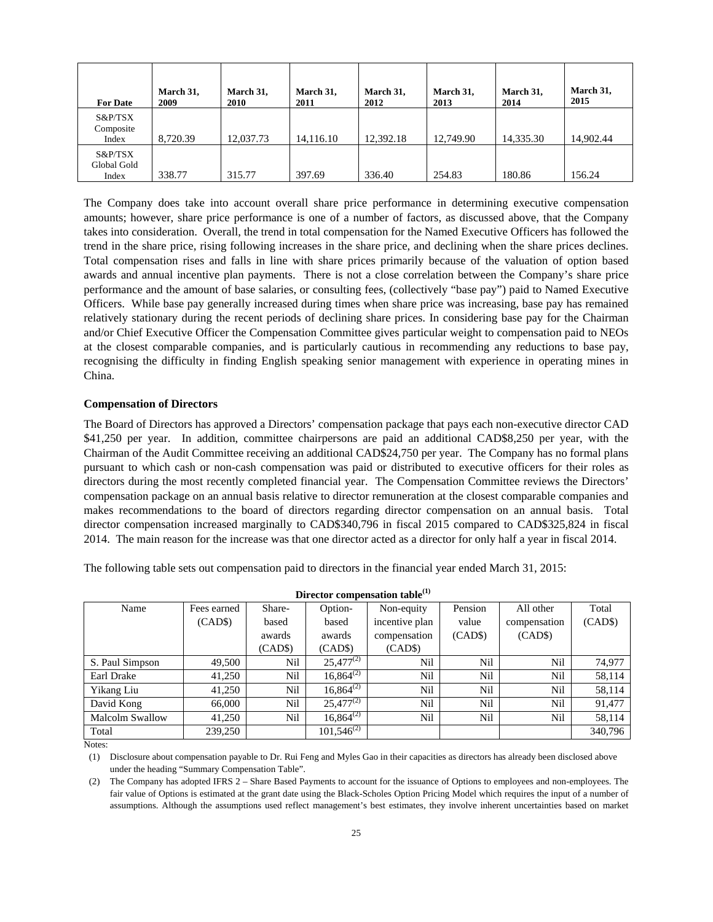| <b>For Date</b>                 | March 31,<br>2009 | March 31,<br><b>2010</b> | March 31,<br>2011 | March 31,<br>2012 | March 31,<br>2013 | March 31,<br>2014 | March 31,<br>2015 |
|---------------------------------|-------------------|--------------------------|-------------------|-------------------|-------------------|-------------------|-------------------|
| S&P/TSX<br>Composite<br>Index   | 8.720.39          | 12.037.73                | 14,116.10         | 12,392.18         | 12,749.90         | 14,335.30         | 14,902.44         |
| S&P/TSX<br>Global Gold<br>Index | 338.77            | 315.77                   | 397.69            | 336.40            | 254.83            | 180.86            | 156.24            |

The Company does take into account overall share price performance in determining executive compensation amounts; however, share price performance is one of a number of factors, as discussed above, that the Company takes into consideration. Overall, the trend in total compensation for the Named Executive Officers has followed the trend in the share price, rising following increases in the share price, and declining when the share prices declines. Total compensation rises and falls in line with share prices primarily because of the valuation of option based awards and annual incentive plan payments. There is not a close correlation between the Company's share price performance and the amount of base salaries, or consulting fees, (collectively "base pay") paid to Named Executive Officers. While base pay generally increased during times when share price was increasing, base pay has remained relatively stationary during the recent periods of declining share prices. In considering base pay for the Chairman and/or Chief Executive Officer the Compensation Committee gives particular weight to compensation paid to NEOs at the closest comparable companies, and is particularly cautious in recommending any reductions to base pay, recognising the difficulty in finding English speaking senior management with experience in operating mines in China.

#### **Compensation of Directors**

The Board of Directors has approved a Directors' compensation package that pays each non-executive director CAD \$41,250 per year. In addition, committee chairpersons are paid an additional CAD\$8,250 per year, with the Chairman of the Audit Committee receiving an additional CAD\$24,750 per year. The Company has no formal plans pursuant to which cash or non-cash compensation was paid or distributed to executive officers for their roles as directors during the most recently completed financial year. The Compensation Committee reviews the Directors' compensation package on an annual basis relative to director remuneration at the closest comparable companies and makes recommendations to the board of directors regarding director compensation on an annual basis. Total director compensation increased marginally to CAD\$340,796 in fiscal 2015 compared to CAD\$325,824 in fiscal 2014. The main reason for the increase was that one director acted as a director for only half a year in fiscal 2014.

The following table sets out compensation paid to directors in the financial year ended March 31, 2015:

| Director compensation table <sup>(1)</sup> |             |         |                 |                |         |              |         |  |
|--------------------------------------------|-------------|---------|-----------------|----------------|---------|--------------|---------|--|
| Name                                       | Fees earned | Share-  | Option-         | Non-equity     | Pension | All other    | Total   |  |
|                                            | (CAD\$)     | based   | based           | incentive plan | value   | compensation | (CAD\$) |  |
|                                            |             | awards  | awards          | compensation   | (CAD\$) | (CAD\$)      |         |  |
|                                            |             | (CAD\$) | (CAD\$)         | (CAD\$)        |         |              |         |  |
| S. Paul Simpson                            | 49,500      | Nil     | $25,477^{(2)}$  | Nil            | Nil     | Nil          | 74,977  |  |
| Earl Drake                                 | 41,250      | Nil     | $16,864^{(2)}$  | Nil            | Nil     | Nil          | 58,114  |  |
| Yikang Liu                                 | 41.250      | Nil     | $16,864^{(2)}$  | Nil            | Nil     | Nil          | 58,114  |  |
| David Kong                                 | 66,000      | Nil     | $25,477^{(2)}$  | Nil            | Nil     | Nil          | 91,477  |  |
| <b>Malcolm Swallow</b>                     | 41,250      | Nil     | $16,864^{(2)}$  | Nil            | Nil     | Nil          | 58,114  |  |
| Total                                      | 239,250     |         | $101,546^{(2)}$ |                |         |              | 340,796 |  |

Notes:

(1) Disclosure about compensation payable to Dr. Rui Feng and Myles Gao in their capacities as directors has already been disclosed above under the heading "Summary Compensation Table".

(2) The Company has adopted IFRS 2 – Share Based Payments to account for the issuance of Options to employees and non-employees. The fair value of Options is estimated at the grant date using the Black-Scholes Option Pricing Model which requires the input of a number of assumptions. Although the assumptions used reflect management's best estimates, they involve inherent uncertainties based on market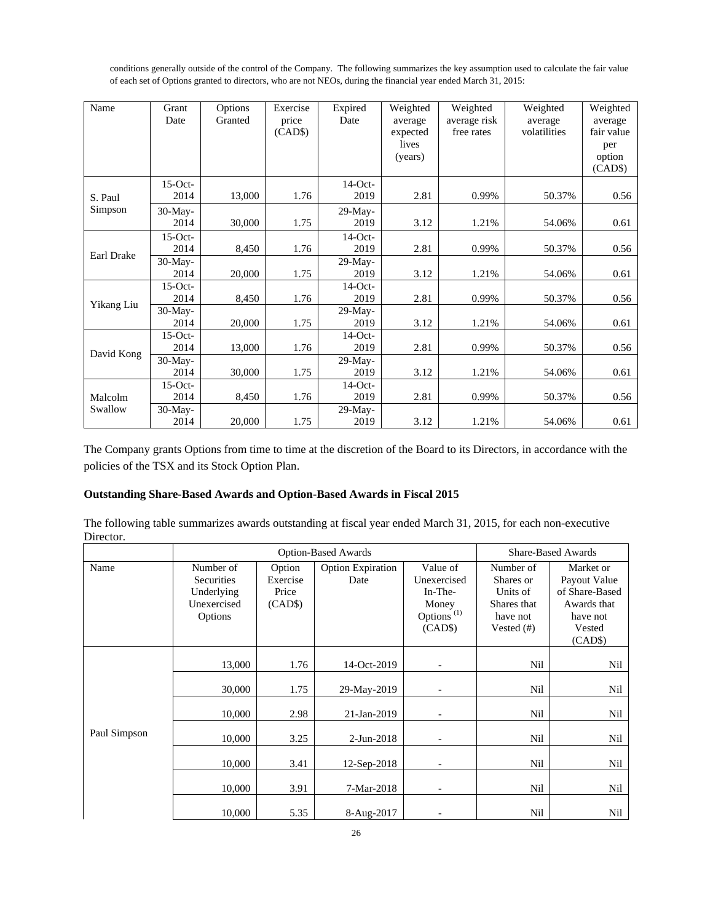conditions generally outside of the control of the Company. The following summarizes the key assumption used to calculate the fair value of each set of Options granted to directors, who are not NEOs, during the financial year ended March 31, 2015:

| Name       | Grant<br>Date      | Options<br>Granted | Exercise<br>price<br>(CAD\$) | Expired<br>Date    | Weighted<br>average<br>expected<br>lives<br>(years) | Weighted<br>average risk<br>free rates | Weighted<br>average<br>volatilities | Weighted<br>average<br>fair value<br>per<br>option<br>(CAD\$) |
|------------|--------------------|--------------------|------------------------------|--------------------|-----------------------------------------------------|----------------------------------------|-------------------------------------|---------------------------------------------------------------|
| S. Paul    | $15$ -Oct-<br>2014 | 13,000             | 1.76                         | $14$ -Oct-<br>2019 | 2.81                                                | 0.99%                                  | 50.37%                              | 0.56                                                          |
| Simpson    | $30-May-$<br>2014  | 30,000             | 1.75                         | $29-May-$<br>2019  | 3.12                                                | 1.21%                                  | 54.06%                              | 0.61                                                          |
| Earl Drake | $15$ -Oct-<br>2014 | 8,450              | 1.76                         | $14$ -Oct-<br>2019 | 2.81                                                | 0.99%                                  | 50.37%                              | 0.56                                                          |
|            | $30-May-$<br>2014  | 20,000             | 1.75                         | $29-May-$<br>2019  | 3.12                                                | 1.21%                                  | 54.06%                              | 0.61                                                          |
| Yikang Liu | $15$ -Oct-<br>2014 | 8,450              | 1.76                         | $14-Oct-$<br>2019  | 2.81                                                | 0.99%                                  | 50.37%                              | 0.56                                                          |
|            | 30-May-<br>2014    | 20,000             | 1.75                         | $29-Mav-$<br>2019  | 3.12                                                | 1.21%                                  | 54.06%                              | 0.61                                                          |
| David Kong | $15$ -Oct-<br>2014 | 13,000             | 1.76                         | $14$ -Oct-<br>2019 | 2.81                                                | 0.99%                                  | 50.37%                              | 0.56                                                          |
|            | $30-Mav-$<br>2014  | 30,000             | 1.75                         | $29-Mav-$<br>2019  | 3.12                                                | 1.21%                                  | 54.06%                              | 0.61                                                          |
| Malcolm    | $15$ -Oct-<br>2014 | 8,450              | 1.76                         | $14$ -Oct-<br>2019 | 2.81                                                | 0.99%                                  | 50.37%                              | 0.56                                                          |
| Swallow    | $30-May-$<br>2014  | 20,000             | 1.75                         | 29-May-<br>2019    | 3.12                                                | 1.21%                                  | 54.06%                              | 0.61                                                          |

The Company grants Options from time to time at the discretion of the Board to its Directors, in accordance with the policies of the TSX and its Stock Option Plan.

# **Outstanding Share-Based Awards and Option-Based Awards in Fiscal 2015**

The following table summarizes awards outstanding at fiscal year ended March 31, 2015, for each non-executive Director.

|              |                                                                 | <b>Option-Based Awards</b>             |                                  | <b>Share-Based Awards</b>                                                        |                                                                                |                                                                                             |
|--------------|-----------------------------------------------------------------|----------------------------------------|----------------------------------|----------------------------------------------------------------------------------|--------------------------------------------------------------------------------|---------------------------------------------------------------------------------------------|
| Name         | Number of<br>Securities<br>Underlying<br>Unexercised<br>Options | Option<br>Exercise<br>Price<br>(CAD\$) | <b>Option Expiration</b><br>Date | Value of<br>Unexercised<br>In-The-<br>Money<br>Options <sup>(1)</sup><br>(CAD\$) | Number of<br>Shares or<br>Units of<br>Shares that<br>have not<br>Vested $(\#)$ | Market or<br>Payout Value<br>of Share-Based<br>Awards that<br>have not<br>Vested<br>(CAD\$) |
|              | 13,000                                                          | 1.76                                   | 14-Oct-2019                      | $\overline{\phantom{a}}$                                                         | Nil                                                                            | Nil                                                                                         |
|              | 30,000                                                          | 1.75                                   | 29-May-2019                      | $\overline{\phantom{a}}$                                                         | Nil                                                                            | Nil                                                                                         |
|              | 10,000                                                          | 2.98                                   | 21-Jan-2019                      |                                                                                  | Nil                                                                            | Nil                                                                                         |
| Paul Simpson | 10,000                                                          | 3.25                                   | 2-Jun-2018                       |                                                                                  | Nil                                                                            | Nil                                                                                         |
|              | 10,000                                                          | 3.41                                   | 12-Sep-2018                      | $\overline{\phantom{a}}$                                                         | Nil                                                                            | Nil                                                                                         |
|              | 10,000                                                          | 3.91                                   | 7-Mar-2018                       | $\overline{\phantom{a}}$                                                         | Nil                                                                            | Nil                                                                                         |
|              | 10,000                                                          | 5.35                                   | 8-Aug-2017                       |                                                                                  | Nil                                                                            | Nil                                                                                         |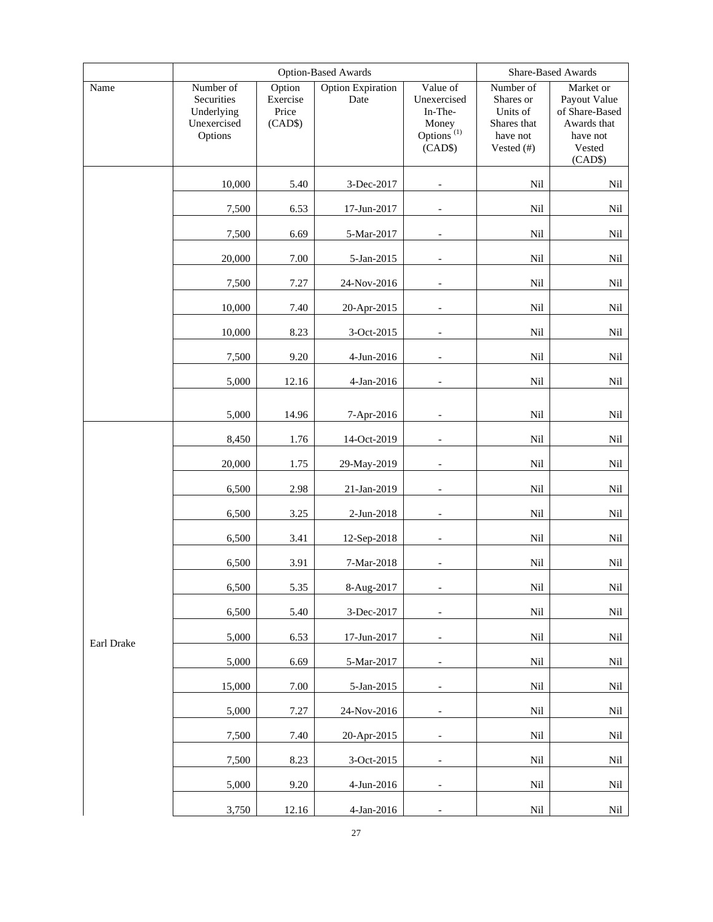|            |                                                                 | <b>Option-Based Awards</b>             |                           |                                                                                               | Share-Based Awards                                                          |                                                                                             |  |
|------------|-----------------------------------------------------------------|----------------------------------------|---------------------------|-----------------------------------------------------------------------------------------------|-----------------------------------------------------------------------------|---------------------------------------------------------------------------------------------|--|
| Name       | Number of<br>Securities<br>Underlying<br>Unexercised<br>Options | Option<br>Exercise<br>Price<br>(CAD\$) | Option Expiration<br>Date | Value of<br>Unexercised<br>In-The-<br>Money<br>Options <sup><math>(1)</math></sup><br>(CAD\$) | Number of<br>Shares or<br>Units of<br>Shares that<br>have not<br>Vested (#) | Market or<br>Payout Value<br>of Share-Based<br>Awards that<br>have not<br>Vested<br>(CAD\$) |  |
|            | 10,000                                                          | 5.40                                   | 3-Dec-2017                | $\overline{\phantom{a}}$                                                                      | Nil                                                                         | Nil                                                                                         |  |
|            | 7,500                                                           | 6.53                                   | 17-Jun-2017               |                                                                                               | Nil                                                                         | Nil                                                                                         |  |
|            | 7,500                                                           | 6.69                                   | 5-Mar-2017                | $\overline{\phantom{a}}$                                                                      | Nil                                                                         | Nil                                                                                         |  |
|            | 20,000                                                          | 7.00                                   | 5-Jan-2015                |                                                                                               | Nil                                                                         | Nil                                                                                         |  |
|            | 7,500                                                           | 7.27                                   | 24-Nov-2016               |                                                                                               | Nil                                                                         | Nil                                                                                         |  |
|            | 10,000                                                          | 7.40                                   | 20-Apr-2015               |                                                                                               | Nil                                                                         | Nil                                                                                         |  |
|            | 10,000                                                          | 8.23                                   | 3-Oct-2015                |                                                                                               | Nil                                                                         | $\rm Nil$                                                                                   |  |
|            | 7,500                                                           | 9.20                                   | 4-Jun-2016                |                                                                                               | Nil                                                                         | Nil                                                                                         |  |
|            | 5,000                                                           | 12.16                                  | 4-Jan-2016                |                                                                                               | Nil                                                                         | $\rm Nil$                                                                                   |  |
|            | 5,000                                                           | 14.96                                  | 7-Apr-2016                | $\overline{\phantom{a}}$                                                                      | Nil                                                                         | Nil                                                                                         |  |
|            | 8,450                                                           | 1.76                                   | 14-Oct-2019               |                                                                                               | Nil                                                                         | Nil                                                                                         |  |
|            | 20,000                                                          | 1.75                                   | 29-May-2019               |                                                                                               | Nil                                                                         | Nil                                                                                         |  |
|            | 6,500                                                           | 2.98                                   | 21-Jan-2019               |                                                                                               | Nil                                                                         | Nil                                                                                         |  |
|            | 6,500                                                           | 3.25                                   | 2-Jun-2018                | $\overline{\phantom{a}}$                                                                      | Nil                                                                         | Nil                                                                                         |  |
|            | 6,500                                                           | 3.41                                   | 12-Sep-2018               |                                                                                               | Nil                                                                         | Nil                                                                                         |  |
|            | 6,500                                                           | 3.91                                   | $7$ -Mar-2018 $\,$        |                                                                                               | Nil                                                                         | Nil                                                                                         |  |
|            | 6,500                                                           | 5.35                                   | 8-Aug-2017                | $\overline{\phantom{a}}$                                                                      | Nil                                                                         | N <sub>1</sub>                                                                              |  |
|            | 6,500                                                           | 5.40                                   | 3-Dec-2017                | $\overline{\phantom{a}}$                                                                      | Nil                                                                         | $\rm Nil$                                                                                   |  |
| Earl Drake | 5,000                                                           | 6.53                                   | 17-Jun-2017               | $\overline{\phantom{a}}$                                                                      | Nil                                                                         | Nil                                                                                         |  |
|            | 5,000                                                           | 6.69                                   | 5-Mar-2017                | $\overline{\phantom{a}}$                                                                      | Nil                                                                         | Nil                                                                                         |  |
|            | 15,000                                                          | 7.00                                   | 5-Jan-2015                | $\overline{\phantom{a}}$                                                                      | Nil                                                                         | Nil                                                                                         |  |
|            | 5,000                                                           | 7.27                                   | 24-Nov-2016               |                                                                                               | Nil                                                                         | Nil                                                                                         |  |
|            | 7,500                                                           | 7.40                                   | 20-Apr-2015               | $\overline{\phantom{a}}$                                                                      | Nil                                                                         | Nil                                                                                         |  |
|            | 7,500                                                           | 8.23                                   | 3-Oct-2015                | $\overline{\phantom{a}}$                                                                      | $\rm Nil$                                                                   | Nil                                                                                         |  |
|            | 5,000                                                           | 9.20                                   | 4-Jun-2016                | $\overline{\phantom{a}}$                                                                      | Nil                                                                         | Nil                                                                                         |  |
|            | 3,750                                                           | 12.16                                  | 4-Jan-2016                |                                                                                               | $\rm{Nil}$                                                                  | Nil                                                                                         |  |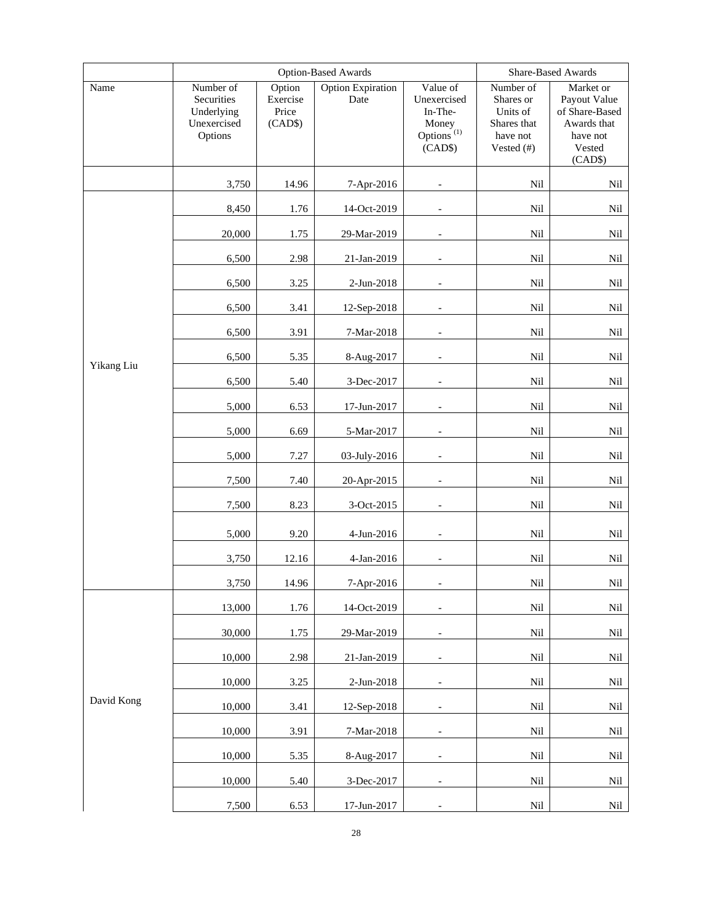|            |                                                                 | Option-Based Awards                    |                                  |                                                                                  | Share-Based Awards                                                          |                                                                                             |
|------------|-----------------------------------------------------------------|----------------------------------------|----------------------------------|----------------------------------------------------------------------------------|-----------------------------------------------------------------------------|---------------------------------------------------------------------------------------------|
| Name       | Number of<br>Securities<br>Underlying<br>Unexercised<br>Options | Option<br>Exercise<br>Price<br>(CAD\$) | <b>Option Expiration</b><br>Date | Value of<br>Unexercised<br>In-The-<br>Money<br>Options <sup>(1)</sup><br>(CAD\$) | Number of<br>Shares or<br>Units of<br>Shares that<br>have not<br>Vested (#) | Market or<br>Payout Value<br>of Share-Based<br>Awards that<br>have not<br>Vested<br>(CAD\$) |
|            | 3,750                                                           | 14.96                                  | 7-Apr-2016                       |                                                                                  | Nil                                                                         | Nil                                                                                         |
|            | 8,450                                                           | 1.76                                   | 14-Oct-2019                      |                                                                                  | Nil                                                                         | Nil                                                                                         |
|            | 20,000                                                          | 1.75                                   | 29-Mar-2019                      |                                                                                  | Nil                                                                         | Nil                                                                                         |
|            | 6,500                                                           | 2.98                                   | 21-Jan-2019                      |                                                                                  | Nil                                                                         | Nil                                                                                         |
|            | 6,500                                                           | 3.25                                   | 2-Jun-2018                       |                                                                                  | Nil                                                                         | Nil                                                                                         |
|            | 6,500                                                           | 3.41                                   | 12-Sep-2018                      |                                                                                  | Nil                                                                         | Nil                                                                                         |
|            | 6,500                                                           | 3.91                                   | 7-Mar-2018                       |                                                                                  | Nil                                                                         | Nil                                                                                         |
| Yikang Liu | 6,500                                                           | 5.35                                   | 8-Aug-2017                       |                                                                                  | Nil                                                                         | Nil                                                                                         |
|            | 6,500                                                           | 5.40                                   | 3-Dec-2017                       |                                                                                  | Nil                                                                         | Nil                                                                                         |
|            | 5,000                                                           | 6.53                                   | 17-Jun-2017                      |                                                                                  | Nil                                                                         | Nil                                                                                         |
|            | 5,000                                                           | 6.69                                   | 5-Mar-2017                       |                                                                                  | Nil                                                                         | Nil                                                                                         |
|            | 5,000                                                           | 7.27                                   | 03-July-2016                     | $\qquad \qquad -$                                                                | Nil                                                                         | Nil                                                                                         |
|            | 7,500                                                           | 7.40                                   | 20-Apr-2015                      |                                                                                  | Nil                                                                         | Nil                                                                                         |
|            | 7,500                                                           | 8.23                                   | 3-Oct-2015                       | $\qquad \qquad -$                                                                | Nil                                                                         | Nil                                                                                         |
|            | 5,000                                                           | 9.20                                   | 4-Jun-2016                       | $\overline{\phantom{a}}$                                                         | Nil                                                                         | Nil                                                                                         |
|            | 3,750                                                           | 12.16                                  | 4-Jan-2016                       |                                                                                  | Nil                                                                         | Nil                                                                                         |
|            | 3,750                                                           | 14.96                                  | 7-Apr-2016                       |                                                                                  | Nil                                                                         | Nil                                                                                         |
|            | 13,000                                                          | 1.76                                   | 14-Oct-2019                      |                                                                                  | Nil                                                                         | Nil                                                                                         |
|            | 30,000                                                          | 1.75                                   | 29-Mar-2019                      |                                                                                  | Nil                                                                         | Nil                                                                                         |
|            | 10,000                                                          | 2.98                                   | 21-Jan-2019                      |                                                                                  | Nil                                                                         | Nil                                                                                         |
|            | 10,000                                                          | 3.25                                   | 2-Jun-2018                       |                                                                                  | Nil                                                                         | Nil                                                                                         |
| David Kong | 10,000                                                          | 3.41                                   | 12-Sep-2018                      | $\overline{\phantom{a}}$                                                         | Nil                                                                         | Nil                                                                                         |
|            | 10,000                                                          | 3.91                                   | 7-Mar-2018                       |                                                                                  | Nil                                                                         | Nil                                                                                         |
|            | 10,000                                                          | 5.35                                   | 8-Aug-2017                       | $\overline{\phantom{a}}$                                                         | Nil                                                                         | Nil                                                                                         |
|            | 10,000                                                          | 5.40                                   | 3-Dec-2017                       |                                                                                  | Nil                                                                         | Nil                                                                                         |
|            | 7,500                                                           | 6.53                                   | 17-Jun-2017                      | $\overline{\phantom{a}}$                                                         | Nil                                                                         | Nil                                                                                         |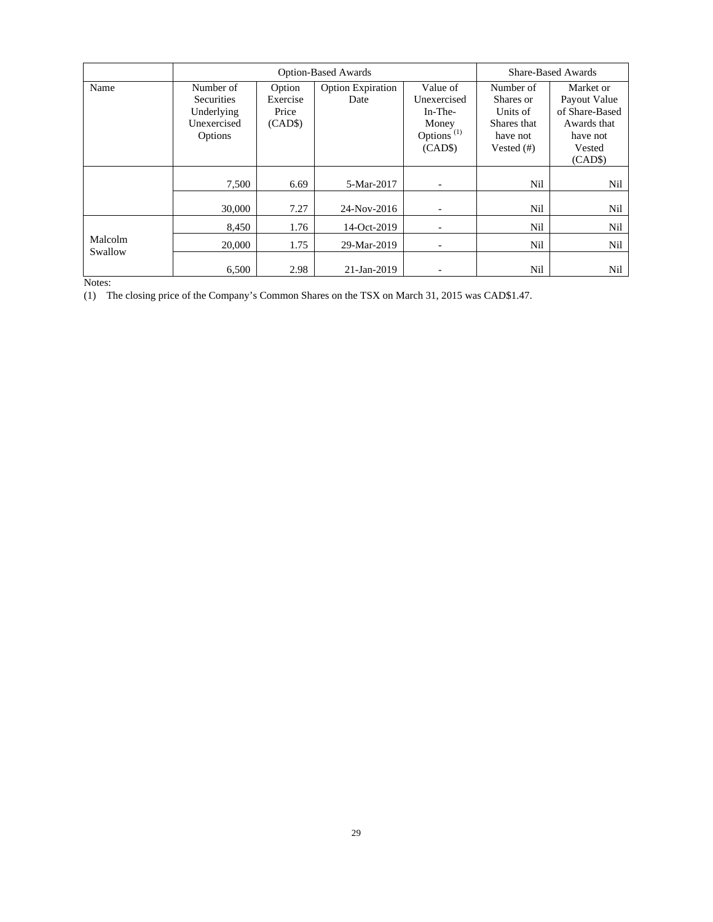|                    |                                | <b>Option-Based Awards</b> |                                  |                                                | <b>Share-Based Awards</b> |                               |
|--------------------|--------------------------------|----------------------------|----------------------------------|------------------------------------------------|---------------------------|-------------------------------|
| Name               | Number of<br><b>Securities</b> | Option<br>Exercise         | <b>Option Expiration</b><br>Date | Value of<br>Unexercised                        | Number of<br>Shares or    | Market or<br>Payout Value     |
|                    | Underlying                     | Price                      |                                  | In-The-                                        | Units of                  | of Share-Based                |
|                    | Unexercised                    | (CAD\$)                    |                                  | Money                                          | Shares that               | Awards that                   |
|                    | Options                        |                            |                                  | Options <sup><math>(1)</math></sup><br>(CAD\$) | have not<br>Vested $(\#)$ | have not<br>Vested<br>(CAD\$) |
|                    | 7,500                          | 6.69                       | 5-Mar-2017                       |                                                | Nil                       | Nil                           |
|                    | 30,000                         | 7.27                       | 24-Nov-2016                      |                                                | Nil                       | Nil                           |
|                    | 8.450                          | 1.76                       | 14-Oct-2019                      |                                                | Nil                       | Nil                           |
| Malcolm<br>Swallow | 20,000                         | 1.75                       | 29-Mar-2019                      |                                                | Nil                       | Nil                           |
|                    | 6.500                          | 2.98                       | 21-Jan-2019                      |                                                | Nil                       | Nil                           |

Notes:

(1) The closing price of the Company's Common Shares on the TSX on March 31, 2015 was CAD\$1.47.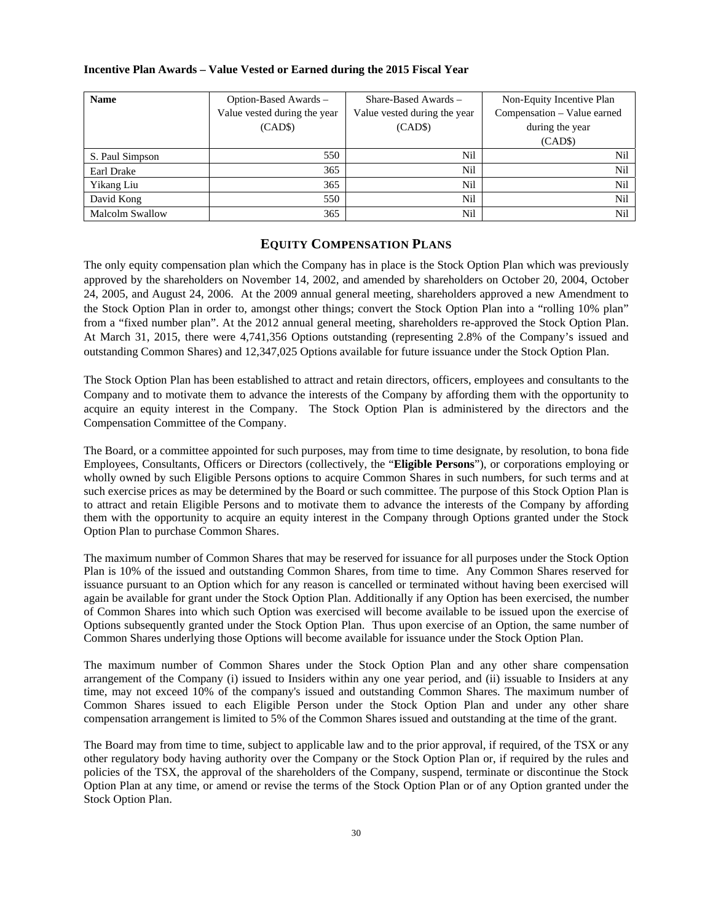## **Incentive Plan Awards – Value Vested or Earned during the 2015 Fiscal Year**

| <b>Name</b>            | Option-Based Awards -        | $Share-Based Awards -$       | Non-Equity Incentive Plan   |
|------------------------|------------------------------|------------------------------|-----------------------------|
|                        | Value vested during the year | Value vested during the year | Compensation - Value earned |
|                        | (CAD\$)                      | (CAD\$)                      | during the year             |
|                        |                              |                              | (CAD\$)                     |
| S. Paul Simpson        | 550                          | Nil                          | Nil                         |
| Earl Drake             | 365                          | Nil                          | Nil                         |
| Yikang Liu             | 365                          | Nil                          | Nil                         |
| David Kong             | 550                          | Nil                          | Nil                         |
| <b>Malcolm Swallow</b> | 365                          | Nil                          | Nil                         |

# **EQUITY COMPENSATION PLANS**

The only equity compensation plan which the Company has in place is the Stock Option Plan which was previously approved by the shareholders on November 14, 2002, and amended by shareholders on October 20, 2004, October 24, 2005, and August 24, 2006. At the 2009 annual general meeting, shareholders approved a new Amendment to the Stock Option Plan in order to, amongst other things; convert the Stock Option Plan into a "rolling 10% plan" from a "fixed number plan". At the 2012 annual general meeting, shareholders re-approved the Stock Option Plan. At March 31, 2015, there were 4,741,356 Options outstanding (representing 2.8% of the Company's issued and outstanding Common Shares) and 12,347,025 Options available for future issuance under the Stock Option Plan.

The Stock Option Plan has been established to attract and retain directors, officers, employees and consultants to the Company and to motivate them to advance the interests of the Company by affording them with the opportunity to acquire an equity interest in the Company. The Stock Option Plan is administered by the directors and the Compensation Committee of the Company.

The Board, or a committee appointed for such purposes, may from time to time designate, by resolution, to bona fide Employees, Consultants, Officers or Directors (collectively, the "**Eligible Persons**"), or corporations employing or wholly owned by such Eligible Persons options to acquire Common Shares in such numbers, for such terms and at such exercise prices as may be determined by the Board or such committee. The purpose of this Stock Option Plan is to attract and retain Eligible Persons and to motivate them to advance the interests of the Company by affording them with the opportunity to acquire an equity interest in the Company through Options granted under the Stock Option Plan to purchase Common Shares.

The maximum number of Common Shares that may be reserved for issuance for all purposes under the Stock Option Plan is 10% of the issued and outstanding Common Shares, from time to time. Any Common Shares reserved for issuance pursuant to an Option which for any reason is cancelled or terminated without having been exercised will again be available for grant under the Stock Option Plan. Additionally if any Option has been exercised, the number of Common Shares into which such Option was exercised will become available to be issued upon the exercise of Options subsequently granted under the Stock Option Plan. Thus upon exercise of an Option, the same number of Common Shares underlying those Options will become available for issuance under the Stock Option Plan.

The maximum number of Common Shares under the Stock Option Plan and any other share compensation arrangement of the Company (i) issued to Insiders within any one year period, and (ii) issuable to Insiders at any time, may not exceed 10% of the company's issued and outstanding Common Shares. The maximum number of Common Shares issued to each Eligible Person under the Stock Option Plan and under any other share compensation arrangement is limited to 5% of the Common Shares issued and outstanding at the time of the grant.

The Board may from time to time, subject to applicable law and to the prior approval, if required, of the TSX or any other regulatory body having authority over the Company or the Stock Option Plan or, if required by the rules and policies of the TSX, the approval of the shareholders of the Company, suspend, terminate or discontinue the Stock Option Plan at any time, or amend or revise the terms of the Stock Option Plan or of any Option granted under the Stock Option Plan.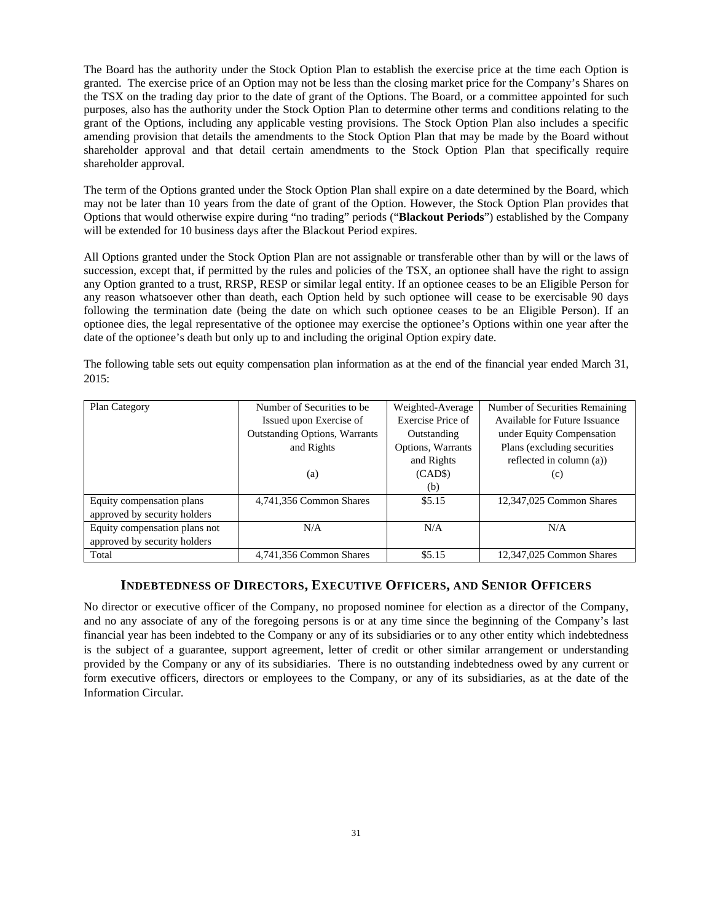The Board has the authority under the Stock Option Plan to establish the exercise price at the time each Option is granted. The exercise price of an Option may not be less than the closing market price for the Company's Shares on the TSX on the trading day prior to the date of grant of the Options. The Board, or a committee appointed for such purposes, also has the authority under the Stock Option Plan to determine other terms and conditions relating to the grant of the Options, including any applicable vesting provisions. The Stock Option Plan also includes a specific amending provision that details the amendments to the Stock Option Plan that may be made by the Board without shareholder approval and that detail certain amendments to the Stock Option Plan that specifically require shareholder approval.

The term of the Options granted under the Stock Option Plan shall expire on a date determined by the Board, which may not be later than 10 years from the date of grant of the Option. However, the Stock Option Plan provides that Options that would otherwise expire during "no trading" periods ("**Blackout Periods**") established by the Company will be extended for 10 business days after the Blackout Period expires.

All Options granted under the Stock Option Plan are not assignable or transferable other than by will or the laws of succession, except that, if permitted by the rules and policies of the TSX, an optionee shall have the right to assign any Option granted to a trust, RRSP, RESP or similar legal entity. If an optionee ceases to be an Eligible Person for any reason whatsoever other than death, each Option held by such optionee will cease to be exercisable 90 days following the termination date (being the date on which such optionee ceases to be an Eligible Person). If an optionee dies, the legal representative of the optionee may exercise the optionee's Options within one year after the date of the optionee's death but only up to and including the original Option expiry date.

The following table sets out equity compensation plan information as at the end of the financial year ended March 31, 2015:

| Plan Category                 | Number of Securities to be.          | Weighted-Average  | Number of Securities Remaining |
|-------------------------------|--------------------------------------|-------------------|--------------------------------|
|                               | Issued upon Exercise of              | Exercise Price of | Available for Future Issuance  |
|                               | <b>Outstanding Options, Warrants</b> | Outstanding       | under Equity Compensation      |
|                               | and Rights                           | Options, Warrants | Plans (excluding securities    |
|                               |                                      | and Rights        | reflected in column (a))       |
|                               | (a)                                  | (CAD\$)           | (c)                            |
|                               |                                      | (b)               |                                |
| Equity compensation plans     | 4,741,356 Common Shares              | \$5.15            | 12,347,025 Common Shares       |
| approved by security holders  |                                      |                   |                                |
| Equity compensation plans not | N/A                                  | N/A               | N/A                            |
| approved by security holders  |                                      |                   |                                |
| Total                         | 4,741,356 Common Shares              | \$5.15            | 12,347,025 Common Shares       |

# **INDEBTEDNESS OF DIRECTORS, EXECUTIVE OFFICERS, AND SENIOR OFFICERS**

No director or executive officer of the Company, no proposed nominee for election as a director of the Company, and no any associate of any of the foregoing persons is or at any time since the beginning of the Company's last financial year has been indebted to the Company or any of its subsidiaries or to any other entity which indebtedness is the subject of a guarantee, support agreement, letter of credit or other similar arrangement or understanding provided by the Company or any of its subsidiaries. There is no outstanding indebtedness owed by any current or form executive officers, directors or employees to the Company, or any of its subsidiaries, as at the date of the Information Circular.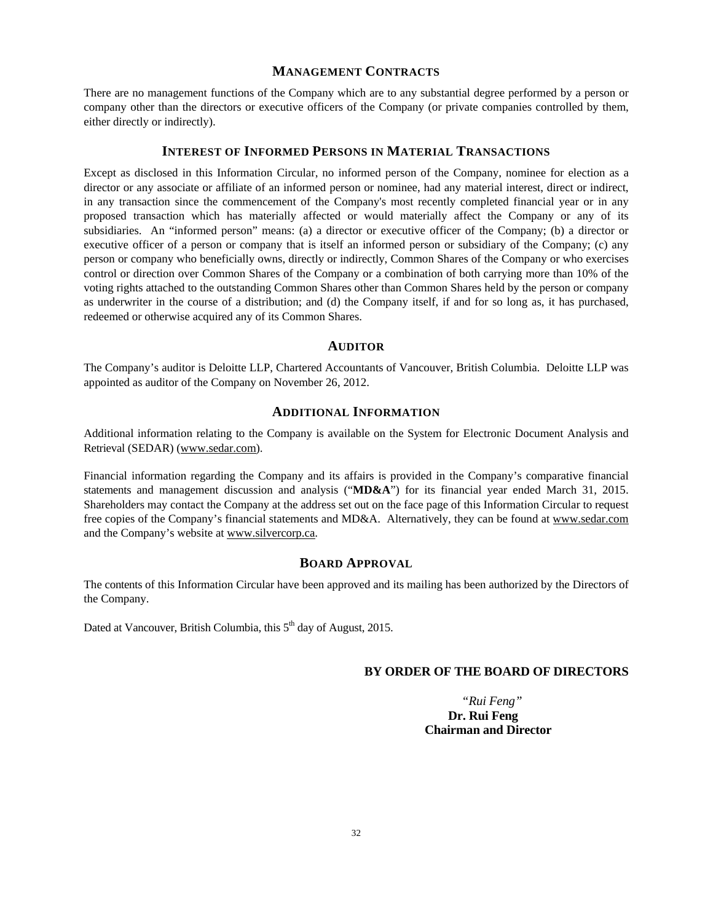# **MANAGEMENT CONTRACTS**

There are no management functions of the Company which are to any substantial degree performed by a person or company other than the directors or executive officers of the Company (or private companies controlled by them, either directly or indirectly).

#### **INTEREST OF INFORMED PERSONS IN MATERIAL TRANSACTIONS**

Except as disclosed in this Information Circular, no informed person of the Company, nominee for election as a director or any associate or affiliate of an informed person or nominee, had any material interest, direct or indirect, in any transaction since the commencement of the Company's most recently completed financial year or in any proposed transaction which has materially affected or would materially affect the Company or any of its subsidiaries. An "informed person" means: (a) a director or executive officer of the Company; (b) a director or executive officer of a person or company that is itself an informed person or subsidiary of the Company; (c) any person or company who beneficially owns, directly or indirectly, Common Shares of the Company or who exercises control or direction over Common Shares of the Company or a combination of both carrying more than 10% of the voting rights attached to the outstanding Common Shares other than Common Shares held by the person or company as underwriter in the course of a distribution; and (d) the Company itself, if and for so long as, it has purchased, redeemed or otherwise acquired any of its Common Shares.

#### **AUDITOR**

The Company's auditor is Deloitte LLP, Chartered Accountants of Vancouver, British Columbia. Deloitte LLP was appointed as auditor of the Company on November 26, 2012.

## **ADDITIONAL INFORMATION**

Additional information relating to the Company is available on the System for Electronic Document Analysis and Retrieval (SEDAR) (www.sedar.com).

Financial information regarding the Company and its affairs is provided in the Company's comparative financial statements and management discussion and analysis ("**MD&A**") for its financial year ended March 31, 2015. Shareholders may contact the Company at the address set out on the face page of this Information Circular to request free copies of the Company's financial statements and MD&A. Alternatively, they can be found at www.sedar.com and the Company's website at www.silvercorp.ca.

# **BOARD APPROVAL**

The contents of this Information Circular have been approved and its mailing has been authorized by the Directors of the Company.

Dated at Vancouver, British Columbia, this 5<sup>th</sup> day of August, 2015.

# **BY ORDER OF THE BOARD OF DIRECTORS**

 *"Rui Feng"*  **Dr. Rui Feng Chairman and Director**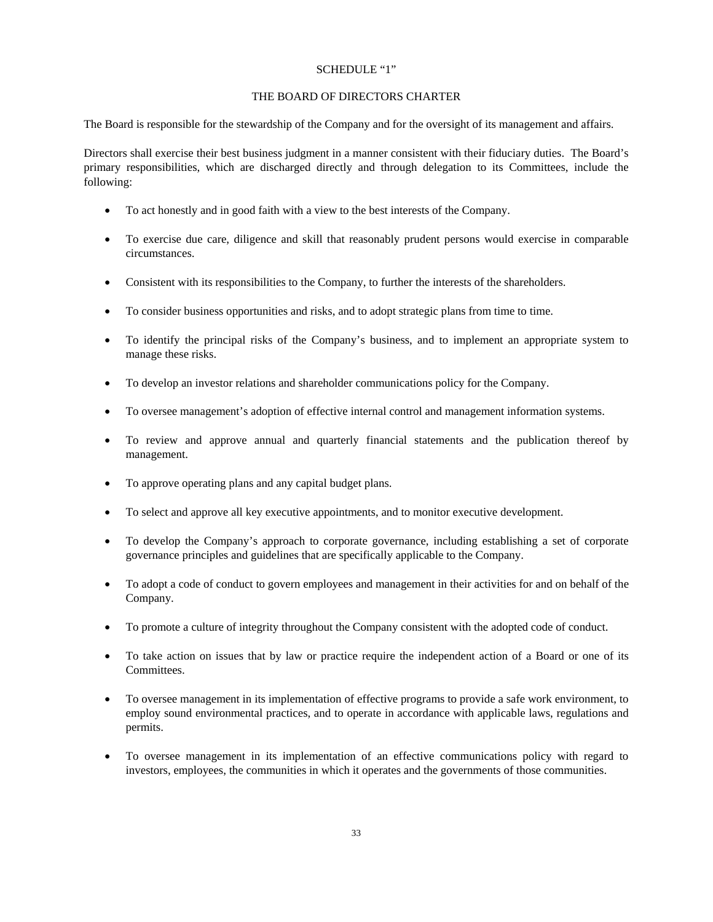### SCHEDULE "1"

## THE BOARD OF DIRECTORS CHARTER

The Board is responsible for the stewardship of the Company and for the oversight of its management and affairs.

Directors shall exercise their best business judgment in a manner consistent with their fiduciary duties. The Board's primary responsibilities, which are discharged directly and through delegation to its Committees, include the following:

- To act honestly and in good faith with a view to the best interests of the Company.
- To exercise due care, diligence and skill that reasonably prudent persons would exercise in comparable circumstances.
- Consistent with its responsibilities to the Company, to further the interests of the shareholders.
- To consider business opportunities and risks, and to adopt strategic plans from time to time.
- To identify the principal risks of the Company's business, and to implement an appropriate system to manage these risks.
- To develop an investor relations and shareholder communications policy for the Company.
- To oversee management's adoption of effective internal control and management information systems.
- To review and approve annual and quarterly financial statements and the publication thereof by management.
- To approve operating plans and any capital budget plans.
- To select and approve all key executive appointments, and to monitor executive development.
- To develop the Company's approach to corporate governance, including establishing a set of corporate governance principles and guidelines that are specifically applicable to the Company.
- To adopt a code of conduct to govern employees and management in their activities for and on behalf of the Company.
- To promote a culture of integrity throughout the Company consistent with the adopted code of conduct.
- To take action on issues that by law or practice require the independent action of a Board or one of its Committees.
- To oversee management in its implementation of effective programs to provide a safe work environment, to employ sound environmental practices, and to operate in accordance with applicable laws, regulations and permits.
- To oversee management in its implementation of an effective communications policy with regard to investors, employees, the communities in which it operates and the governments of those communities.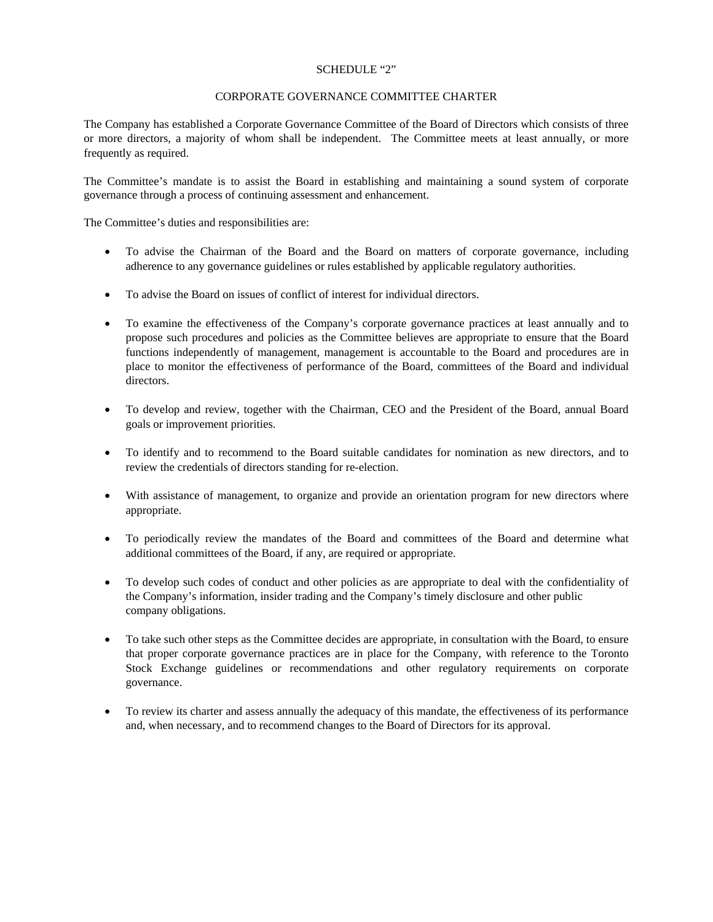## SCHEDULE "2"

## CORPORATE GOVERNANCE COMMITTEE CHARTER

The Company has established a Corporate Governance Committee of the Board of Directors which consists of three or more directors, a majority of whom shall be independent. The Committee meets at least annually, or more frequently as required.

The Committee's mandate is to assist the Board in establishing and maintaining a sound system of corporate governance through a process of continuing assessment and enhancement.

The Committee's duties and responsibilities are:

- To advise the Chairman of the Board and the Board on matters of corporate governance, including adherence to any governance guidelines or rules established by applicable regulatory authorities.
- To advise the Board on issues of conflict of interest for individual directors.
- To examine the effectiveness of the Company's corporate governance practices at least annually and to propose such procedures and policies as the Committee believes are appropriate to ensure that the Board functions independently of management, management is accountable to the Board and procedures are in place to monitor the effectiveness of performance of the Board, committees of the Board and individual directors.
- To develop and review, together with the Chairman, CEO and the President of the Board, annual Board goals or improvement priorities.
- To identify and to recommend to the Board suitable candidates for nomination as new directors, and to review the credentials of directors standing for re-election.
- With assistance of management, to organize and provide an orientation program for new directors where appropriate.
- To periodically review the mandates of the Board and committees of the Board and determine what additional committees of the Board, if any, are required or appropriate.
- To develop such codes of conduct and other policies as are appropriate to deal with the confidentiality of the Company's information, insider trading and the Company's timely disclosure and other public company obligations.
- To take such other steps as the Committee decides are appropriate, in consultation with the Board, to ensure that proper corporate governance practices are in place for the Company, with reference to the Toronto Stock Exchange guidelines or recommendations and other regulatory requirements on corporate governance.
- To review its charter and assess annually the adequacy of this mandate, the effectiveness of its performance and, when necessary, and to recommend changes to the Board of Directors for its approval.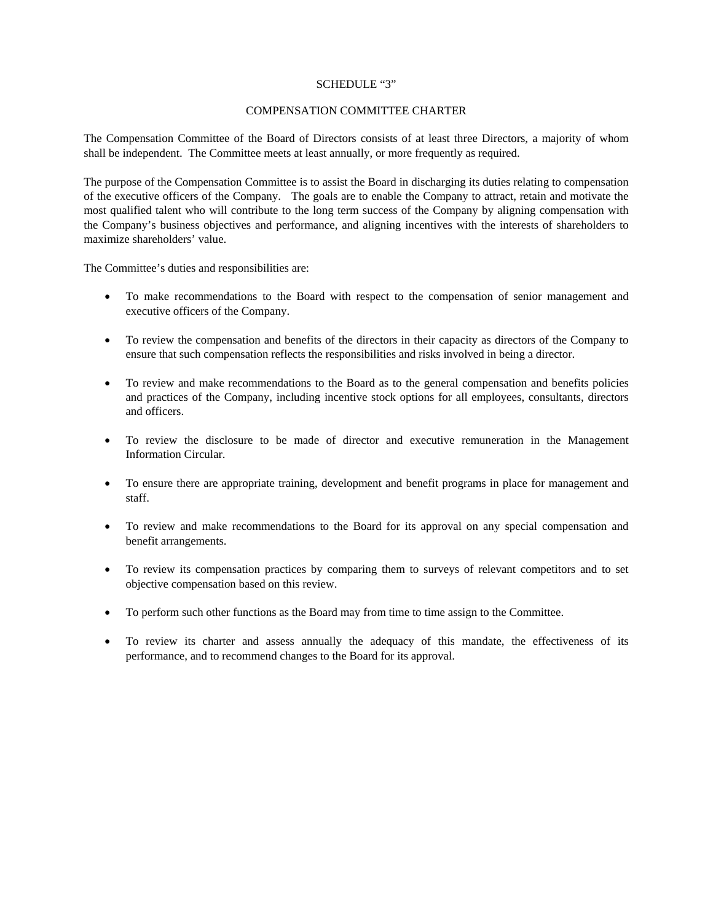## SCHEDULE "3"

## COMPENSATION COMMITTEE CHARTER

The Compensation Committee of the Board of Directors consists of at least three Directors, a majority of whom shall be independent. The Committee meets at least annually, or more frequently as required.

The purpose of the Compensation Committee is to assist the Board in discharging its duties relating to compensation of the executive officers of the Company. The goals are to enable the Company to attract, retain and motivate the most qualified talent who will contribute to the long term success of the Company by aligning compensation with the Company's business objectives and performance, and aligning incentives with the interests of shareholders to maximize shareholders' value.

The Committee's duties and responsibilities are:

- To make recommendations to the Board with respect to the compensation of senior management and executive officers of the Company.
- To review the compensation and benefits of the directors in their capacity as directors of the Company to ensure that such compensation reflects the responsibilities and risks involved in being a director.
- To review and make recommendations to the Board as to the general compensation and benefits policies and practices of the Company, including incentive stock options for all employees, consultants, directors and officers.
- To review the disclosure to be made of director and executive remuneration in the Management Information Circular.
- To ensure there are appropriate training, development and benefit programs in place for management and staff.
- To review and make recommendations to the Board for its approval on any special compensation and benefit arrangements.
- To review its compensation practices by comparing them to surveys of relevant competitors and to set objective compensation based on this review.
- To perform such other functions as the Board may from time to time assign to the Committee.
- To review its charter and assess annually the adequacy of this mandate, the effectiveness of its performance, and to recommend changes to the Board for its approval.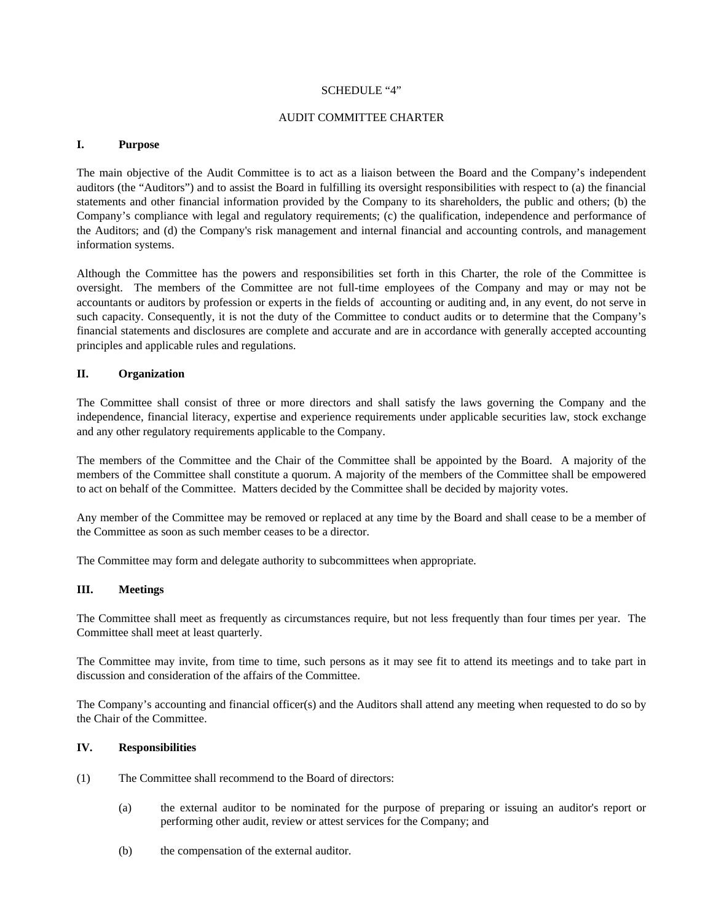### SCHEDULE "4"

### AUDIT COMMITTEE CHARTER

### **I. Purpose**

The main objective of the Audit Committee is to act as a liaison between the Board and the Company's independent auditors (the "Auditors") and to assist the Board in fulfilling its oversight responsibilities with respect to (a) the financial statements and other financial information provided by the Company to its shareholders, the public and others; (b) the Company's compliance with legal and regulatory requirements; (c) the qualification, independence and performance of the Auditors; and (d) the Company's risk management and internal financial and accounting controls, and management information systems.

Although the Committee has the powers and responsibilities set forth in this Charter, the role of the Committee is oversight. The members of the Committee are not full-time employees of the Company and may or may not be accountants or auditors by profession or experts in the fields of accounting or auditing and, in any event, do not serve in such capacity. Consequently, it is not the duty of the Committee to conduct audits or to determine that the Company's financial statements and disclosures are complete and accurate and are in accordance with generally accepted accounting principles and applicable rules and regulations.

## **II. Organization**

The Committee shall consist of three or more directors and shall satisfy the laws governing the Company and the independence, financial literacy, expertise and experience requirements under applicable securities law, stock exchange and any other regulatory requirements applicable to the Company.

The members of the Committee and the Chair of the Committee shall be appointed by the Board. A majority of the members of the Committee shall constitute a quorum. A majority of the members of the Committee shall be empowered to act on behalf of the Committee. Matters decided by the Committee shall be decided by majority votes.

Any member of the Committee may be removed or replaced at any time by the Board and shall cease to be a member of the Committee as soon as such member ceases to be a director.

The Committee may form and delegate authority to subcommittees when appropriate.

## **III. Meetings**

The Committee shall meet as frequently as circumstances require, but not less frequently than four times per year. The Committee shall meet at least quarterly.

The Committee may invite, from time to time, such persons as it may see fit to attend its meetings and to take part in discussion and consideration of the affairs of the Committee.

The Company's accounting and financial officer(s) and the Auditors shall attend any meeting when requested to do so by the Chair of the Committee.

#### **IV. Responsibilities**

- (1) The Committee shall recommend to the Board of directors:
	- (a) the external auditor to be nominated for the purpose of preparing or issuing an auditor's report or performing other audit, review or attest services for the Company; and
	- (b) the compensation of the external auditor.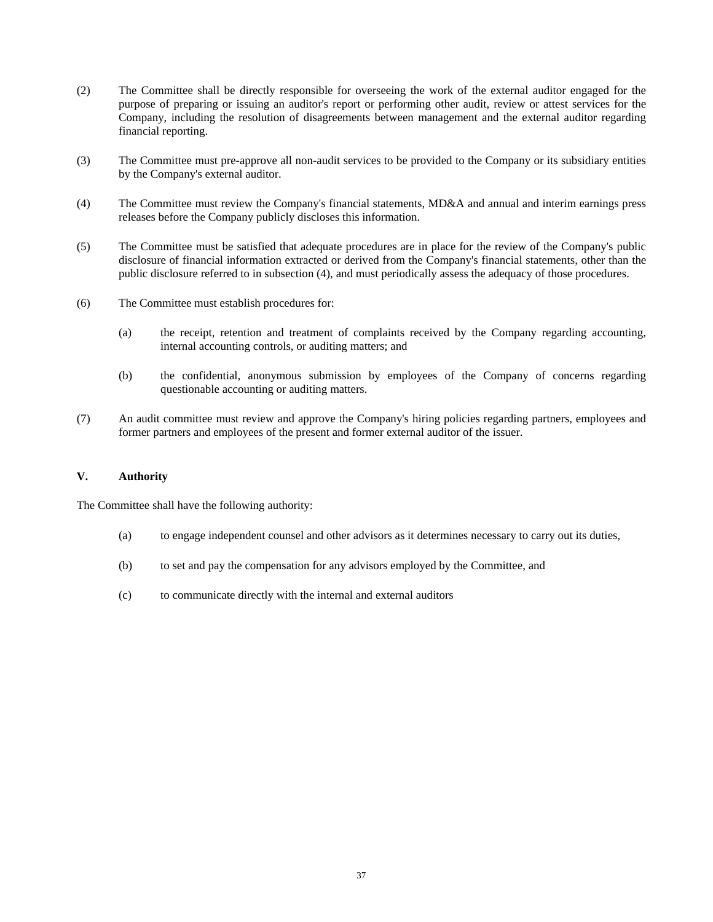- (2) The Committee shall be directly responsible for overseeing the work of the external auditor engaged for the purpose of preparing or issuing an auditor's report or performing other audit, review or attest services for the Company, including the resolution of disagreements between management and the external auditor regarding financial reporting.
- (3) The Committee must pre-approve all non-audit services to be provided to the Company or its subsidiary entities by the Company's external auditor.
- (4) The Committee must review the Company's financial statements, MD&A and annual and interim earnings press releases before the Company publicly discloses this information.
- (5) The Committee must be satisfied that adequate procedures are in place for the review of the Company's public disclosure of financial information extracted or derived from the Company's financial statements, other than the public disclosure referred to in subsection (4), and must periodically assess the adequacy of those procedures.
- (6) The Committee must establish procedures for:
	- (a) the receipt, retention and treatment of complaints received by the Company regarding accounting, internal accounting controls, or auditing matters; and
	- (b) the confidential, anonymous submission by employees of the Company of concerns regarding questionable accounting or auditing matters.
- (7) An audit committee must review and approve the Company's hiring policies regarding partners, employees and former partners and employees of the present and former external auditor of the issuer.

### **V. Authority**

The Committee shall have the following authority:

- (a) to engage independent counsel and other advisors as it determines necessary to carry out its duties,
- (b) to set and pay the compensation for any advisors employed by the Committee, and
- (c) to communicate directly with the internal and external auditors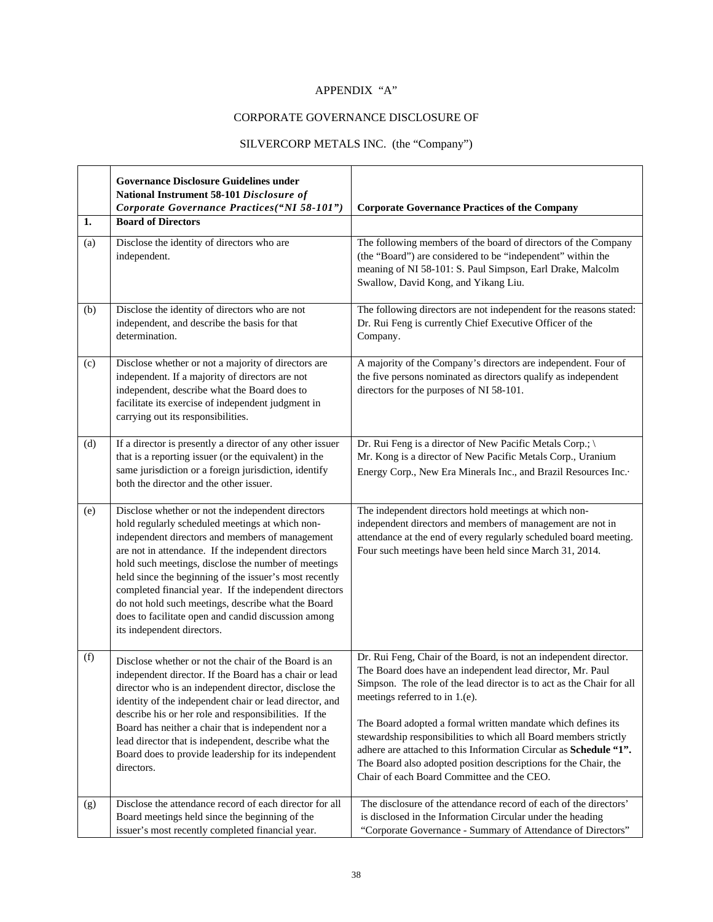# APPENDIX "A"

# CORPORATE GOVERNANCE DISCLOSURE OF

# SILVERCORP METALS INC. (the "Company")

|     | <b>Governance Disclosure Guidelines under</b><br>National Instrument 58-101 Disclosure of<br>Corporate Governance Practices("NI 58-101")                                                                                                                                                                                                                                                                                                                                                                                             | <b>Corporate Governance Practices of the Company</b>                                                                                                                                                                                                                                                                                                                                                                                                                                                                                                                 |
|-----|--------------------------------------------------------------------------------------------------------------------------------------------------------------------------------------------------------------------------------------------------------------------------------------------------------------------------------------------------------------------------------------------------------------------------------------------------------------------------------------------------------------------------------------|----------------------------------------------------------------------------------------------------------------------------------------------------------------------------------------------------------------------------------------------------------------------------------------------------------------------------------------------------------------------------------------------------------------------------------------------------------------------------------------------------------------------------------------------------------------------|
| 1.  | <b>Board of Directors</b>                                                                                                                                                                                                                                                                                                                                                                                                                                                                                                            |                                                                                                                                                                                                                                                                                                                                                                                                                                                                                                                                                                      |
| (a) | Disclose the identity of directors who are<br>independent.                                                                                                                                                                                                                                                                                                                                                                                                                                                                           | The following members of the board of directors of the Company<br>(the "Board") are considered to be "independent" within the<br>meaning of NI 58-101: S. Paul Simpson, Earl Drake, Malcolm<br>Swallow, David Kong, and Yikang Liu.                                                                                                                                                                                                                                                                                                                                  |
| (b) | Disclose the identity of directors who are not<br>independent, and describe the basis for that<br>determination.                                                                                                                                                                                                                                                                                                                                                                                                                     | The following directors are not independent for the reasons stated:<br>Dr. Rui Feng is currently Chief Executive Officer of the<br>Company.                                                                                                                                                                                                                                                                                                                                                                                                                          |
| (c) | Disclose whether or not a majority of directors are<br>independent. If a majority of directors are not<br>independent, describe what the Board does to<br>facilitate its exercise of independent judgment in<br>carrying out its responsibilities.                                                                                                                                                                                                                                                                                   | A majority of the Company's directors are independent. Four of<br>the five persons nominated as directors qualify as independent<br>directors for the purposes of NI 58-101.                                                                                                                                                                                                                                                                                                                                                                                         |
| (d) | If a director is presently a director of any other issuer<br>that is a reporting issuer (or the equivalent) in the<br>same jurisdiction or a foreign jurisdiction, identify<br>both the director and the other issuer.                                                                                                                                                                                                                                                                                                               | Dr. Rui Feng is a director of New Pacific Metals Corp.; \<br>Mr. Kong is a director of New Pacific Metals Corp., Uranium<br>Energy Corp., New Era Minerals Inc., and Brazil Resources Inc.                                                                                                                                                                                                                                                                                                                                                                           |
| (e) | Disclose whether or not the independent directors<br>hold regularly scheduled meetings at which non-<br>independent directors and members of management<br>are not in attendance. If the independent directors<br>hold such meetings, disclose the number of meetings<br>held since the beginning of the issuer's most recently<br>completed financial year. If the independent directors<br>do not hold such meetings, describe what the Board<br>does to facilitate open and candid discussion among<br>its independent directors. | The independent directors hold meetings at which non-<br>independent directors and members of management are not in<br>attendance at the end of every regularly scheduled board meeting.<br>Four such meetings have been held since March 31, 2014.                                                                                                                                                                                                                                                                                                                  |
| (f) | Disclose whether or not the chair of the Board is an<br>independent director. If the Board has a chair or lead<br>director who is an independent director, disclose the<br>identity of the independent chair or lead director, and<br>describe his or her role and responsibilities. If the<br>Board has neither a chair that is independent nor a<br>lead director that is independent, describe what the<br>Board does to provide leadership for its independent<br>directors.                                                     | Dr. Rui Feng, Chair of the Board, is not an independent director.<br>The Board does have an independent lead director, Mr. Paul<br>Simpson. The role of the lead director is to act as the Chair for all<br>meetings referred to in 1.(e).<br>The Board adopted a formal written mandate which defines its<br>stewardship responsibilities to which all Board members strictly<br>adhere are attached to this Information Circular as Schedule "1".<br>The Board also adopted position descriptions for the Chair, the<br>Chair of each Board Committee and the CEO. |
| (g) | Disclose the attendance record of each director for all<br>Board meetings held since the beginning of the<br>issuer's most recently completed financial year.                                                                                                                                                                                                                                                                                                                                                                        | The disclosure of the attendance record of each of the directors'<br>is disclosed in the Information Circular under the heading<br>"Corporate Governance - Summary of Attendance of Directors"                                                                                                                                                                                                                                                                                                                                                                       |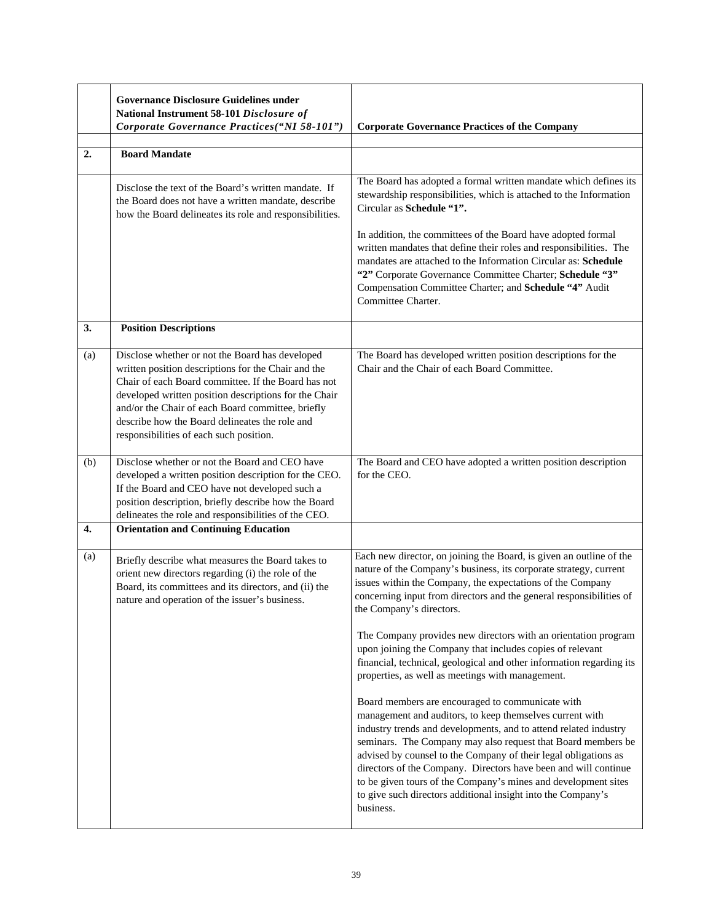|     | <b>Governance Disclosure Guidelines under</b><br>National Instrument 58-101 Disclosure of<br>Corporate Governance Practices("NI 58-101")                                                                                                                                                                                                                                 | <b>Corporate Governance Practices of the Company</b>                                                                                                                                                                                                                                                                                                                                                                                                                                                                                                                                                                                                                                                                                                                                                                                                                                                                                                                                                                                                                                                          |
|-----|--------------------------------------------------------------------------------------------------------------------------------------------------------------------------------------------------------------------------------------------------------------------------------------------------------------------------------------------------------------------------|---------------------------------------------------------------------------------------------------------------------------------------------------------------------------------------------------------------------------------------------------------------------------------------------------------------------------------------------------------------------------------------------------------------------------------------------------------------------------------------------------------------------------------------------------------------------------------------------------------------------------------------------------------------------------------------------------------------------------------------------------------------------------------------------------------------------------------------------------------------------------------------------------------------------------------------------------------------------------------------------------------------------------------------------------------------------------------------------------------------|
| 2.  | <b>Board Mandate</b>                                                                                                                                                                                                                                                                                                                                                     |                                                                                                                                                                                                                                                                                                                                                                                                                                                                                                                                                                                                                                                                                                                                                                                                                                                                                                                                                                                                                                                                                                               |
|     | Disclose the text of the Board's written mandate. If<br>the Board does not have a written mandate, describe<br>how the Board delineates its role and responsibilities.                                                                                                                                                                                                   | The Board has adopted a formal written mandate which defines its<br>stewardship responsibilities, which is attached to the Information<br>Circular as Schedule "1".<br>In addition, the committees of the Board have adopted formal<br>written mandates that define their roles and responsibilities. The<br>mandates are attached to the Information Circular as: Schedule<br>"2" Corporate Governance Committee Charter; Schedule "3"<br>Compensation Committee Charter; and Schedule "4" Audit<br>Committee Charter.                                                                                                                                                                                                                                                                                                                                                                                                                                                                                                                                                                                       |
| 3.  | <b>Position Descriptions</b>                                                                                                                                                                                                                                                                                                                                             |                                                                                                                                                                                                                                                                                                                                                                                                                                                                                                                                                                                                                                                                                                                                                                                                                                                                                                                                                                                                                                                                                                               |
| (a) | Disclose whether or not the Board has developed<br>written position descriptions for the Chair and the<br>Chair of each Board committee. If the Board has not<br>developed written position descriptions for the Chair<br>and/or the Chair of each Board committee, briefly<br>describe how the Board delineates the role and<br>responsibilities of each such position. | The Board has developed written position descriptions for the<br>Chair and the Chair of each Board Committee.                                                                                                                                                                                                                                                                                                                                                                                                                                                                                                                                                                                                                                                                                                                                                                                                                                                                                                                                                                                                 |
| (b) | Disclose whether or not the Board and CEO have<br>developed a written position description for the CEO.<br>If the Board and CEO have not developed such a<br>position description, briefly describe how the Board<br>delineates the role and responsibilities of the CEO.                                                                                                | The Board and CEO have adopted a written position description<br>for the CEO.                                                                                                                                                                                                                                                                                                                                                                                                                                                                                                                                                                                                                                                                                                                                                                                                                                                                                                                                                                                                                                 |
| 4.  | <b>Orientation and Continuing Education</b>                                                                                                                                                                                                                                                                                                                              |                                                                                                                                                                                                                                                                                                                                                                                                                                                                                                                                                                                                                                                                                                                                                                                                                                                                                                                                                                                                                                                                                                               |
| (a) | Briefly describe what measures the Board takes to<br>orient new directors regarding (i) the role of the<br>Board, its committees and its directors, and (ii) the<br>nature and operation of the issuer's business.                                                                                                                                                       | Each new director, on joining the Board, is given an outline of the<br>nature of the Company's business, its corporate strategy, current<br>issues within the Company, the expectations of the Company<br>concerning input from directors and the general responsibilities of<br>the Company's directors.<br>The Company provides new directors with an orientation program<br>upon joining the Company that includes copies of relevant<br>financial, technical, geological and other information regarding its<br>properties, as well as meetings with management.<br>Board members are encouraged to communicate with<br>management and auditors, to keep themselves current with<br>industry trends and developments, and to attend related industry<br>seminars. The Company may also request that Board members be<br>advised by counsel to the Company of their legal obligations as<br>directors of the Company. Directors have been and will continue<br>to be given tours of the Company's mines and development sites<br>to give such directors additional insight into the Company's<br>business. |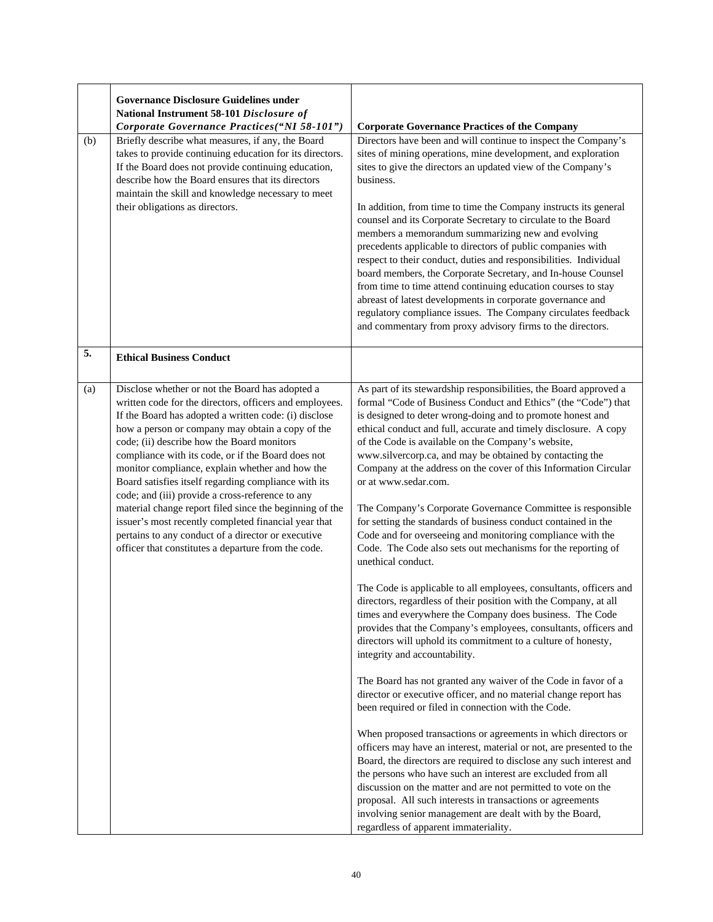|     | <b>Governance Disclosure Guidelines under</b><br>National Instrument 58-101 Disclosure of<br>Corporate Governance Practices("NI 58-101")                                                                                                                                                                                                                                                                                                                                                                                                                                                                                                                                                                                   | <b>Corporate Governance Practices of the Company</b>                                                                                                                                                                                                                                                                                                                                                                                                                                                                                                                                                                                                                                                                                                                                                                                                                                                                                                                                                                                                                                                                                                                                                                                                                                                                                                                                                                                                                                                                                                                                                                                                                                                                                                                                                                                                                  |
|-----|----------------------------------------------------------------------------------------------------------------------------------------------------------------------------------------------------------------------------------------------------------------------------------------------------------------------------------------------------------------------------------------------------------------------------------------------------------------------------------------------------------------------------------------------------------------------------------------------------------------------------------------------------------------------------------------------------------------------------|-----------------------------------------------------------------------------------------------------------------------------------------------------------------------------------------------------------------------------------------------------------------------------------------------------------------------------------------------------------------------------------------------------------------------------------------------------------------------------------------------------------------------------------------------------------------------------------------------------------------------------------------------------------------------------------------------------------------------------------------------------------------------------------------------------------------------------------------------------------------------------------------------------------------------------------------------------------------------------------------------------------------------------------------------------------------------------------------------------------------------------------------------------------------------------------------------------------------------------------------------------------------------------------------------------------------------------------------------------------------------------------------------------------------------------------------------------------------------------------------------------------------------------------------------------------------------------------------------------------------------------------------------------------------------------------------------------------------------------------------------------------------------------------------------------------------------------------------------------------------------|
| (b) | Briefly describe what measures, if any, the Board<br>takes to provide continuing education for its directors.<br>If the Board does not provide continuing education,<br>describe how the Board ensures that its directors<br>maintain the skill and knowledge necessary to meet<br>their obligations as directors.                                                                                                                                                                                                                                                                                                                                                                                                         | Directors have been and will continue to inspect the Company's<br>sites of mining operations, mine development, and exploration<br>sites to give the directors an updated view of the Company's<br>business.<br>In addition, from time to time the Company instructs its general<br>counsel and its Corporate Secretary to circulate to the Board<br>members a memorandum summarizing new and evolving<br>precedents applicable to directors of public companies with<br>respect to their conduct, duties and responsibilities. Individual<br>board members, the Corporate Secretary, and In-house Counsel<br>from time to time attend continuing education courses to stay<br>abreast of latest developments in corporate governance and<br>regulatory compliance issues. The Company circulates feedback<br>and commentary from proxy advisory firms to the directors.                                                                                                                                                                                                                                                                                                                                                                                                                                                                                                                                                                                                                                                                                                                                                                                                                                                                                                                                                                                              |
| 5.  | <b>Ethical Business Conduct</b>                                                                                                                                                                                                                                                                                                                                                                                                                                                                                                                                                                                                                                                                                            |                                                                                                                                                                                                                                                                                                                                                                                                                                                                                                                                                                                                                                                                                                                                                                                                                                                                                                                                                                                                                                                                                                                                                                                                                                                                                                                                                                                                                                                                                                                                                                                                                                                                                                                                                                                                                                                                       |
| (a) | Disclose whether or not the Board has adopted a<br>written code for the directors, officers and employees.<br>If the Board has adopted a written code: (i) disclose<br>how a person or company may obtain a copy of the<br>code; (ii) describe how the Board monitors<br>compliance with its code, or if the Board does not<br>monitor compliance, explain whether and how the<br>Board satisfies itself regarding compliance with its<br>code; and (iii) provide a cross-reference to any<br>material change report filed since the beginning of the<br>issuer's most recently completed financial year that<br>pertains to any conduct of a director or executive<br>officer that constitutes a departure from the code. | As part of its stewardship responsibilities, the Board approved a<br>formal "Code of Business Conduct and Ethics" (the "Code") that<br>is designed to deter wrong-doing and to promote honest and<br>ethical conduct and full, accurate and timely disclosure. A copy<br>of the Code is available on the Company's website,<br>www.silvercorp.ca, and may be obtained by contacting the<br>Company at the address on the cover of this Information Circular<br>or at www.sedar.com.<br>The Company's Corporate Governance Committee is responsible<br>for setting the standards of business conduct contained in the<br>Code and for overseeing and monitoring compliance with the<br>Code. The Code also sets out mechanisms for the reporting of<br>unethical conduct.<br>The Code is applicable to all employees, consultants, officers and<br>directors, regardless of their position with the Company, at all<br>times and everywhere the Company does business. The Code<br>provides that the Company's employees, consultants, officers and<br>directors will uphold its commitment to a culture of honesty,<br>integrity and accountability.<br>The Board has not granted any waiver of the Code in favor of a<br>director or executive officer, and no material change report has<br>been required or filed in connection with the Code.<br>When proposed transactions or agreements in which directors or<br>officers may have an interest, material or not, are presented to the<br>Board, the directors are required to disclose any such interest and<br>the persons who have such an interest are excluded from all<br>discussion on the matter and are not permitted to vote on the<br>proposal. All such interests in transactions or agreements<br>involving senior management are dealt with by the Board,<br>regardless of apparent immateriality. |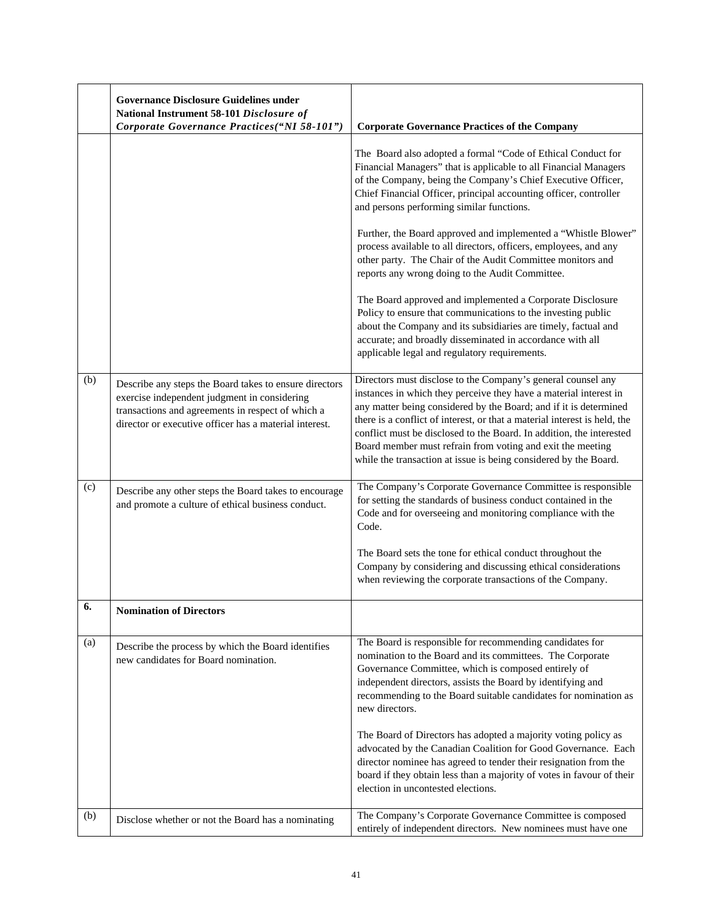|     | <b>Governance Disclosure Guidelines under</b>                                                                                                                                                                         |                                                                                                                                                                                                                                                                                                                                                                                                                                                                                               |
|-----|-----------------------------------------------------------------------------------------------------------------------------------------------------------------------------------------------------------------------|-----------------------------------------------------------------------------------------------------------------------------------------------------------------------------------------------------------------------------------------------------------------------------------------------------------------------------------------------------------------------------------------------------------------------------------------------------------------------------------------------|
|     | National Instrument 58-101 Disclosure of<br>Corporate Governance Practices("NI 58-101")                                                                                                                               | <b>Corporate Governance Practices of the Company</b>                                                                                                                                                                                                                                                                                                                                                                                                                                          |
|     |                                                                                                                                                                                                                       |                                                                                                                                                                                                                                                                                                                                                                                                                                                                                               |
|     |                                                                                                                                                                                                                       | The Board also adopted a formal "Code of Ethical Conduct for<br>Financial Managers" that is applicable to all Financial Managers<br>of the Company, being the Company's Chief Executive Officer,<br>Chief Financial Officer, principal accounting officer, controller<br>and persons performing similar functions.                                                                                                                                                                            |
|     |                                                                                                                                                                                                                       | Further, the Board approved and implemented a "Whistle Blower"<br>process available to all directors, officers, employees, and any<br>other party. The Chair of the Audit Committee monitors and<br>reports any wrong doing to the Audit Committee.                                                                                                                                                                                                                                           |
|     |                                                                                                                                                                                                                       | The Board approved and implemented a Corporate Disclosure<br>Policy to ensure that communications to the investing public<br>about the Company and its subsidiaries are timely, factual and<br>accurate; and broadly disseminated in accordance with all<br>applicable legal and regulatory requirements.                                                                                                                                                                                     |
| (b) | Describe any steps the Board takes to ensure directors<br>exercise independent judgment in considering<br>transactions and agreements in respect of which a<br>director or executive officer has a material interest. | Directors must disclose to the Company's general counsel any<br>instances in which they perceive they have a material interest in<br>any matter being considered by the Board; and if it is determined<br>there is a conflict of interest, or that a material interest is held, the<br>conflict must be disclosed to the Board. In addition, the interested<br>Board member must refrain from voting and exit the meeting<br>while the transaction at issue is being considered by the Board. |
| (c) | Describe any other steps the Board takes to encourage<br>and promote a culture of ethical business conduct.                                                                                                           | The Company's Corporate Governance Committee is responsible<br>for setting the standards of business conduct contained in the<br>Code and for overseeing and monitoring compliance with the<br>Code.                                                                                                                                                                                                                                                                                          |
|     |                                                                                                                                                                                                                       | The Board sets the tone for ethical conduct throughout the<br>Company by considering and discussing ethical considerations<br>when reviewing the corporate transactions of the Company.                                                                                                                                                                                                                                                                                                       |
| 6.  | <b>Nomination of Directors</b>                                                                                                                                                                                        |                                                                                                                                                                                                                                                                                                                                                                                                                                                                                               |
| (a) | Describe the process by which the Board identifies<br>new candidates for Board nomination.                                                                                                                            | The Board is responsible for recommending candidates for<br>nomination to the Board and its committees. The Corporate<br>Governance Committee, which is composed entirely of<br>independent directors, assists the Board by identifying and<br>recommending to the Board suitable candidates for nomination as<br>new directors.                                                                                                                                                              |
|     |                                                                                                                                                                                                                       | The Board of Directors has adopted a majority voting policy as<br>advocated by the Canadian Coalition for Good Governance. Each<br>director nominee has agreed to tender their resignation from the<br>board if they obtain less than a majority of votes in favour of their<br>election in uncontested elections.                                                                                                                                                                            |
| (b) | Disclose whether or not the Board has a nominating                                                                                                                                                                    | The Company's Corporate Governance Committee is composed<br>entirely of independent directors. New nominees must have one                                                                                                                                                                                                                                                                                                                                                                     |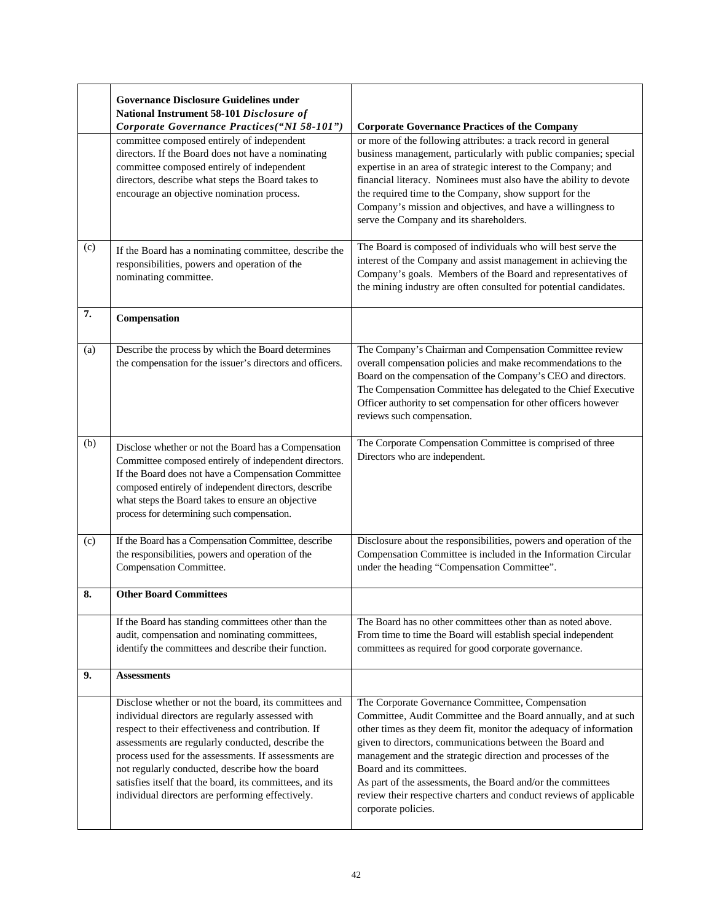|     | <b>Governance Disclosure Guidelines under</b><br>National Instrument 58-101 Disclosure of                                                                                                                                                                                                                                                                                                                                                        |                                                                                                                                                                                                                                                                                                                                                                                                                                                                                                             |
|-----|--------------------------------------------------------------------------------------------------------------------------------------------------------------------------------------------------------------------------------------------------------------------------------------------------------------------------------------------------------------------------------------------------------------------------------------------------|-------------------------------------------------------------------------------------------------------------------------------------------------------------------------------------------------------------------------------------------------------------------------------------------------------------------------------------------------------------------------------------------------------------------------------------------------------------------------------------------------------------|
|     | Corporate Governance Practices("NI 58-101")                                                                                                                                                                                                                                                                                                                                                                                                      | <b>Corporate Governance Practices of the Company</b>                                                                                                                                                                                                                                                                                                                                                                                                                                                        |
|     | committee composed entirely of independent<br>directors. If the Board does not have a nominating<br>committee composed entirely of independent<br>directors, describe what steps the Board takes to<br>encourage an objective nomination process.                                                                                                                                                                                                | or more of the following attributes: a track record in general<br>business management, particularly with public companies; special<br>expertise in an area of strategic interest to the Company; and<br>financial literacy. Nominees must also have the ability to devote<br>the required time to the Company, show support for the<br>Company's mission and objectives, and have a willingness to<br>serve the Company and its shareholders.                                                               |
| (c) | If the Board has a nominating committee, describe the<br>responsibilities, powers and operation of the<br>nominating committee.                                                                                                                                                                                                                                                                                                                  | The Board is composed of individuals who will best serve the<br>interest of the Company and assist management in achieving the<br>Company's goals. Members of the Board and representatives of<br>the mining industry are often consulted for potential candidates.                                                                                                                                                                                                                                         |
| 7.  | Compensation                                                                                                                                                                                                                                                                                                                                                                                                                                     |                                                                                                                                                                                                                                                                                                                                                                                                                                                                                                             |
| (a) | Describe the process by which the Board determines<br>the compensation for the issuer's directors and officers.                                                                                                                                                                                                                                                                                                                                  | The Company's Chairman and Compensation Committee review<br>overall compensation policies and make recommendations to the<br>Board on the compensation of the Company's CEO and directors.<br>The Compensation Committee has delegated to the Chief Executive<br>Officer authority to set compensation for other officers however<br>reviews such compensation.                                                                                                                                             |
| (b) | Disclose whether or not the Board has a Compensation<br>Committee composed entirely of independent directors.<br>If the Board does not have a Compensation Committee<br>composed entirely of independent directors, describe<br>what steps the Board takes to ensure an objective<br>process for determining such compensation.                                                                                                                  | The Corporate Compensation Committee is comprised of three<br>Directors who are independent.                                                                                                                                                                                                                                                                                                                                                                                                                |
| (c) | If the Board has a Compensation Committee, describe<br>the responsibilities, powers and operation of the<br>Compensation Committee.                                                                                                                                                                                                                                                                                                              | Disclosure about the responsibilities, powers and operation of the<br>Compensation Committee is included in the Information Circular<br>under the heading "Compensation Committee".                                                                                                                                                                                                                                                                                                                         |
| 8.  | <b>Other Board Committees</b>                                                                                                                                                                                                                                                                                                                                                                                                                    |                                                                                                                                                                                                                                                                                                                                                                                                                                                                                                             |
|     | If the Board has standing committees other than the<br>audit, compensation and nominating committees,<br>identify the committees and describe their function.                                                                                                                                                                                                                                                                                    | The Board has no other committees other than as noted above.<br>From time to time the Board will establish special independent<br>committees as required for good corporate governance.                                                                                                                                                                                                                                                                                                                     |
| 9.  | <b>Assessments</b>                                                                                                                                                                                                                                                                                                                                                                                                                               |                                                                                                                                                                                                                                                                                                                                                                                                                                                                                                             |
|     | Disclose whether or not the board, its committees and<br>individual directors are regularly assessed with<br>respect to their effectiveness and contribution. If<br>assessments are regularly conducted, describe the<br>process used for the assessments. If assessments are<br>not regularly conducted, describe how the board<br>satisfies itself that the board, its committees, and its<br>individual directors are performing effectively. | The Corporate Governance Committee, Compensation<br>Committee, Audit Committee and the Board annually, and at such<br>other times as they deem fit, monitor the adequacy of information<br>given to directors, communications between the Board and<br>management and the strategic direction and processes of the<br>Board and its committees.<br>As part of the assessments, the Board and/or the committees<br>review their respective charters and conduct reviews of applicable<br>corporate policies. |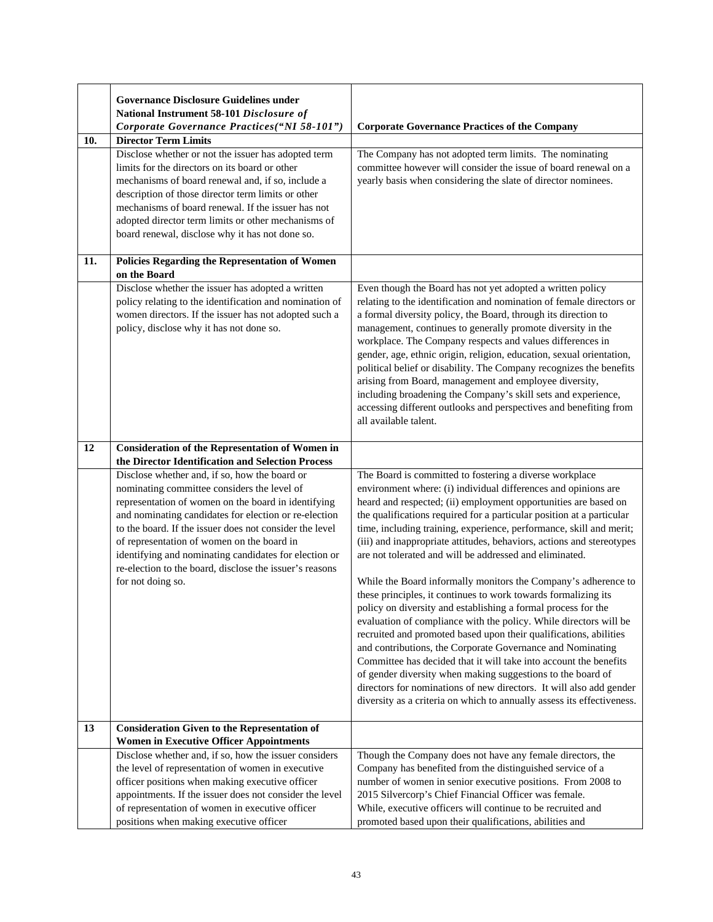|     | <b>Governance Disclosure Guidelines under</b><br>National Instrument 58-101 Disclosure of<br>Corporate Governance Practices("NI 58-101")                                                                                                                                                                                                                                                                                                                       | <b>Corporate Governance Practices of the Company</b>                                                                                                                                                                                                                                                                                                                                                                                                                                                                                                                                                                                                                                                                                                                                                                                                                                                                                                                                                                                                                                                                                                                               |
|-----|----------------------------------------------------------------------------------------------------------------------------------------------------------------------------------------------------------------------------------------------------------------------------------------------------------------------------------------------------------------------------------------------------------------------------------------------------------------|------------------------------------------------------------------------------------------------------------------------------------------------------------------------------------------------------------------------------------------------------------------------------------------------------------------------------------------------------------------------------------------------------------------------------------------------------------------------------------------------------------------------------------------------------------------------------------------------------------------------------------------------------------------------------------------------------------------------------------------------------------------------------------------------------------------------------------------------------------------------------------------------------------------------------------------------------------------------------------------------------------------------------------------------------------------------------------------------------------------------------------------------------------------------------------|
| 10. | <b>Director Term Limits</b><br>Disclose whether or not the issuer has adopted term<br>limits for the directors on its board or other                                                                                                                                                                                                                                                                                                                           | The Company has not adopted term limits. The nominating<br>committee however will consider the issue of board renewal on a                                                                                                                                                                                                                                                                                                                                                                                                                                                                                                                                                                                                                                                                                                                                                                                                                                                                                                                                                                                                                                                         |
|     | mechanisms of board renewal and, if so, include a<br>description of those director term limits or other<br>mechanisms of board renewal. If the issuer has not<br>adopted director term limits or other mechanisms of<br>board renewal, disclose why it has not done so.                                                                                                                                                                                        | yearly basis when considering the slate of director nominees.                                                                                                                                                                                                                                                                                                                                                                                                                                                                                                                                                                                                                                                                                                                                                                                                                                                                                                                                                                                                                                                                                                                      |
| 11. | Policies Regarding the Representation of Women<br>on the Board                                                                                                                                                                                                                                                                                                                                                                                                 |                                                                                                                                                                                                                                                                                                                                                                                                                                                                                                                                                                                                                                                                                                                                                                                                                                                                                                                                                                                                                                                                                                                                                                                    |
|     | Disclose whether the issuer has adopted a written<br>policy relating to the identification and nomination of<br>women directors. If the issuer has not adopted such a<br>policy, disclose why it has not done so.                                                                                                                                                                                                                                              | Even though the Board has not yet adopted a written policy<br>relating to the identification and nomination of female directors or<br>a formal diversity policy, the Board, through its direction to<br>management, continues to generally promote diversity in the<br>workplace. The Company respects and values differences in<br>gender, age, ethnic origin, religion, education, sexual orientation,<br>political belief or disability. The Company recognizes the benefits<br>arising from Board, management and employee diversity,<br>including broadening the Company's skill sets and experience,<br>accessing different outlooks and perspectives and benefiting from<br>all available talent.                                                                                                                                                                                                                                                                                                                                                                                                                                                                           |
| 12  | <b>Consideration of the Representation of Women in</b><br>the Director Identification and Selection Process                                                                                                                                                                                                                                                                                                                                                    |                                                                                                                                                                                                                                                                                                                                                                                                                                                                                                                                                                                                                                                                                                                                                                                                                                                                                                                                                                                                                                                                                                                                                                                    |
|     | Disclose whether and, if so, how the board or<br>nominating committee considers the level of<br>representation of women on the board in identifying<br>and nominating candidates for election or re-election<br>to the board. If the issuer does not consider the level<br>of representation of women on the board in<br>identifying and nominating candidates for election or<br>re-election to the board, disclose the issuer's reasons<br>for not doing so. | The Board is committed to fostering a diverse workplace<br>environment where: (i) individual differences and opinions are<br>heard and respected; (ii) employment opportunities are based on<br>the qualifications required for a particular position at a particular<br>time, including training, experience, performance, skill and merit;<br>(iii) and inappropriate attitudes, behaviors, actions and stereotypes<br>are not tolerated and will be addressed and eliminated.<br>While the Board informally monitors the Company's adherence to<br>these principles, it continues to work towards formalizing its<br>policy on diversity and establishing a formal process for the<br>evaluation of compliance with the policy. While directors will be<br>recruited and promoted based upon their qualifications, abilities<br>and contributions, the Corporate Governance and Nominating<br>Committee has decided that it will take into account the benefits<br>of gender diversity when making suggestions to the board of<br>directors for nominations of new directors. It will also add gender<br>diversity as a criteria on which to annually assess its effectiveness. |
| 13  | <b>Consideration Given to the Representation of</b><br><b>Women in Executive Officer Appointments</b>                                                                                                                                                                                                                                                                                                                                                          |                                                                                                                                                                                                                                                                                                                                                                                                                                                                                                                                                                                                                                                                                                                                                                                                                                                                                                                                                                                                                                                                                                                                                                                    |
|     | Disclose whether and, if so, how the issuer considers<br>the level of representation of women in executive<br>officer positions when making executive officer<br>appointments. If the issuer does not consider the level<br>of representation of women in executive officer<br>positions when making executive officer                                                                                                                                         | Though the Company does not have any female directors, the<br>Company has benefited from the distinguished service of a<br>number of women in senior executive positions. From 2008 to<br>2015 Silvercorp's Chief Financial Officer was female.<br>While, executive officers will continue to be recruited and<br>promoted based upon their qualifications, abilities and                                                                                                                                                                                                                                                                                                                                                                                                                                                                                                                                                                                                                                                                                                                                                                                                          |